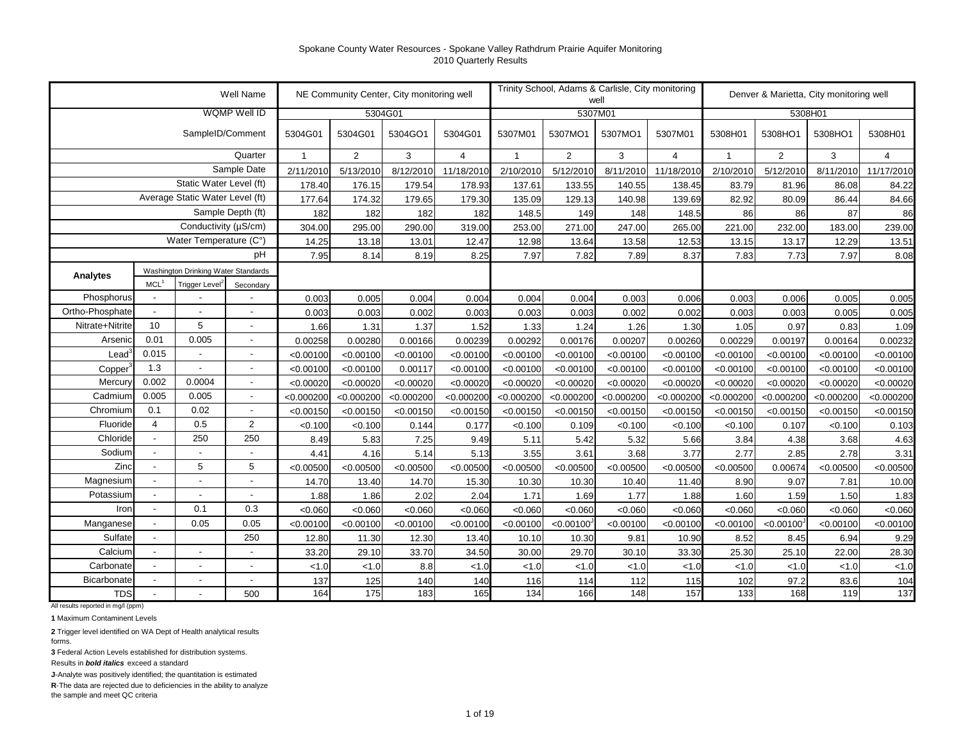|                     |                          |                                     | Well Name                                  |                   |                   | NE Community Center, City monitoring well |                   |              |                   | Trinity School, Adams & Carlisle, City monitoring<br>well |              |                   | Denver & Marietta, City monitoring well |              |                   |
|---------------------|--------------------------|-------------------------------------|--------------------------------------------|-------------------|-------------------|-------------------------------------------|-------------------|--------------|-------------------|-----------------------------------------------------------|--------------|-------------------|-----------------------------------------|--------------|-------------------|
|                     |                          |                                     | WQMP Well ID                               |                   |                   | 5304G01                                   |                   |              |                   | 5307M01                                                   |              |                   | 5308H01                                 |              |                   |
|                     |                          | SampleID/Comment                    |                                            | 5304G01           | 5304G01           | 5304GO1                                   | 5304G01           | 5307M01      | 5307MO1           | 5307MO1                                                   | 5307M01      | 5308H01           | 5308HO1                                 | 5308HO1      | 5308H01           |
|                     |                          |                                     | Quarter                                    | $\mathbf{1}$      | 2                 | 3                                         | $\overline{4}$    | $\mathbf{1}$ | $\overline{2}$    | 3                                                         | 4            | $\mathbf{1}$      | $\overline{2}$                          | 3            | $\overline{4}$    |
|                     |                          |                                     | Sample Date                                | 2/11/2010         | 5/13/2010         | 8/12/2010                                 | 11/18/2010        | 2/10/2010    | 5/12/2010         | 8/11/2010                                                 | 11/18/2010   | 2/10/2010         | 5/12/2010                               | 8/11/2010    | 11/17/2010        |
|                     |                          | Static Water Level (ft)             |                                            | 178.40            | 176.15            | 179.54                                    | 178.93            | 137.61       | 133.55            | 140.55                                                    | 138.45       | 83.79             | 81.96                                   | 86.08        | 84.22             |
|                     |                          | Average Static Water Level (ft)     |                                            | 177.64            | 174.32            | 179.65                                    | 179.30            | 135.09       | 129.13            | 140.98                                                    | 139.69       | 82.92             | 80.09                                   | 86.44        | 84.66             |
|                     |                          |                                     | Sample Depth (ft)                          | 182               | 182               | 182                                       | 182               | 148.5        | 149               | 148                                                       | 148.5        | 86                | 86                                      | 87           | 86                |
|                     |                          | Conductivity (µS/cm)                |                                            | 304.00            | 295.00            | 290.00                                    | 319.00            | 253.00       | 271.00            | 247.00                                                    | 265.00       | 221.00            | 232.00                                  | 183.00       | 239.00            |
|                     |                          | Water Temperature (C°)              |                                            | 14.25             | 13.18             | 13.01                                     | 12.47             | 12.98        | 13.64             | 13.58                                                     | 12.53        | 13.15             | 13.17                                   | 12.29        | 13.51             |
|                     |                          |                                     | рH                                         | 7.95              | 8.14              | 8.19                                      | 8.25              | 7.97         | 7.82              | 7.89                                                      | 8.37         | 7.83              | 7.73                                    | 7.97         | 8.08              |
| Analytes            |                          | Washington Drinking Water Standards |                                            |                   |                   |                                           |                   |              |                   |                                                           |              |                   |                                         |              |                   |
|                     | MCL <sup>1</sup>         | Trigger Level <sup>2</sup>          | Secondary                                  |                   |                   |                                           |                   |              |                   |                                                           |              |                   |                                         |              |                   |
| Phosphorus          |                          |                                     |                                            | 0.003             | 0.005             | 0.004                                     | 0.004             | 0.004        | 0.004             | 0.003                                                     | 0.006        | 0.003             | 0.006                                   | 0.005        | 0.005             |
| Ortho-Phosphate     |                          |                                     | $\overline{a}$                             | 0.003             | 0.003             | 0.002                                     | 0.003             | 0.003        | 0.003             | 0.002                                                     | 0.002        | 0.003             | 0.003                                   | 0.005        | 0.005             |
| Nitrate+Nitrite     | 10                       | 5                                   | $\overline{\phantom{a}}$                   | 1.66              | 1.31              | 1.37                                      | 1.52              | 1.33         | 1.24              | 1.26                                                      | 1.30         | 1.05              | 0.97                                    | 0.83         | 1.09              |
| Arseni              | 0.01                     | 0.005                               | $\overline{\phantom{a}}$                   | 0.00258           | 0.00280           | 0.00166                                   | 0.00239           | 0.00292      | 0.00176           | 0.00207                                                   | 0.00260      | 0.00229           | 0.00197                                 | 0.00164      | 0.00232           |
| Lead                | 0.015                    |                                     | $\overline{\phantom{a}}$                   | < 0.00100         | < 0.00100         | < 0.00100                                 | < 0.00100         | < 0.00100    | < 0.00100         | < 0.00100                                                 | < 0.00100    | < 0.00100         | < 0.00100                               | < 0.00100    | < 0.00100         |
| Copper              | 1.3                      | $\blacksquare$                      | $\blacksquare$                             | < 0.00100         | < 0.00100         | 0.00117                                   | < 0.00100         | < 0.00100    | < 0.00100         | < 0.00100                                                 | < 0.00100    | < 0.00100         | < 0.00100                               | < 0.00100    | < 0.00100         |
| Mercur              | 0.002                    | 0.0004<br>0.005                     | $\overline{\phantom{a}}$                   | < 0.00020         | < 0.00020         | < 0.00020                                 | < 0.00020         | < 0.00020    | < 0.00020         | < 0.00020                                                 | < 0.00020    | < 0.00020         | < 0.00020                               | < 0.00020    | < 0.00020         |
| Cadmium<br>Chromium | 0.005<br>0.1             | 0.02                                | $\overline{\phantom{a}}$                   | < 0.000200        | < 0.000200        | < 0.000200                                | < 0.000200        | < 0.000200   | < 0.000200        | < 0.000200                                                | < 0.000200   | < 0.000200        | < 0.000200                              | < 0.000200   | < 0.000200        |
| Fluoride            | 4                        | 0.5                                 | $\overline{\phantom{a}}$<br>$\overline{2}$ | < 0.00150         | < 0.00150         | < 0.00150                                 | < 0.00150         | < 0.00150    | < 0.00150         | < 0.00150                                                 | < 0.00150    | < 0.00150         | < 0.00150                               | < 0.00150    | < 0.00150         |
| Chloride            |                          | 250                                 | 250                                        | < 0.100           | < 0.100           | 0.144                                     | 0.177             | < 0.100      | 0.109             | < 0.100                                                   | < 0.100      | < 0.100           | 0.107                                   | < 0.100      | 0.103             |
| Sodium              | $\overline{\phantom{a}}$ | $\overline{\phantom{a}}$            | $\overline{\phantom{a}}$                   | 8.49              | 5.83              | 7.25                                      | 9.49              | 5.11<br>3.55 | 5.42              | 5.32                                                      | 5.66<br>3.77 | 3.84              | 4.38                                    | 3.68<br>2.78 | 4.63              |
| Zinc                |                          | 5                                   | 5                                          | 4.41<br>< 0.00500 | 4.16<br>< 0.00500 | 5.14<br>< 0.00500                         | 5.13<br>< 0.00500 | < 0.00500    | 3.61<br>< 0.00500 | 3.68<br>< 0.00500                                         | < 0.00500    | 2.77<br>< 0.00500 | 2.85<br>0.00674                         | < 0.00500    | 3.31<br>< 0.00500 |
| Magnesium           | $\overline{a}$           |                                     | ÷,                                         | 14.70             | 13.40             | 14.70                                     | 15.30             | 10.30        | 10.30             | 10.40                                                     | 11.40        | 8.90              | 9.07                                    | 7.81         | 10.00             |
| Potassium           |                          |                                     | $\overline{\phantom{a}}$                   | 1.88              | 1.86              | 2.02                                      | 2.04              | 1.71         | 1.69              | 1.77                                                      | 1.88         | 1.60              | 1.59                                    | 1.50         | 1.83              |
| Iron                |                          | 0.1                                 | 0.3                                        | < 0.060           | < 0.060           | < 0.060                                   | < 0.060           | < 0.060      | < 0.060           | < 0.060                                                   | < 0.060      | < 0.060           | < 0.060                                 | < 0.060      | < 0.060           |
| Manganese           |                          | 0.05                                | 0.05                                       | < 0.00100         | < 0.00100         | < 0.00100                                 | < 0.00100         | < 0.00100    | < 0.00100         | < 0.00100                                                 | < 0.00100    | < 0.00100         | < 0.00100                               | < 0.00100    | < 0.00100         |
| Sulfate             | $\overline{\phantom{a}}$ |                                     | 250                                        | 12.80             | 11.30             | 12.30                                     | 13.40             | 10.10        | 10.30             | 9.81                                                      | 10.90        | 8.52              | 8.45                                    | 6.94         | 9.29              |
| Calcium             | $\overline{\phantom{a}}$ | $\overline{\phantom{a}}$            | $\overline{\phantom{a}}$                   | 33.20             | 29.10             | 33.70                                     | 34.50             | 30.00        | 29.70             | 30.10                                                     | 33.30        | 25.30             | 25.10                                   | 22.00        | 28.30             |
| Carbonate           |                          | $\blacksquare$                      | $\overline{\phantom{a}}$                   | < 1.0             | < 1.0             | 8.8                                       | < 1.0             | < 1.0        | < 1.0             | < 1.0                                                     | < 1.0        | < 1.0             | < 1.0                                   | < 1.0        | < 1.0             |
| Bicarbonate         | $\overline{\phantom{a}}$ | $\overline{\phantom{a}}$            | $\overline{\phantom{a}}$                   | 137               | 125               | 140                                       | 140               | 116          | 114               | 112                                                       | 115          | 102               | 97.2                                    | 83.6         | 104               |
| <b>TDS</b>          |                          |                                     | 500                                        | 164               | 175               | 183                                       | 165               | 134          | 166               | 148                                                       | 157          | 133               | 168                                     | 119          | 137               |

All results reported in mg/l (ppm)

**1** Maximum Contaminent Levels

**2** Trigger level identified on WA Dept of Health analytical results forms.

**3** Federal Action Levels established for distribution systems.

Results in *bold italics* exceed a standard

**J**-Analyte was positively identified; the quantitation is estimated

**R**-The data are rejected due to deficiencies in the ability to analyze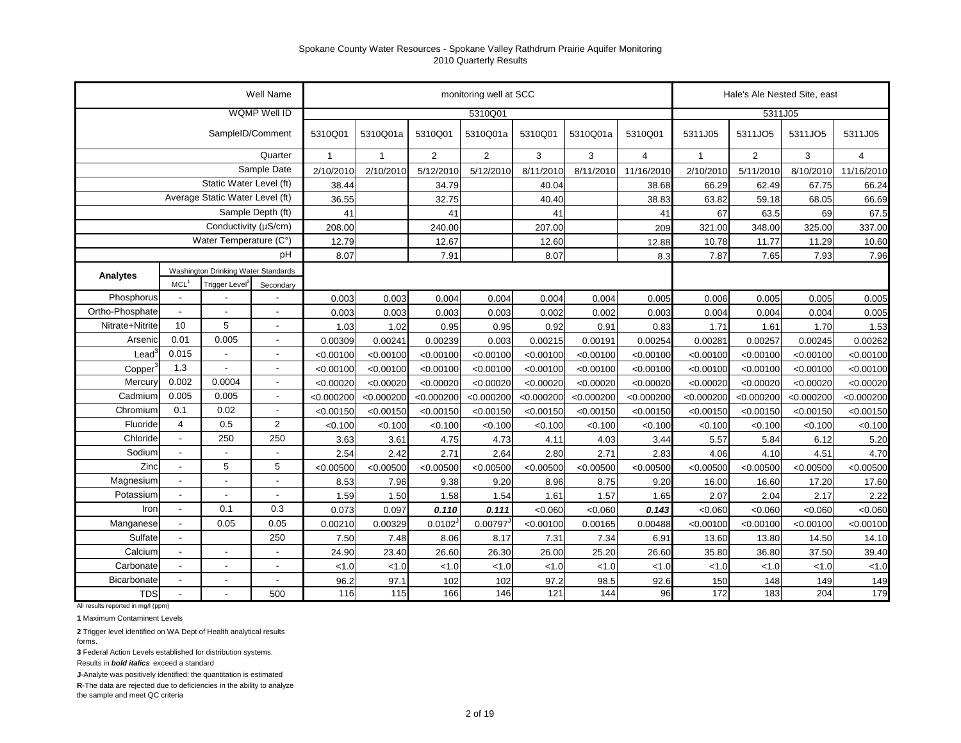|                   |                          |                                     | Well Name                |              |              |                | monitoring well at SCC |            |            |                |              | Hale's Ale Nested Site, east |            |                |
|-------------------|--------------------------|-------------------------------------|--------------------------|--------------|--------------|----------------|------------------------|------------|------------|----------------|--------------|------------------------------|------------|----------------|
|                   |                          |                                     | WQMP Well ID             |              |              |                | 5310Q01                |            |            |                |              | 5311J05                      |            |                |
|                   |                          | SampleID/Comment                    |                          | 5310Q01      | 5310Q01a     | 5310Q01        | 5310Q01a               | 5310Q01    | 5310Q01a   | 5310Q01        | 5311J05      | 5311JO5                      | 5311JO5    | 5311J05        |
|                   |                          |                                     | Quarter                  | $\mathbf{1}$ | $\mathbf{1}$ | $\overline{2}$ | $\overline{2}$         | 3          | 3          | $\overline{4}$ | $\mathbf{1}$ | $\overline{2}$               | 3          | $\overline{4}$ |
|                   |                          |                                     | Sample Date              | 2/10/2010    | 2/10/2010    | 5/12/2010      | 5/12/2010              | 8/11/2010  | 8/11/2010  | 11/16/2010     | 2/10/2010    | 5/11/2010                    | 8/10/2010  | 11/16/2010     |
|                   |                          | Static Water Level (ft)             |                          | 38.44        |              | 34.79          |                        | 40.04      |            | 38.68          | 66.29        | 62.49                        | 67.75      | 66.24          |
|                   |                          | Average Static Water Level (ft)     |                          | 36.55        |              | 32.75          |                        | 40.40      |            | 38.83          | 63.82        | 59.18                        | 68.05      | 66.69          |
|                   |                          |                                     | Sample Depth (ft)        | 41           |              | 41             |                        | 41         |            | 41             | 67           | 63.5                         | 69         | 67.5           |
|                   |                          | Conductivity (µS/cm)                |                          | 208.00       |              | 240.00         |                        | 207.00     |            | 209            | 321.00       | 348.00                       | 325.00     | 337.00         |
|                   |                          | Water Temperature (C°)              |                          | 12.79        |              | 12.67          |                        | 12.60      |            | 12.88          | 10.78        | 11.77                        | 11.29      | 10.60          |
|                   |                          |                                     | pH                       | 8.07         |              | 7.91           |                        | 8.07       |            | 8.3            | 7.87         | 7.65                         | 7.93       | 7.96           |
| Analytes          |                          | Washington Drinking Water Standards |                          |              |              |                |                        |            |            |                |              |                              |            |                |
|                   | $MCL$ <sup>1</sup>       | Trigger Level <sup>2</sup>          | Secondary                |              |              |                |                        |            |            |                |              |                              |            |                |
| Phosphorus        | $\overline{\phantom{a}}$ |                                     |                          | 0.003        | 0.003        | 0.004          | 0.004                  | 0.004      | 0.004      | 0.005          | 0.006        | 0.005                        | 0.005      | 0.005          |
| Ortho-Phosphate   |                          |                                     |                          | 0.003        | 0.003        | 0.003          | 0.003                  | 0.002      | 0.002      | 0.003          | 0.004        | 0.004                        | 0.004      | 0.005          |
| Nitrate+Nitrite   | 10                       | 5                                   |                          | 1.03         | 1.02         | 0.95           | 0.95                   | 0.92       | 0.91       | 0.83           | 1.71         | 1.61                         | 1.70       | 1.53           |
| Arsenio           | 0.01                     | 0.005                               | $\overline{\phantom{a}}$ | 0.00309      | 0.00241      | 0.00239        | 0.003                  | 0.00215    | 0.00191    | 0.00254        | 0.00281      | 0.00257                      | 0.00245    | 0.00262        |
| Lead <sup>®</sup> | 0.015                    |                                     | $\overline{\phantom{a}}$ | < 0.00100    | < 0.00100    | < 0.00100      | < 0.00100              | < 0.00100  | < 0.00100  | < 0.00100      | < 0.00100    | < 0.00100                    | < 0.00100  | < 0.00100      |
| Copper            | 1.3                      |                                     |                          | < 0.00100    | < 0.00100    | < 0.00100      | < 0.00100              | < 0.00100  | < 0.00100  | < 0.00100      | < 0.00100    | < 0.00100                    | < 0.00100  | < 0.00100      |
| Mercury           | 0.002                    | 0.0004                              |                          | < 0.00020    | < 0.00020    | < 0.00020      | < 0.00020              | < 0.00020  | < 0.00020  | < 0.00020      | < 0.00020    | < 0.00020                    | < 0.00020  | < 0.00020      |
| Cadmium           | 0.005                    | 0.005                               | $\overline{\phantom{a}}$ | < 0.000200   | < 0.000200   | < 0.000200     | < 0.000200             | < 0.000200 | < 0.000200 | < 0.000200     | < 0.000200   | < 0.000200                   | < 0.000200 | < 0.000200     |
| Chromium          | 0.1                      | 0.02                                | $\overline{\phantom{a}}$ | < 0.00150    | < 0.00150    | < 0.00150      | < 0.00150              | < 0.00150  | < 0.00150  | < 0.00150      | < 0.00150    | < 0.00150                    | < 0.00150  | < 0.00150      |
| Fluoride          | $\overline{4}$           | 0.5                                 | $\overline{2}$           | < 0.100      | < 0.100      | < 0.100        | < 0.100                | < 0.100    | < 0.100    | < 0.100        | < 0.100      | < 0.100                      | < 0.100    | < 0.100        |
| Chloride          | $\overline{a}$           | 250                                 | 250                      | 3.63         | 3.61         | 4.75           | 4.73                   | 4.11       | 4.03       | 3.44           | 5.57         | 5.84                         | 6.12       | 5.20           |
| Sodium            | $\overline{\phantom{a}}$ |                                     | $\blacksquare$           | 2.54         | 2.42         | 2.71           | 2.64                   | 2.80       | 2.71       | 2.83           | 4.06         | 4.10                         | 4.51       | 4.70           |
| Zinc              | $\overline{\phantom{a}}$ | 5                                   | 5                        | < 0.00500    | < 0.00500    | < 0.00500      | < 0.00500              | < 0.00500  | < 0.00500  | < 0.00500      | < 0.00500    | < 0.00500                    | < 0.00500  | < 0.00500      |
| Magnesium         | $\overline{\phantom{a}}$ |                                     |                          | 8.53         | 7.96         | 9.38           | 9.20                   | 8.96       | 8.75       | 9.20           | 16.00        | 16.60                        | 17.20      | 17.60          |
| Potassium         | ÷,                       |                                     | $\overline{a}$           | 1.59         | 1.50         | 1.58           | 1.54                   | 1.61       | 1.57       | 1.65           | 2.07         | 2.04                         | 2.17       | 2.22           |
| Iron              | $\blacksquare$           | 0.1                                 | 0.3                      | 0.073        | 0.097        | 0.110          | 0.111                  | < 0.060    | < 0.060    | 0.143          | < 0.060      | < 0.060                      | < 0.060    | < 0.060        |
| Manganese         | $\overline{\phantom{a}}$ | 0.05                                | 0.05                     | 0.00210      | 0.00329      | 0.0102         | 0.00797                | < 0.00100  | 0.00165    | 0.00488        | < 0.00100    | < 0.00100                    | < 0.00100  | < 0.00100      |
| Sulfate           | $\blacksquare$           |                                     | 250                      | 7.50         | 7.48         | 8.06           | 8.17                   | 7.31       | 7.34       | 6.91           | 13.60        | 13.80                        | 14.50      | 14.10          |
| Calcium           | $\overline{\phantom{a}}$ |                                     | $\blacksquare$           | 24.90        | 23.40        | 26.60          | 26.30                  | 26.00      | 25.20      | 26.60          | 35.80        | 36.80                        | 37.50      | 39.40          |
| Carbonate         | $\overline{a}$           |                                     | $\overline{\phantom{a}}$ | < 1.0        | < 1.0        | < 1.0          | < 1.0                  | < 1.0      | < 1.0      | < 1.0          | < 1.0        | < 1.0                        | < 1.0      | < 1.0          |
| Bicarbonate       | $\overline{a}$           |                                     | $\overline{a}$           | 96.2         | 97.1         | 102            | 102                    | 97.2       | 98.5       | 92.6           | 150          | 148                          | 149        | 149            |
| <b>TDS</b>        | $\sim$                   |                                     | 500                      | 116          | 115          | 166            | 146                    | 121        | 144        | 96             | 172          | 183                          | 204        | 179            |

All results reported in mg/l (ppm)

**1** Maximum Contaminent Levels

**2** Trigger level identified on WA Dept of Health analytical results forms.

**3** Federal Action Levels established for distribution systems.

Results in *bold italics* exceed a standard

**J**-Analyte was positively identified; the quantitation is estimated

**R**-The data are rejected due to deficiencies in the ability to analyze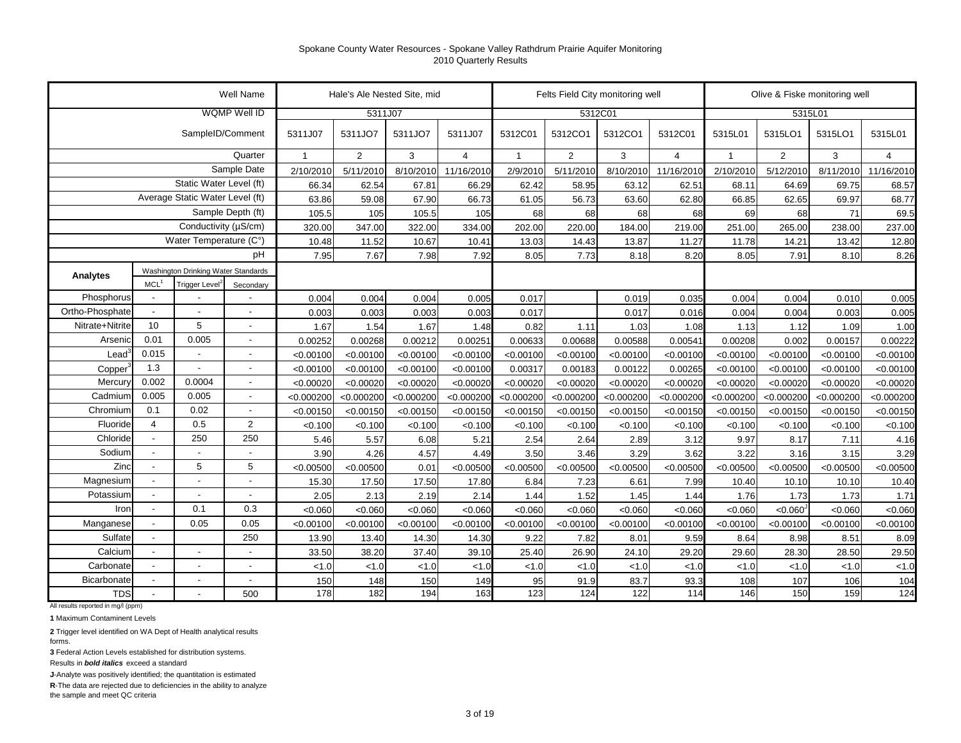|                 |                          |                                     | Well Name                |              | Hale's Ale Nested Site, mid |            |                |                | Felts Field City monitoring well |            |                |                |                | Olive & Fiske monitoring well |                |
|-----------------|--------------------------|-------------------------------------|--------------------------|--------------|-----------------------------|------------|----------------|----------------|----------------------------------|------------|----------------|----------------|----------------|-------------------------------|----------------|
|                 |                          |                                     | WQMP Well ID             |              | 5311J07                     |            |                |                |                                  | 5312C01    |                |                | 5315L01        |                               |                |
|                 |                          | SampleID/Comment                    |                          | 5311J07      | 5311JO7                     | 5311JO7    | 5311J07        | 5312C01        | 5312CO1                          | 5312CO1    | 5312C01        | 5315L01        | 5315LO1        | 5315LO1                       | 5315L01        |
|                 |                          |                                     | Quarter                  | $\mathbf{1}$ | $\overline{2}$              | 3          | $\overline{4}$ | $\overline{1}$ | $\overline{2}$                   | 3          | $\overline{4}$ | $\overline{1}$ | $\overline{2}$ | 3                             | $\overline{4}$ |
|                 |                          |                                     | Sample Date              | 2/10/2010    | 5/11/2010                   | 8/10/2010  | 11/16/2010     | 2/9/2010       | 5/11/2010                        | 8/10/2010  | 11/16/2010     | 2/10/2010      | 5/12/2010      | 8/11/2010                     | 11/16/2010     |
|                 |                          | Static Water Level (ft)             |                          | 66.34        | 62.54                       | 67.81      | 66.29          | 62.42          | 58.95                            | 63.12      | 62.51          | 68.11          | 64.69          | 69.75                         | 68.57          |
|                 |                          | Average Static Water Level (ft)     |                          | 63.86        | 59.08                       | 67.90      | 66.73          | 61.05          | 56.73                            | 63.60      | 62.80          | 66.85          | 62.65          | 69.97                         | 68.77          |
|                 |                          |                                     | Sample Depth (ft)        | 105.5        | 105                         | 105.5      | 105            | 68             | 68                               | 68         | 68             | 69             | 68             | 71                            | 69.5           |
|                 |                          | Conductivity (µS/cm)                |                          | 320.00       | 347.00                      | 322.00     | 334.00         | 202.00         | 220.00                           | 184.00     | 219.00         | 251.00         | 265.00         | 238.00                        | 237.00         |
|                 |                          | Water Temperature (C°)              |                          | 10.48        | 11.52                       | 10.67      | 10.41          | 13.03          | 14.43                            | 13.87      | 11.27          | 11.78          | 14.21          | 13.42                         | 12.80          |
|                 |                          |                                     | рH                       | 7.95         | 7.67                        | 7.98       | 7.92           | 8.05           | 7.73                             | 8.18       | 8.20           | 8.05           | 7.91           | 8.10                          | 8.26           |
| Analytes        |                          | Washington Drinking Water Standards |                          |              |                             |            |                |                |                                  |            |                |                |                |                               |                |
|                 | MCL <sup>1</sup>         | Trigger Level <sup>2</sup>          | Secondary                |              |                             |            |                |                |                                  |            |                |                |                |                               |                |
| Phosphorus      | $\blacksquare$           |                                     |                          | 0.004        | 0.004                       | 0.004      | 0.005          | 0.017          |                                  | 0.019      | 0.035          | 0.004          | 0.004          | 0.010                         | 0.005          |
| Ortho-Phosphate | $\overline{\phantom{a}}$ |                                     | $\blacksquare$           | 0.003        | 0.003                       | 0.003      | 0.003          | 0.017          |                                  | 0.017      | 0.016          | 0.004          | 0.004          | 0.003                         | 0.005          |
| Nitrate+Nitrite | 10                       | 5                                   | $\blacksquare$           | 1.67         | 1.54                        | 1.67       | 1.48           | 0.82           | 1.11                             | 1.03       | 1.08           | 1.13           | 1.12           | 1.09                          | 1.00           |
| Arsenic         | 0.01                     | 0.005                               | $\overline{\phantom{a}}$ | 0.00252      | 0.00268                     | 0.00212    | 0.00251        | 0.00633        | 0.00688                          | 0.00588    | 0.00541        | 0.00208        | 0.002          | 0.00157                       | 0.00222        |
| Lead            | 0.015                    | $\blacksquare$                      | $\blacksquare$           | < 0.00100    | < 0.00100                   | < 0.00100  | < 0.00100      | < 0.00100      | < 0.00100                        | < 0.00100  | < 0.00100      | < 0.00100      | < 0.00100      | < 0.00100                     | < 0.00100      |
| Copper          | 1.3                      | $\overline{\phantom{a}}$            | $\overline{\phantom{a}}$ | < 0.00100    | < 0.00100                   | < 0.00100  | < 0.00100      | 0.00317        | 0.00183                          | 0.00122    | 0.00265        | < 0.00100      | < 0.00100      | < 0.00100                     | < 0.00100      |
| Mercury         | 0.002                    | 0.0004                              | $\overline{\phantom{a}}$ | < 0.00020    | < 0.00020                   | < 0.00020  | < 0.00020      | < 0.00020      | < 0.00020                        | < 0.00020  | < 0.00020      | < 0.00020      | < 0.00020      | < 0.00020                     | < 0.00020      |
| Cadmium         | 0.005                    | 0.005                               | $\sim$                   | < 0.000200   | < 0.000200                  | < 0.000200 | < 0.000200     | < 0.000200     | < 0.000200                       | < 0.000200 | < 0.000200     | < 0.000200     | < 0.000200     | < 0.000200                    | < 0.000200     |
| Chromium        | 0.1                      | 0.02                                | $\sim$                   | < 0.00150    | < 0.00150                   | < 0.00150  | < 0.00150      | < 0.00150      | < 0.00150                        | < 0.00150  | < 0.00150      | < 0.00150      | < 0.00150      | < 0.00150                     | < 0.00150      |
| Fluoride        | $\overline{4}$           | 0.5                                 | $\overline{2}$           | < 0.100      | < 0.100                     | < 0.100    | < 0.100        | < 0.100        | < 0.100                          | < 0.100    | < 0.100        | < 0.100        | < 0.100        | < 0.100                       | < 0.100        |
| Chloride        |                          | 250                                 | 250                      | 5.46         | 5.57                        | 6.08       | 5.21           | 2.54           | 2.64                             | 2.89       | 3.12           | 9.97           | 8.17           | 7.11                          | 4.16           |
| Sodium          | $\overline{a}$           |                                     | $\overline{a}$           | 3.90         | 4.26                        | 4.57       | 4.49           | 3.50           | 3.46                             | 3.29       | 3.62           | 3.22           | 3.16           | 3.15                          | 3.29           |
| Zinc            | $\overline{a}$           | 5                                   | 5                        | < 0.00500    | < 0.00500                   | 0.01       | < 0.00500      | < 0.00500      | < 0.00500                        | < 0.00500  | < 0.00500      | < 0.00500      | < 0.00500      | < 0.00500                     | < 0.00500      |
| Magnesium       | $\blacksquare$           |                                     |                          | 15.30        | 17.50                       | 17.50      | 17.80          | 6.84           | 7.23                             | 6.61       | 7.99           | 10.40          | 10.10          | 10.10                         | 10.40          |
| Potassium       | $\sim$                   |                                     | $\overline{a}$           | 2.05         | 2.13                        | 2.19       | 2.14           | 1.44           | 1.52                             | 1.45       | 1.44           | 1.76           | 1.73           | 1.73                          | 1.71           |
| Iron            | $\overline{\phantom{a}}$ | 0.1                                 | 0.3                      | < 0.060      | < 0.060                     | < 0.060    | < 0.060        | < 0.060        | < 0.060                          | < 0.060    | < 0.060        | < 0.060        | < 0.060        | < 0.060                       | < 0.060        |
| Manganese       | $\blacksquare$           | 0.05                                | 0.05                     | < 0.00100    | < 0.00100                   | < 0.00100  | < 0.00100      | < 0.00100      | < 0.00100                        | < 0.00100  | < 0.00100      | < 0.00100      | < 0.00100      | < 0.00100                     | < 0.00100      |
| Sulfate         | $\sim$                   |                                     | 250                      | 13.90        | 13.40                       | 14.30      | 14.30          | 9.22           | 7.82                             | 8.01       | 9.59           | 8.64           | 8.98           | 8.51                          | 8.09           |
| Calcium         | $\blacksquare$           | $\blacksquare$                      | $\blacksquare$           | 33.50        | 38.20                       | 37.40      | 39.10          | 25.40          | 26.90                            | 24.10      | 29.20          | 29.60          | 28.30          | 28.50                         | 29.50          |
| Carbonate       |                          | $\overline{a}$                      | $\overline{a}$           | < 1.0        | 1.0                         | 1.0        | 1.0            | < 1.0          | 1.0                              | < 1.0      | < 1.0          | < 1.0          | < 1.0          | < 1.0                         | < 1.0          |
| Bicarbonate     |                          | $\overline{a}$                      | $\overline{a}$           | 150          | 148                         | 150        | 149            | 95             | 91.9                             | 83.7       | 93.3           | 108            | 107            | 106                           | 104            |
| <b>TDS</b>      |                          |                                     | 500                      | 178          | 182                         | 194        | 163            | 123            | 124                              | 122        | 114            | 146            | 150            | 159                           | 124            |

All results reported in mg/l (ppm)

**1** Maximum Contaminent Levels

**2** Trigger level identified on WA Dept of Health analytical results forms.

**3** Federal Action Levels established for distribution systems.

Results in *bold italics* exceed a standard

**J**-Analyte was positively identified; the quantitation is estimated

**R**-The data are rejected due to deficiencies in the ability to analyze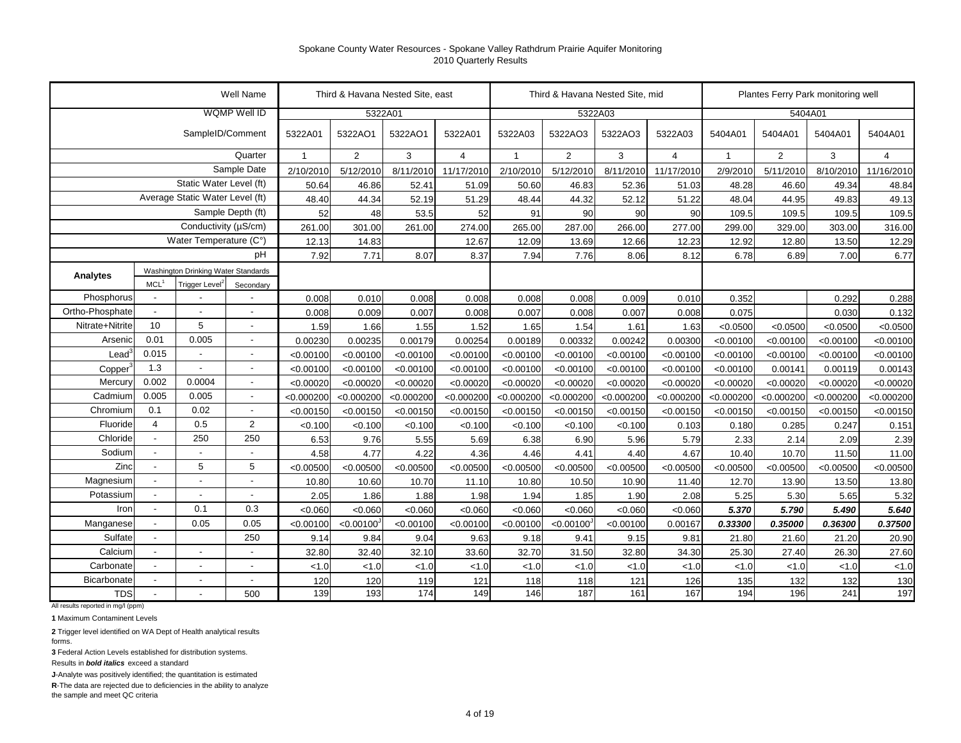|                     |                          |                                     | Well Name                |              |                | Third & Havana Nested Site, east |                |                | Third & Havana Nested Site, mid |            |                |              |                | Plantes Ferry Park monitoring well |            |
|---------------------|--------------------------|-------------------------------------|--------------------------|--------------|----------------|----------------------------------|----------------|----------------|---------------------------------|------------|----------------|--------------|----------------|------------------------------------|------------|
|                     |                          |                                     | WQMP Well ID             |              | 5322A01        |                                  |                |                |                                 | 5322A03    |                |              | 5404A01        |                                    |            |
|                     |                          | SampleID/Comment                    |                          | 5322A01      | 5322AO1        | 5322AO1                          | 5322A01        | 5322A03        | 5322AO3                         | 5322AO3    | 5322A03        | 5404A01      | 5404A01        | 5404A01                            | 5404A01    |
|                     |                          |                                     | Quarter                  | $\mathbf{1}$ | $\overline{2}$ | 3                                | $\overline{4}$ | $\overline{1}$ | $\overline{2}$                  | 3          | $\overline{4}$ | $\mathbf{1}$ | $\overline{2}$ | 3                                  | 4          |
|                     |                          |                                     | Sample Date              | 2/10/2010    | 5/12/2010      | 8/11/2010                        | 11/17/2010     | 2/10/2010      | 5/12/2010                       | 8/11/2010  | 11/17/2010     | 2/9/2010     | 5/11/2010      | 8/10/2010                          | 11/16/2010 |
|                     |                          | Static Water Level (ft)             |                          | 50.64        | 46.86          | 52.41                            | 51.09          | 50.60          | 46.83                           | 52.36      | 51.03          | 48.28        | 46.60          | 49.34                              | 48.84      |
|                     |                          | Average Static Water Level (ft)     |                          | 48.40        | 44.34          | 52.19                            | 51.29          | 48.44          | 44.32                           | 52.12      | 51.22          | 48.04        | 44.95          | 49.83                              | 49.13      |
|                     |                          |                                     | Sample Depth (ft)        | 52           | 48             | 53.5                             | 52             | 91             | 90                              | 90         | 90             | 109.5        | 109.5          | 109.5                              | 109.5      |
|                     |                          | Conductivity (µS/cm)                |                          | 261.00       | 301.00         | 261.00                           | 274.00         | 265.00         | 287.00                          | 266.00     | 277.00         | 299.00       | 329.00         | 303.00                             | 316.00     |
|                     |                          | Water Temperature (C°)              |                          | 12.13        | 14.83          |                                  | 12.67          | 12.09          | 13.69                           | 12.66      | 12.23          | 12.92        | 12.80          | 13.50                              | 12.29      |
|                     |                          |                                     | pH                       | 7.92         | 7.71           | 8.07                             | 8.37           | 7.94           | 7.76                            | 8.06       | 8.12           | 6.78         | 6.89           | 7.00                               | 6.77       |
| Analytes            |                          | Washington Drinking Water Standards |                          |              |                |                                  |                |                |                                 |            |                |              |                |                                    |            |
|                     | MCL <sup>1</sup>         | Trigger Level <sup>2</sup>          | Secondary                |              |                |                                  |                |                |                                 |            |                |              |                |                                    |            |
| Phosphorus          |                          |                                     |                          | 0.008        | 0.010          | 0.008                            | 0.008          | 0.008          | 0.008                           | 0.009      | 0.010          | 0.352        |                | 0.292                              | 0.288      |
| Ortho-Phosphate     | $\blacksquare$           |                                     | $\overline{\phantom{a}}$ | 0.008        | 0.009          | 0.007                            | 0.008          | 0.007          | 0.008                           | 0.007      | 0.008          | 0.075        |                | 0.030                              | 0.132      |
| Nitrate+Nitrite     | 10                       | 5                                   | $\overline{a}$           | 1.59         | 1.66           | 1.55                             | 1.52           | 1.65           | 1.54                            | 1.61       | 1.63           | < 0.0500     | < 0.0500       | < 0.0500                           | < 0.0500   |
| Arsenic             | 0.01                     | 0.005                               | $\overline{\phantom{a}}$ | 0.00230      | 0.00235        | 0.00179                          | 0.00254        | 0.00189        | 0.00332                         | 0.00242    | 0.00300        | < 0.00100    | < 0.00100      | < 0.00100                          | < 0.00100  |
| Lead                | 0.015                    | $\blacksquare$                      | $\overline{\phantom{a}}$ | < 0.00100    | < 0.00100      | < 0.00100                        | < 0.00100      | < 0.00100      | < 0.00100                       | < 0.00100  | < 0.00100      | < 0.00100    | < 0.00100      | < 0.00100                          | < 0.00100  |
| Copper <sup>®</sup> | 1.3                      | $\overline{\phantom{a}}$            | $\overline{\phantom{a}}$ | < 0.00100    | < 0.00100      | < 0.00100                        | < 0.00100      | < 0.00100      | < 0.00100                       | < 0.00100  | < 0.00100      | < 0.00100    | 0.00141        | 0.00119                            | 0.00143    |
| Mercury             | 0.002                    | 0.0004                              | $\overline{\phantom{a}}$ | < 0.00020    | < 0.00020      | < 0.00020                        | < 0.00020      | < 0.00020      | < 0.00020                       | < 0.00020  | < 0.00020      | < 0.00020    | < 0.00020      | < 0.00020                          | < 0.00020  |
| Cadmium             | 0.005                    | 0.005                               | $\sim$                   | < 0.000200   | < 0.000200     | < 0.000200                       | < 0.000200     | < 0.000200     | < 0.000200                      | < 0.000200 | < 0.000200     | < 0.000200   | < 0.000200     | < 0.000200                         | < 0.000200 |
| Chromium            | 0.1                      | 0.02                                | $\sim$                   | < 0.00150    | < 0.00150      | < 0.00150                        | < 0.00150      | < 0.00150      | < 0.00150                       | < 0.00150  | < 0.00150      | < 0.00150    | < 0.00150      | < 0.00150                          | < 0.00150  |
| Fluoride            | $\overline{4}$           | 0.5                                 | $\overline{2}$           | < 0.100      | < 0.100        | < 0.100                          | < 0.100        | < 0.100        | < 0.100                         | < 0.100    | 0.103          | 0.180        | 0.285          | 0.247                              | 0.151      |
| Chloride            | $\blacksquare$           | 250                                 | 250                      | 6.53         | 9.76           | 5.55                             | 5.69           | 6.38           | 6.90                            | 5.96       | 5.79           | 2.33         | 2.14           | 2.09                               | 2.39       |
| Sodium              | $\overline{\phantom{a}}$ |                                     | $\overline{\phantom{a}}$ | 4.58         | 4.77           | 4.22                             | 4.36           | 4.46           | 4.41                            | 4.40       | 4.67           | 10.40        | 10.70          | 11.50                              | 11.00      |
| Zinc                | $\overline{a}$           | 5                                   | 5                        | < 0.00500    | < 0.00500      | < 0.00500                        | < 0.00500      | < 0.00500      | < 0.00500                       | < 0.00500  | < 0.00500      | < 0.00500    | < 0.00500      | < 0.00500                          | < 0.00500  |
| Magnesium           | $\blacksquare$           |                                     | $\overline{a}$           | 10.80        | 10.60          | 10.70                            | 11.10          | 10.80          | 10.50                           | 10.90      | 11.40          | 12.70        | 13.90          | 13.50                              | 13.80      |
| Potassium           | $\overline{\phantom{a}}$ |                                     | $\overline{\phantom{a}}$ | 2.05         | 1.86           | 1.88                             | 1.98           | 1.94           | 1.85                            | 1.90       | 2.08           | 5.25         | 5.30           | 5.65                               | 5.32       |
| Iron                | $\overline{\phantom{a}}$ | 0.1                                 | 0.3                      | < 0.060      | < 0.060        | < 0.060                          | < 0.060        | < 0.060        | < 0.060                         | < 0.060    | < 0.060        | 5.370        | 5.790          | 5.490                              | 5.640      |
| Manganese           | $\blacksquare$           | 0.05                                | 0.05                     | < 0.00100    | <0.00100       | < 0.00100                        | < 0.00100      | < 0.00100      | < 0.00100                       | < 0.00100  | 0.00167        | 0.33300      | 0.35000        | 0.36300                            | 0.37500    |
| Sulfate             | $\blacksquare$           |                                     | 250                      | 9.14         | 9.84           | 9.04                             | 9.63           | 9.18           | 9.41                            | 9.15       | 9.81           | 21.80        | 21.60          | 21.20                              | 20.90      |
| Calcium             | $\blacksquare$           | ÷,                                  | $\overline{\phantom{a}}$ | 32.80        | 32.40          | 32.10                            | 33.60          | 32.70          | 31.50                           | 32.80      | 34.30          | 25.30        | 27.40          | 26.30                              | 27.60      |
| Carbonate           | $\sim$                   | $\overline{a}$                      | $\overline{\phantom{a}}$ | < 1.0        | < 1.0          | < 1.0                            | < 1.0          | < 1.0          | < 1.0                           | < 1.0      | < 1.0          | < 1.0        | < 1.0          | < 1.0                              | 1.0        |
| Bicarbonate         |                          | $\overline{a}$                      | $\overline{\phantom{a}}$ | 120          | 120            | 119                              | 121            | 118            | 118                             | 121        | 126            | 135          | 132            | 132                                | 130        |
| <b>TDS</b>          |                          |                                     | 500                      | 139          | 193            | 174                              | 149            | 146            | 187                             | 161        | 167            | 194          | 196            | 241                                | 197        |

All results reported in mg/l (ppm)

**1** Maximum Contaminent Levels

**2** Trigger level identified on WA Dept of Health analytical results forms.

**3** Federal Action Levels established for distribution systems.

Results in *bold italics* exceed a standard

**J**-Analyte was positively identified; the quantitation is estimated

**R**-The data are rejected due to deficiencies in the ability to analyze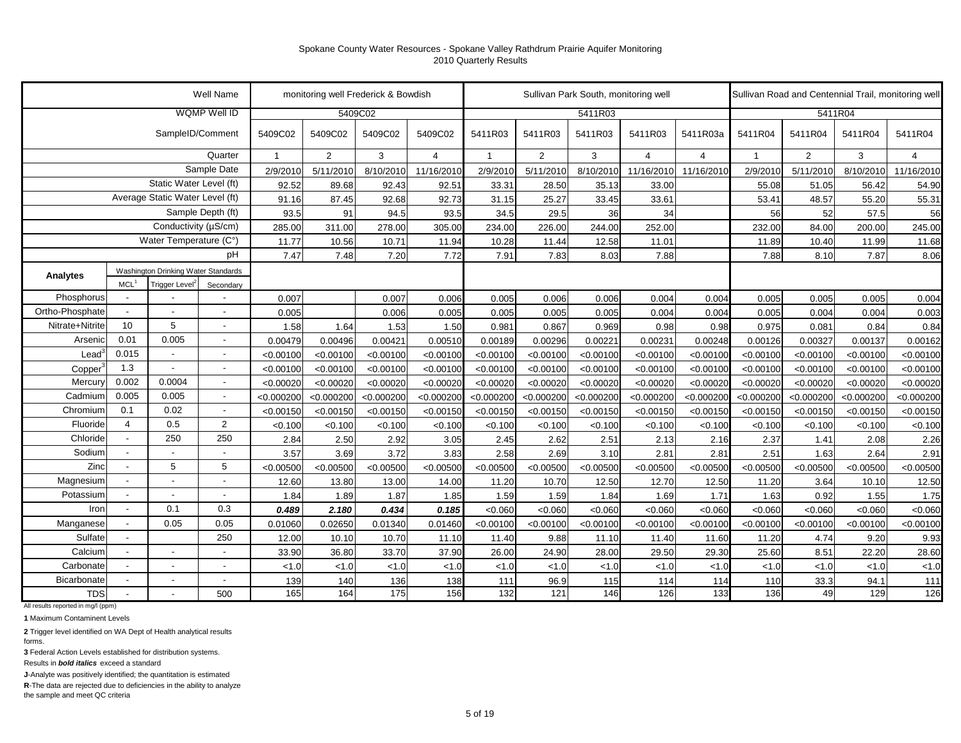|                   |                          |                                     | Well Name                |              | monitoring well Frederick & Bowdish |            |                |              |                | Sullivan Park South, monitoring well |                |                |                | Sullivan Road and Centennial Trail, monitoring well |            |                |
|-------------------|--------------------------|-------------------------------------|--------------------------|--------------|-------------------------------------|------------|----------------|--------------|----------------|--------------------------------------|----------------|----------------|----------------|-----------------------------------------------------|------------|----------------|
|                   |                          |                                     | <b>WQMP Well ID</b>      |              |                                     | 5409C02    |                |              |                | 5411R03                              |                |                |                |                                                     | 5411R04    |                |
|                   |                          | SampleID/Comment                    |                          | 5409C02      | 5409C02                             | 5409C02    | 5409C02        | 5411R03      | 5411R03        | 5411R03                              | 5411R03        | 5411R03a       | 5411R04        | 5411R04                                             | 5411R04    | 5411R04        |
|                   |                          |                                     | Quarter                  | $\mathbf{1}$ | $\overline{2}$                      | 3          | $\overline{4}$ | $\mathbf{1}$ | $\overline{2}$ | 3                                    | $\overline{4}$ | $\overline{4}$ | $\overline{1}$ | $\overline{2}$                                      | 3          | $\overline{4}$ |
|                   |                          |                                     | Sample Date              | 2/9/2010     | 5/11/2010                           | 8/10/2010  | 11/16/2010     | 2/9/2010     | 5/11/2010      | 8/10/2010                            | 11/16/2010     | 11/16/2010     | 2/9/2010       | 5/11/2010                                           | 8/10/2010  | 11/16/2010     |
|                   |                          | Static Water Level (ft)             |                          | 92.52        | 89.68                               | 92.43      | 92.51          | 33.31        | 28.50          | 35.13                                | 33.00          |                | 55.08          | 51.05                                               | 56.42      | 54.90          |
|                   |                          | Average Static Water Level (ft)     |                          | 91.16        | 87.45                               | 92.68      | 92.73          | 31.15        | 25.27          | 33.45                                | 33.61          |                | 53.41          | 48.57                                               | 55.20      | 55.31          |
|                   |                          |                                     | Sample Depth (ft)        | 93.5         | 91                                  | 94.5       | 93.5           | 34.5         | 29.5           | 36                                   | 34             |                | 56             | 52                                                  | 57.5       | 56             |
|                   |                          | Conductivity (µS/cm)                |                          | 285.00       | 311.00                              | 278.00     | 305.00         | 234.00       | 226.00         | 244.00                               | 252.00         |                | 232.00         | 84.00                                               | 200.00     | 245.00         |
|                   |                          | Water Temperature (C°)              |                          | 11.77        | 10.56                               | 10.71      | 11.94          | 10.28        | 11.44          | 12.58                                | 11.01          |                | 11.89          | 10.40                                               | 11.99      | 11.68          |
|                   |                          |                                     | рH                       | 7.47         | 7.48                                | 7.20       | 7.72           | 7.91         | 7.83           | 8.03                                 | 7.88           |                | 7.88           | 8.10                                                | 7.87       | 8.06           |
| Analytes          |                          | Washington Drinking Water Standards |                          |              |                                     |            |                |              |                |                                      |                |                |                |                                                     |            |                |
|                   | MCL <sup>1</sup>         | Trigger Level                       | Secondary                |              |                                     |            |                |              |                |                                      |                |                |                |                                                     |            |                |
| Phosphorus        |                          |                                     |                          | 0.007        |                                     | 0.007      | 0.006          | 0.005        | 0.006          | 0.006                                | 0.004          | 0.004          | 0.005          | 0.005                                               | 0.005      | 0.004          |
| Ortho-Phosphate   |                          |                                     | $\overline{\phantom{a}}$ | 0.005        |                                     | 0.006      | 0.005          | 0.005        | 0.005          | 0.005                                | 0.004          | 0.004          | 0.005          | 0.004                                               | 0.004      | 0.003          |
| Nitrate+Nitrite   | 10                       | 5                                   | $\overline{\phantom{a}}$ | 1.58         | 1.64                                | 1.53       | 1.50           | 0.981        | 0.867          | 0.969                                | 0.98           | 0.98           | 0.975          | 0.081                                               | 0.84       | 0.84           |
| Arsenic           | 0.01                     | 0.005                               | $\overline{\phantom{a}}$ | 0.00479      | 0.00496                             | 0.00421    | 0.00510        | 0.00189      | 0.00296        | 0.00221                              | 0.00231        | 0.00248        | 0.00126        | 0.00327                                             | 0.00137    | 0.00162        |
| $\textsf{lead}^3$ | 0.015                    |                                     | $\overline{\phantom{a}}$ | < 0.00100    | < 0.00100                           | < 0.00100  | < 0.00100      | < 0.00100    | < 0.00100      | < 0.00100                            | < 0.00100      | < 0.00100      | < 0.00100      | < 0.00100                                           | < 0.00100  | < 0.00100      |
| Copper            | 1.3                      | $\blacksquare$                      | $\overline{\phantom{a}}$ | < 0.00100    | < 0.00100                           | < 0.00100  | < 0.00100      | < 0.00100    | < 0.00100      | < 0.00100                            | < 0.00100      | < 0.00100      | < 0.00100      | < 0.00100                                           | < 0.00100  | < 0.00100      |
| Mercury           | 0.002                    | 0.0004                              | $\overline{\phantom{a}}$ | < 0.00020    | < 0.00020                           | < 0.00020  | < 0.00020      | < 0.00020    | < 0.00020      | < 0.00020                            | < 0.00020      | < 0.00020      | < 0.00020      | < 0.00020                                           | < 0.00020  | < 0.00020      |
| Cadmium           | 0.005                    | 0.005                               | $\overline{\phantom{a}}$ | < 0.000200   | < 0.000200                          | < 0.000200 | < 0.000200     | < 0.000200   | < 0.000200     | < 0.000200                           | < 0.000200     | < 0.000200     | < 0.000200     | < 0.000200                                          | < 0.000200 | < 0.000200     |
| Chromium          | 0.1                      | 0.02                                | $\overline{\phantom{a}}$ | < 0.00150    | < 0.00150                           | < 0.00150  | < 0.00150      | < 0.00150    | < 0.00150      | < 0.00150                            | < 0.00150      | < 0.00150      | < 0.00150      | < 0.00150                                           | < 0.00150  | < 0.00150      |
| Fluoride          | $\overline{4}$           | 0.5                                 | 2                        | < 0.100      | < 0.100                             | < 0.100    | < 0.100        | < 0.100      | < 0.100        | < 0.100                              | < 0.100        | < 0.100        | < 0.100        | < 0.100                                             | < 0.100    | < 0.100        |
| Chloride          |                          | 250                                 | 250                      | 2.84         | 2.50                                | 2.92       | 3.05           | 2.45         | 2.62           | 2.51                                 | 2.13           | 2.16           | 2.37           | 1.41                                                | 2.08       | 2.26           |
| Sodium            |                          | $\blacksquare$                      | $\overline{\phantom{a}}$ | 3.57         | 3.69                                | 3.72       | 3.83           | 2.58         | 2.69           | 3.10                                 | 2.81           | 2.81           | 2.51           | 1.63                                                | 2.64       | 2.91           |
| Zinc              | $\overline{\phantom{a}}$ | 5                                   | 5                        | < 0.00500    | < 0.00500                           | < 0.00500  | < 0.00500      | < 0.00500    | < 0.00500      | < 0.00500                            | < 0.00500      | < 0.00500      | < 0.00500      | < 0.00500                                           | < 0.00500  | < 0.00500      |
| Magnesium         |                          | $\overline{\phantom{a}}$            | $\overline{\phantom{a}}$ | 12.60        | 13.80                               | 13.00      | 14.00          | 11.20        | 10.70          | 12.50                                | 12.70          | 12.50          | 11.20          | 3.64                                                | 10.10      | 12.50          |
| Potassium         |                          | $\overline{a}$                      | $\sim$                   | 1.84         | 1.89                                | 1.87       | 1.85           | 1.59         | 1.59           | 1.84                                 | 1.69           | 1.71           | 1.63           | 0.92                                                | 1.55       | 1.75           |
| Iron              | $\blacksquare$           | 0.1                                 | 0.3                      | 0.489        | 2.180                               | 0.434      | 0.185          | < 0.060      | < 0.060        | < 0.060                              | < 0.060        | < 0.060        | < 0.060        | < 0.060                                             | < 0.060    | < 0.060        |
| Manganese         |                          | 0.05                                | 0.05                     | 0.01060      | 0.02650                             | 0.01340    | 0.01460        | < 0.00100    | < 0.00100      | < 0.00100                            | < 0.00100      | < 0.00100      | < 0.00100      | < 0.00100                                           | < 0.00100  | < 0.00100      |
| Sulfate           |                          |                                     | 250                      | 12.00        | 10.10                               | 10.70      | 11.10          | 11.40        | 9.88           | 11.10                                | 11.40          | 11.60          | 11.20          | 4.74                                                | 9.20       | 9.93           |
| Calcium           | $\overline{\phantom{a}}$ | $\overline{\phantom{a}}$            | $\overline{\phantom{a}}$ | 33.90        | 36.80                               | 33.70      | 37.90          | 26.00        | 24.90          | 28.00                                | 29.50          | 29.30          | 25.60          | 8.51                                                | 22.20      | 28.60          |
| Carbonate         | $\blacksquare$           | $\overline{\phantom{a}}$            | $\sim$                   | < 1.0        | < 1.0                               | < 1.0      | < 1.0          | < 1.0        | < 1.0          | < 1.0                                | < 1.0          | 1.0            | < 1.0          | < 1.0                                               | < 1.0      | < 1.0          |
| Bicarbonate       |                          | $\blacksquare$                      | $\sim$                   | 139          | 140                                 | 136        | 138            | 111          | 96.9           | 115                                  | 114            | 114            | 110            | 33.3                                                | 94.1       | 111            |
| <b>TDS</b>        | $\blacksquare$           |                                     | 500                      | 165          | 164                                 | 175        | 156            | 132          | 121            | 146                                  | 126            | 133            | 136            | 49                                                  | 129        | 126            |

All results reported in mg/l (ppm)

**1** Maximum Contaminent Levels

**2** Trigger level identified on WA Dept of Health analytical results

forms. **3** Federal Action Levels established for distribution systems.

Results in *bold italics* exceed a standard

**J**-Analyte was positively identified; the quantitation is estimated

**R**-The data are rejected due to deficiencies in the ability to analyze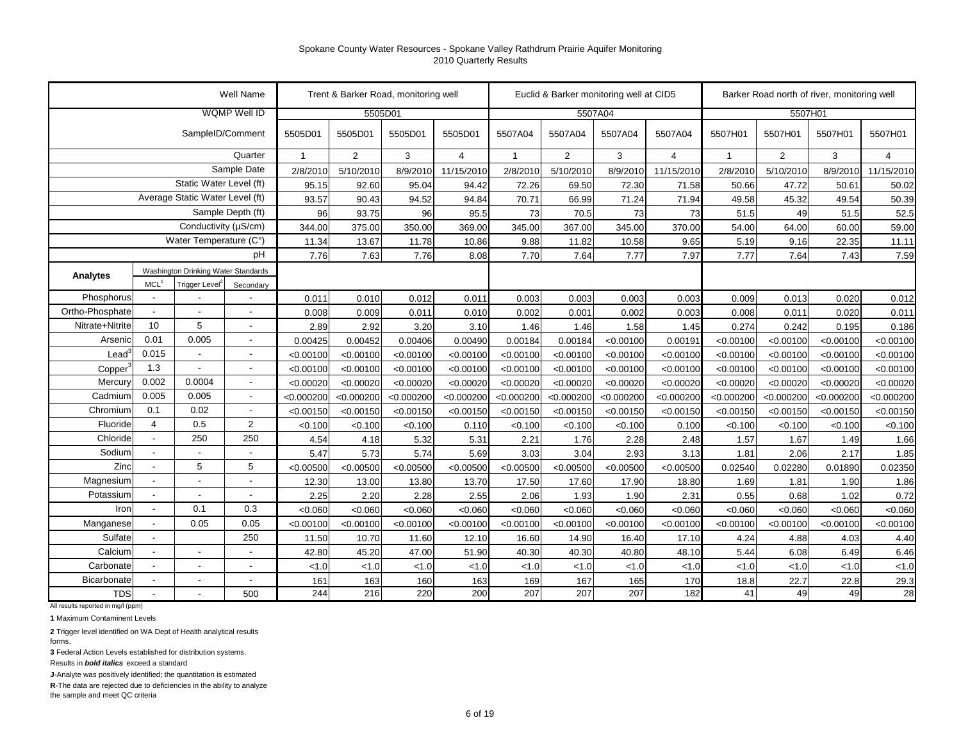|                 |                          |                                     | Well Name                |              |                | Trent & Barker Road, monitoring well |                |                |                | Euclid & Barker monitoring well at CID5 |                |              | Barker Road north of river, monitoring well |            |            |
|-----------------|--------------------------|-------------------------------------|--------------------------|--------------|----------------|--------------------------------------|----------------|----------------|----------------|-----------------------------------------|----------------|--------------|---------------------------------------------|------------|------------|
|                 |                          |                                     | WQMP Well ID             |              |                | 5505D01                              |                |                |                | 5507A04                                 |                |              | 5507H01                                     |            |            |
|                 |                          | SampleID/Comment                    |                          | 5505D01      | 5505D01        | 5505D01                              | 5505D01        | 5507A04        | 5507A04        | 5507A04                                 | 5507A04        | 5507H01      | 5507H01                                     | 5507H01    | 5507H01    |
|                 |                          |                                     | Quarter                  | $\mathbf{1}$ | $\overline{2}$ | 3                                    | $\overline{4}$ | $\overline{1}$ | $\overline{2}$ | 3                                       | $\overline{4}$ | $\mathbf{1}$ | $\overline{2}$                              | 3          | 4          |
|                 |                          |                                     | Sample Date              | 2/8/2010     | 5/10/2010      | 8/9/2010                             | 11/15/2010     | 2/8/2010       | 5/10/2010      | 8/9/2010                                | 11/15/2010     | 2/8/2010     | 5/10/2010                                   | 8/9/2010   | 11/15/2010 |
|                 |                          | Static Water Level (ft)             |                          | 95.15        | 92.60          | 95.04                                | 94.42          | 72.26          | 69.50          | 72.30                                   | 71.58          | 50.66        | 47.72                                       | 50.61      | 50.02      |
|                 |                          | Average Static Water Level (ft)     |                          | 93.57        | 90.43          | 94.52                                | 94.84          | 70.71          | 66.99          | 71.24                                   | 71.94          | 49.58        | 45.32                                       | 49.54      | 50.39      |
|                 |                          |                                     | Sample Depth (ft)        | 96           | 93.75          | 96                                   | 95.5           | 73             | 70.5           | 73                                      | 73             | 51.5         | 49                                          | 51.5       | 52.5       |
|                 |                          | Conductivity (µS/cm)                |                          | 344.00       | 375.00         | 350.00                               | 369.00         | 345.00         | 367.00         | 345.00                                  | 370.00         | 54.00        | 64.00                                       | 60.00      | 59.00      |
|                 |                          | Water Temperature (C°)              |                          | 11.34        | 13.67          | 11.78                                | 10.86          | 9.88           | 11.82          | 10.58                                   | 9.65           | 5.19         | 9.16                                        | 22.35      | 11.11      |
|                 |                          |                                     | рH                       | 7.76         | 7.63           | 7.76                                 | 8.08           | 7.70           | 7.64           | 7.77                                    | 7.97           | 7.77         | 7.64                                        | 7.43       | 7.59       |
| Analytes        |                          | Washington Drinking Water Standards |                          |              |                |                                      |                |                |                |                                         |                |              |                                             |            |            |
|                 | MCL <sup>1</sup>         | Trigger Level <sup>2</sup>          | Secondary                |              |                |                                      |                |                |                |                                         |                |              |                                             |            |            |
| Phosphorus      |                          |                                     |                          | 0.011        | 0.010          | 0.012                                | 0.011          | 0.003          | 0.003          | 0.003                                   | 0.003          | 0.009        | 0.013                                       | 0.020      | 0.012      |
| Ortho-Phosphate |                          |                                     | $\overline{\phantom{a}}$ | 0.008        | 0.009          | 0.011                                | 0.010          | 0.002          | 0.001          | 0.002                                   | 0.003          | 0.008        | 0.011                                       | 0.020      | 0.011      |
| Nitrate+Nitrite | 10                       | 5                                   | $\overline{a}$           | 2.89         | 2.92           | 3.20                                 | 3.10           | 1.46           | 1.46           | 1.58                                    | 1.45           | 0.274        | 0.242                                       | 0.195      | 0.186      |
| Arsenio         | 0.01                     | 0.005                               | $\overline{\phantom{a}}$ | 0.00425      | 0.00452        | 0.00406                              | 0.00490        | 0.00184        | 0.00184        | < 0.00100                               | 0.00191        | < 0.00100    | < 0.00100                                   | < 0.00100  | < 0.00100  |
| Lead            | 0.015                    | $\overline{\phantom{a}}$            | $\overline{\phantom{a}}$ | < 0.00100    | < 0.00100      | < 0.00100                            | < 0.00100      | < 0.00100      | < 0.00100      | < 0.00100                               | < 0.00100      | < 0.00100    | < 0.00100                                   | < 0.00100  | < 0.00100  |
| Copper          | 1.3                      | $\overline{\phantom{a}}$            | $\overline{\phantom{a}}$ | < 0.00100    | < 0.00100      | < 0.00100                            | < 0.00100      | < 0.00100      | < 0.00100      | < 0.00100                               | < 0.00100      | < 0.00100    | < 0.00100                                   | < 0.00100  | < 0.00100  |
| Mercury         | 0.002                    | 0.0004                              | $\overline{\phantom{a}}$ | < 0.00020    | < 0.00020      | < 0.00020                            | < 0.00020      | < 0.00020      | < 0.00020      | < 0.00020                               | < 0.00020      | < 0.00020    | < 0.00020                                   | < 0.00020  | < 0.00020  |
| Cadmium         | 0.005                    | 0.005                               | $\overline{\phantom{a}}$ | < 0.000200   | < 0.000200     | < 0.000200                           | < 0.000200     | < 0.000200     | < 0.000200     | < 0.000200                              | < 0.000200     | < 0.000200   | < 0.000200                                  | < 0.000200 | < 0.000200 |
| Chromium        | 0.1                      | 0.02                                | $\overline{\phantom{a}}$ | < 0.00150    | < 0.00150      | < 0.00150                            | < 0.00150      | < 0.00150      | < 0.00150      | < 0.00150                               | < 0.00150      | < 0.00150    | < 0.00150                                   | < 0.00150  | < 0.00150  |
| Fluoride        | 4                        | 0.5                                 | 2                        | < 0.100      | < 0.100        | < 0.100                              | 0.110          | < 0.100        | < 0.100        | < 0.100                                 | 0.100          | < 0.100      | < 0.100                                     | < 0.100    | < 0.100    |
| Chloride        |                          | 250                                 | 250                      | 4.54         | 4.18           | 5.32                                 | 5.31           | 2.21           | 1.76           | 2.28                                    | 2.48           | 1.57         | 1.67                                        | 1.49       | 1.66       |
| Sodium          |                          | $\overline{\phantom{a}}$            | $\overline{\phantom{a}}$ | 5.47         | 5.73           | 5.74                                 | 5.69           | 3.03           | 3.04           | 2.93                                    | 3.13           | 1.81         | 2.06                                        | 2.17       | 1.85       |
| Zinc            |                          | 5                                   | 5                        | < 0.00500    | < 0.00500      | < 0.00500                            | < 0.00500      | < 0.00500      | < 0.00500      | < 0.00500                               | < 0.00500      | 0.02540      | 0.02280                                     | 0.01890    | 0.02350    |
| Magnesium       |                          |                                     | $\overline{a}$           | 12.30        | 13.00          | 13.80                                | 13.70          | 17.50          | 17.60          | 17.90                                   | 18.80          | 1.69         | 1.81                                        | 1.90       | 1.86       |
| Potassium       | $\overline{\phantom{a}}$ | $\overline{\phantom{a}}$            | $\overline{\phantom{a}}$ | 2.25         | 2.20           | 2.28                                 | 2.55           | 2.06           | 1.93           | 1.90                                    | 2.31           | 0.55         | 0.68                                        | 1.02       | 0.72       |
| Iron            | $\sim$                   | 0.1                                 | 0.3                      | < 0.060      | < 0.060        | < 0.060                              | < 0.060        | < 0.060        | < 0.060        | < 0.060                                 | < 0.060        | < 0.060      | < 0.060                                     | < 0.060    | < 0.060    |
| Manganese       | $\sim$                   | 0.05                                | 0.05                     | < 0.00100    | < 0.00100      | < 0.00100                            | < 0.00100      | < 0.00100      | < 0.00100      | < 0.00100                               | < 0.00100      | < 0.00100    | < 0.00100                                   | < 0.00100  | < 0.00100  |
| Sulfate         | $\blacksquare$           |                                     | 250                      | 11.50        | 10.70          | 11.60                                | 12.10          | 16.60          | 14.90          | 16.40                                   | 17.10          | 4.24         | 4.88                                        | 4.03       | 4.40       |
| Calcium         | $\sim$                   | $\overline{\phantom{a}}$            | $\overline{a}$           | 42.80        | 45.20          | 47.00                                | 51.90          | 40.30          | 40.30          | 40.80                                   | 48.10          | 5.44         | 6.08                                        | 6.49       | 6.46       |
| Carbonate       |                          | $\overline{\phantom{a}}$            | $\overline{a}$           | < 1.0        | < 1.0          | < 1.0                                | < 1.0          | < 1.0          | < 1.0          | < 1.0                                   | < 1.0          | < 1.0        | 1.0                                         | 1.0        | < 1.0      |
| Bicarbonate     |                          |                                     | $\blacksquare$           | 161          | 163            | 160                                  | 163            | 169            | 167            | 165                                     | 170            | 18.8         | 22.7                                        | 22.8       | 29.3       |
| <b>TDS</b>      |                          |                                     | 500                      | 244          | 216            | 220                                  | 200            | 207            | 207            | 207                                     | 182            | 41           | 49                                          | 49         | 28         |

All results reported in mg/l (ppm)

**1** Maximum Contaminent Levels

**2** Trigger level identified on WA Dept of Health analytical results forms.

**3** Federal Action Levels established for distribution systems.

Results in *bold italics* exceed a standard

**J**-Analyte was positively identified; the quantitation is estimated

**R**-The data are rejected due to deficiencies in the ability to analyze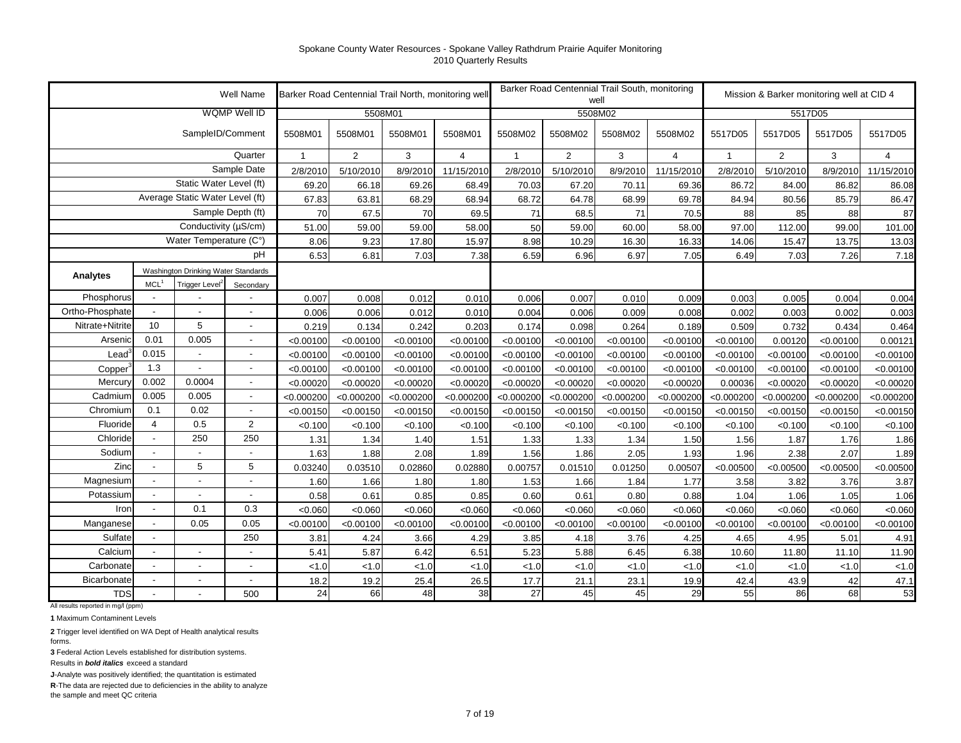|                 |                          |                                     | Well Name                | Barker Road Centennial Trail North, monitoring well |                |            |                |                |                | Barker Road Centennial Trail South, monitoring<br>well |                |              |                | Mission & Barker monitoring well at CID 4 |                |
|-----------------|--------------------------|-------------------------------------|--------------------------|-----------------------------------------------------|----------------|------------|----------------|----------------|----------------|--------------------------------------------------------|----------------|--------------|----------------|-------------------------------------------|----------------|
|                 |                          |                                     | WQMP Well ID             |                                                     | 5508M01        |            |                |                |                | 5508M02                                                |                |              |                | 5517D05                                   |                |
|                 |                          | SampleID/Comment                    |                          | 5508M01                                             | 5508M01        | 5508M01    | 5508M01        | 5508M02        | 5508M02        | 5508M02                                                | 5508M02        | 5517D05      | 5517D05        | 5517D05                                   | 5517D05        |
|                 |                          |                                     | Quarter                  | $\overline{1}$                                      | $\overline{2}$ | 3          | $\overline{4}$ | $\overline{1}$ | $\overline{2}$ | 3                                                      | $\overline{4}$ | $\mathbf{1}$ | $\overline{2}$ | 3                                         | $\overline{4}$ |
|                 |                          |                                     | Sample Date              | 2/8/2010                                            | 5/10/2010      | 8/9/2010   | 11/15/2010     | 2/8/2010       | 5/10/2010      | 8/9/2010                                               | 11/15/2010     | 2/8/2010     | 5/10/2010      | 8/9/2010                                  | 11/15/2010     |
|                 |                          | Static Water Level (ft)             |                          | 69.20                                               | 66.18          | 69.26      | 68.49          | 70.03          | 67.20          | 70.11                                                  | 69.36          | 86.72        | 84.00          | 86.82                                     | 86.08          |
|                 |                          | Average Static Water Level (ft)     |                          | 67.83                                               | 63.81          | 68.29      | 68.94          | 68.72          | 64.78          | 68.99                                                  | 69.78          | 84.94        | 80.56          | 85.79                                     | 86.47          |
|                 |                          |                                     | Sample Depth (ft)        | 70                                                  | 67.5           | 70         | 69.5           | 71             | 68.5           | 71                                                     | 70.5           | 88           | 85             | 88                                        | 87             |
|                 |                          | Conductivity (µS/cm)                |                          | 51.00                                               | 59.00          | 59.00      | 58.00          | 50             | 59.00          | 60.00                                                  | 58.00          | 97.00        | 112.00         | 99.00                                     | 101.00         |
|                 |                          | Water Temperature (C°)              |                          | 8.06                                                | 9.23           | 17.80      | 15.97          | 8.98           | 10.29          | 16.30                                                  | 16.33          | 14.06        | 15.47          | 13.75                                     | 13.03          |
|                 |                          |                                     | pH                       | 6.53                                                | 6.81           | 7.03       | 7.38           | 6.59           | 6.96           | 6.97                                                   | 7.05           | 6.49         | 7.03           | 7.26                                      | 7.18           |
| Analytes        |                          | Washington Drinking Water Standards |                          |                                                     |                |            |                |                |                |                                                        |                |              |                |                                           |                |
|                 | MCL <sup>1</sup>         | Trigger Level <sup>2</sup>          | Secondary                |                                                     |                |            |                |                |                |                                                        |                |              |                |                                           |                |
| Phosphorus      |                          |                                     |                          | 0.007                                               | 0.008          | 0.012      | 0.010          | 0.006          | 0.007          | 0.010                                                  | 0.009          | 0.003        | 0.005          | 0.004                                     | 0.004          |
| Ortho-Phosphate | $\blacksquare$           |                                     |                          | 0.006                                               | 0.006          | 0.012      | 0.010          | 0.004          | 0.006          | 0.009                                                  | 0.008          | 0.002        | 0.003          | 0.002                                     | 0.003          |
| Nitrate+Nitrite | 10                       | 5                                   |                          | 0.219                                               | 0.134          | 0.242      | 0.203          | 0.174          | 0.098          | 0.264                                                  | 0.189          | 0.509        | 0.732          | 0.434                                     | 0.464          |
| Arsenic         | 0.01                     | 0.005                               |                          | < 0.00100                                           | < 0.00100      | < 0.00100  | < 0.00100      | < 0.00100      | < 0.00100      | < 0.00100                                              | < 0.00100      | < 0.00100    | 0.00120        | < 0.00100                                 | 0.00121        |
| $\text{Lead}^3$ | 0.015                    |                                     | $\blacksquare$           | < 0.00100                                           | < 0.00100      | < 0.00100  | < 0.00100      | < 0.00100      | < 0.00100      | < 0.00100                                              | < 0.00100      | < 0.00100    | < 0.00100      | < 0.00100                                 | < 0.00100      |
| Copper          | 1.3                      |                                     |                          | < 0.00100                                           | < 0.00100      | < 0.00100  | < 0.00100      | < 0.00100      | < 0.00100      | < 0.00100                                              | < 0.00100      | < 0.00100    | < 0.00100      | < 0.00100                                 | < 0.00100      |
| <b>Mercury</b>  | 0.002                    | 0.0004                              | $\overline{\phantom{a}}$ | < 0.00020                                           | < 0.00020      | < 0.00020  | < 0.00020      | < 0.00020      | < 0.00020      | < 0.00020                                              | < 0.00020      | 0.00036      | < 0.00020      | < 0.00020                                 | < 0.00020      |
| Cadmium         | 0.005                    | 0.005                               | $\overline{\phantom{a}}$ | < 0.000200                                          | < 0.000200     | < 0.000200 | < 0.000200     | < 0.000200     | < 0.000200     | < 0.000200                                             | < 0.000200     | < 0.000200   | < 0.000200     | < 0.000200                                | < 0.000200     |
| Chromium        | 0.1                      | 0.02                                | $\blacksquare$           | < 0.00150                                           | < 0.00150      | < 0.00150  | < 0.00150      | < 0.00150      | < 0.00150      | < 0.00150                                              | < 0.00150      | < 0.00150    | < 0.00150      | < 0.00150                                 | < 0.00150      |
| Fluoride        | $\overline{4}$           | 0.5                                 | $\overline{2}$           | < 0.100                                             | < 0.100        | < 0.100    | < 0.100        | < 0.100        | < 0.100        | < 0.100                                                | < 0.100        | < 0.100      | < 0.100        | < 0.100                                   | < 0.100        |
| Chloride        | $\blacksquare$           | 250                                 | 250                      | 1.31                                                | 1.34           | 1.40       | 1.51           | 1.33           | 1.33           | 1.34                                                   | 1.50           | 1.56         | 1.87           | 1.76                                      | 1.86           |
| Sodium          | $\overline{\phantom{a}}$ |                                     | $\overline{\phantom{a}}$ | 1.63                                                | 1.88           | 2.08       | 1.89           | 1.56           | 1.86           | 2.05                                                   | 1.93           | 1.96         | 2.38           | 2.07                                      | 1.89           |
| Zinc            | $\blacksquare$           | 5                                   | 5                        | 0.03240                                             | 0.03510        | 0.02860    | 0.02880        | 0.00757        | 0.01510        | 0.01250                                                | 0.00507        | < 0.00500    | < 0.00500      | < 0.00500                                 | < 0.00500      |
| Magnesium       | $\blacksquare$           |                                     |                          | 1.60                                                | 1.66           | 1.80       | 1.80           | 1.53           | 1.66           | 1.84                                                   | 1.77           | 3.58         | 3.82           | 3.76                                      | 3.87           |
| Potassium       |                          |                                     | $\sim$                   | 0.58                                                | 0.61           | 0.85       | 0.85           | 0.60           | 0.61           | 0.80                                                   | 0.88           | 1.04         | 1.06           | 1.05                                      | 1.06           |
| Iron            | $\overline{a}$           | 0.1                                 | 0.3                      | < 0.060                                             | < 0.060        | < 0.060    | < 0.060        | < 0.060        | < 0.060        | < 0.060                                                | < 0.060        | < 0.060      | < 0.060        | < 0.060                                   | < 0.060        |
| Manganese       |                          | 0.05                                | 0.05                     | < 0.00100                                           | < 0.00100      | < 0.00100  | < 0.00100      | < 0.00100      | < 0.00100      | < 0.00100                                              | < 0.00100      | < 0.00100    | < 0.00100      | < 0.00100                                 | < 0.00100      |
| Sulfate         | $\blacksquare$           |                                     | 250                      | 3.81                                                | 4.24           | 3.66       | 4.29           | 3.85           | 4.18           | 3.76                                                   | 4.25           | 4.65         | 4.95           | 5.01                                      | 4.91           |
| Calcium         | $\overline{\phantom{a}}$ | ٠                                   |                          | 5.41                                                | 5.87           | 6.42       | 6.51           | 5.23           | 5.88           | 6.45                                                   | 6.38           | 10.60        | 11.80          | 11.10                                     | 11.90          |
| Carbonate       |                          | $\overline{a}$                      |                          | < 1.0                                               | < 1.0          | < 1.0      | < 1.0          | 1.0            | 1.0            | < 1.0                                                  | < 1.0          | < 1.0        | < 1.0          | < 1.0                                     | < 1.0          |
| Bicarbonate     | $\overline{\phantom{a}}$ | $\overline{a}$                      | $\sim$                   | 18.2                                                | 19.2           | 25.4       | 26.5           | 17.7           | 21.1           | 23.1                                                   | 19.9           | 42.4         | 43.9           | 42                                        | 47.1           |
| <b>TDS</b>      |                          |                                     | 500                      | 24                                                  | 66             | 48         | 38             | 27             | 45             | 45                                                     | 29             | 55           | 86             | 68                                        | 53             |

All results reported in mg/l (ppm)

**1** Maximum Contaminent Levels

**2** Trigger level identified on WA Dept of Health analytical results forms.

**3** Federal Action Levels established for distribution systems.

Results in *bold italics* exceed a standard

**J**-Analyte was positively identified; the quantitation is estimated

**R**-The data are rejected due to deficiencies in the ability to analyze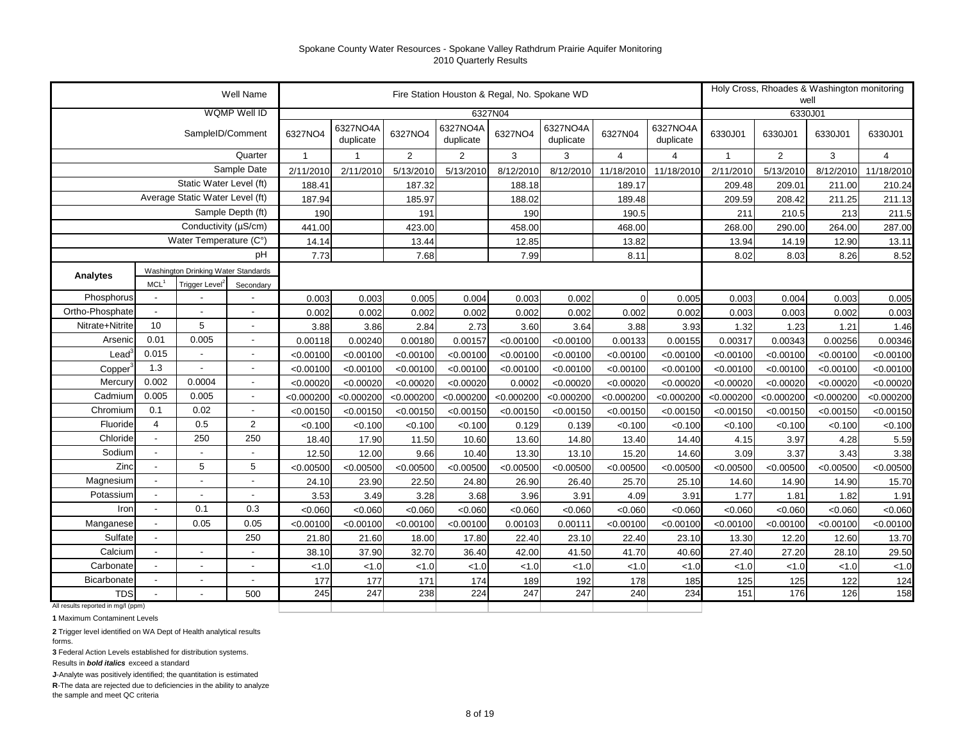|                                    |                            |                                     | Well Name                                                                                                  |                        |                         |                | Fire Station Houston & Regal, No. Spokane WD |            |                       |                |                       |              |                | Holy Cross, Rhoades & Washington monitoring<br>well |                 |
|------------------------------------|----------------------------|-------------------------------------|------------------------------------------------------------------------------------------------------------|------------------------|-------------------------|----------------|----------------------------------------------|------------|-----------------------|----------------|-----------------------|--------------|----------------|-----------------------------------------------------|-----------------|
|                                    |                            |                                     | WQMP Well ID                                                                                               |                        |                         |                |                                              | 6327N04    |                       |                |                       |              | 6330J01        |                                                     |                 |
|                                    |                            | SampleID/Comment                    |                                                                                                            | 6327NO4                | 6327NO4A<br>duplicate   | 6327NO4        | 6327NO4A<br>duplicate                        | 6327NO4    | 6327NO4A<br>duplicate | 6327N04        | 6327NO4A<br>duplicate | 6330J01      | 6330J01        | 6330J01                                             | 6330J01         |
|                                    |                            |                                     | Quarter                                                                                                    | $\overline{1}$         | $\overline{\mathbf{1}}$ | $\overline{2}$ | $\overline{2}$                               | 3          | 3                     | $\overline{4}$ | 4                     | $\mathbf{1}$ | $\overline{2}$ | 3                                                   | $\overline{4}$  |
|                                    |                            |                                     | Sample Date                                                                                                | 2/11/2010              | 2/11/2010               | 5/13/2010      | 5/13/2010                                    | 8/12/2010  | 8/12/2010             | 11/18/2010     | 11/18/2010            | 2/11/2010    | 5/13/2010      | 8/12/2010                                           | 11/18/2010      |
|                                    |                            | Static Water Level (ft)             |                                                                                                            | 188.41                 |                         | 187.32         |                                              | 188.18     |                       | 189.17         |                       | 209.48       | 209.01         | 211.00                                              | 210.24          |
|                                    |                            | Average Static Water Level (ft)     |                                                                                                            | 187.94                 |                         | 185.97         |                                              | 188.02     |                       | 189.48         |                       | 209.59       | 208.42         | 211.25                                              | 211.13          |
|                                    |                            |                                     | Sample Depth (ft)                                                                                          | 190                    |                         | 191            |                                              | 190        |                       | 190.5          |                       | 211          | 210.5          | 213                                                 | 211.5           |
|                                    |                            | Conductivity (µS/cm)                |                                                                                                            | 441.00                 |                         | 423.00         |                                              | 458.00     |                       | 468.00         |                       | 268.00       | 290.00         | 264.00                                              | 287.00          |
|                                    |                            | Water Temperature (C°)              |                                                                                                            | 14.14                  |                         | 13.44          |                                              | 12.85      |                       | 13.82          |                       | 13.94        | 14.19          | 12.90                                               | 13.11           |
|                                    |                            |                                     | рH                                                                                                         | 7.73                   |                         | 7.68           |                                              | 7.99       |                       | 8.11           |                       | 8.02         | 8.03           | 8.26                                                | 8.52            |
| Analytes                           |                            | Washington Drinking Water Standards |                                                                                                            |                        |                         |                |                                              |            |                       |                |                       |              |                |                                                     |                 |
| Phosphorus                         | MCL <sup>1</sup><br>$\sim$ | Trigger Level <sup>2</sup>          | Secondary                                                                                                  | 0.003                  |                         | 0.005          | 0.004                                        | 0.003      | 0.002                 | $\overline{0}$ | 0.005                 | 0.003        |                | 0.003                                               |                 |
| Ortho-Phosphate                    | $\blacksquare$             |                                     |                                                                                                            | 0.002                  | 0.003<br>0.002          | 0.002          | 0.002                                        | 0.002      | 0.002                 | 0.002          | 0.002                 | 0.003        | 0.004<br>0.003 | 0.002                                               | 0.005<br>0.003  |
| Nitrate+Nitrite                    | 10                         |                                     |                                                                                                            | 3.88                   | 3.86                    | 2.84           | 2.73                                         | 3.60       | 3.64                  | 3.88           | 3.93                  | 1.32         | 1.23           | 1.21                                                |                 |
| Arsenio                            | 0.01                       |                                     |                                                                                                            | 0.00118                | 0.00240                 | 0.00180        | 0.00157                                      | < 0.00100  | < 0.00100             | 0.00133        | 0.00155               | 0.00317      | 0.00343        | 0.00256                                             | 1.46<br>0.00346 |
| Lead                               | 0.015                      |                                     | ÷,<br>$\overline{a}$<br>5<br>$\overline{a}$<br>0.005<br>$\overline{a}$<br>$\blacksquare$<br>$\overline{a}$ |                        | < 0.00100               | < 0.00100      | < 0.00100                                    | < 0.00100  | < 0.00100             | < 0.00100      | < 0.00100             | < 0.00100    | < 0.00100      | < 0.00100                                           | < 0.00100       |
| Copper                             | 1.3                        | $\blacksquare$                      | ÷,                                                                                                         | < 0.00100<br>< 0.00100 | < 0.00100               | < 0.00100      | < 0.00100                                    | < 0.00100  | < 0.00100             | < 0.00100      | < 0.00100             | < 0.00100    | < 0.00100      | < 0.00100                                           | < 0.00100       |
| Mercury                            | 0.002                      | 0.0004                              | $\overline{a}$                                                                                             | < 0.00020              | < 0.00020               | < 0.00020      | < 0.00020                                    | 0.0002     | < 0.00020             | < 0.00020      | < 0.00020             | < 0.00020    | < 0.00020      | < 0.00020                                           | < 0.00020       |
| Cadmium                            | 0.005                      | 0.005                               | Ĭ.                                                                                                         | < 0.000200             | < 0.000200              | < 0.000200     | < 0.000200                                   | < 0.000200 | < 0.000200            | < 0.000200     | < 0.000200            | < 0.000200   | < 0.000200     | < 0.000200                                          | < 0.000200      |
| Chromium                           | 0.1                        | 0.02                                | Ĭ.                                                                                                         | < 0.00150              | < 0.00150               | < 0.00150      | < 0.00150                                    | < 0.00150  | < 0.00150             | < 0.00150      | < 0.00150             | < 0.00150    | < 0.00150      | < 0.00150                                           | < 0.00150       |
| Fluoride                           | $\overline{4}$             | 0.5                                 | $\overline{2}$                                                                                             | < 0.100                | < 0.100                 | < 0.100        | < 0.100                                      | 0.129      | 0.139                 | < 0.100        | < 0.100               | < 0.100      | < 0.100        | < 0.100                                             | < 0.100         |
| Chloride                           |                            | 250                                 | 250                                                                                                        | 18.40                  | 17.90                   | 11.50          | 10.60                                        | 13.60      | 14.80                 | 13.40          | 14.40                 | 4.15         | 3.97           | 4.28                                                | 5.59            |
| Sodium                             |                            |                                     | $\overline{a}$                                                                                             | 12.50                  | 12.00                   | 9.66           | 10.40                                        | 13.30      | 13.10                 | 15.20          | 14.60                 | 3.09         | 3.37           | 3.43                                                | 3.38            |
| Zinc                               | $\blacksquare$             | 5                                   | 5                                                                                                          | < 0.00500              | < 0.00500               | < 0.00500      | < 0.00500                                    | < 0.00500  | < 0.00500             | < 0.00500      | < 0.00500             | < 0.00500    | < 0.00500      | < 0.00500                                           | < 0.00500       |
| Magnesium                          |                            | $\blacksquare$                      | $\blacksquare$                                                                                             | 24.10                  | 23.90                   | 22.50          | 24.80                                        | 26.90      | 26.40                 | 25.70          | 25.10                 | 14.60        | 14.90          | 14.90                                               | 15.70           |
| Potassium                          |                            |                                     | $\overline{\phantom{a}}$                                                                                   | 3.53                   | 3.49                    | 3.28           | 3.68                                         | 3.96       | 3.91                  | 4.09           | 3.91                  | 1.77         | 1.81           | 1.82                                                | 1.91            |
| Iror                               | $\overline{\phantom{a}}$   | 0.1                                 | 0.3                                                                                                        | < 0.060                | < 0.060                 | < 0.060        | < 0.060                                      | < 0.060    | < 0.060               | < 0.060        | < 0.060               | < 0.060      | < 0.060        | < 0.060                                             | < 0.060         |
| Manganese                          |                            | 0.05                                | 0.05                                                                                                       | < 0.00100              | < 0.00100               | < 0.00100      | < 0.00100                                    | 0.00103    | 0.00111               | < 0.00100      | < 0.00100             | < 0.00100    | < 0.00100      | < 0.00100                                           | < 0.00100       |
| Sulfate                            | $\overline{\phantom{a}}$   |                                     | 250                                                                                                        | 21.80                  | 21.60                   | 18.00          | 17.80                                        | 22.40      | 23.10                 | 22.40          | 23.10                 | 13.30        | 12.20          | 12.60                                               | 13.70           |
| Calcium                            | $\overline{\phantom{a}}$   | $\overline{\phantom{a}}$            | $\overline{\phantom{a}}$                                                                                   | 38.10                  | 37.90                   | 32.70          | 36.40                                        | 42.00      | 41.50                 | 41.70          | 40.60                 | 27.40        | 27.20          | 28.10                                               | 29.50           |
| Carbonate                          |                            | $\overline{\phantom{a}}$            | $\overline{\phantom{a}}$                                                                                   | < 1.0                  | < 1.0                   | < 1.0          | < 1.0                                        | < 1.0      | < 1.0                 | < 1.0          | < 1.0                 | < 1.0        | < 1.0          | < 1.0                                               | < 1.0           |
| Bicarbonate                        |                            |                                     | $\overline{\phantom{a}}$                                                                                   | 177                    | 177                     | 171            | 174                                          | 189        | 192                   | 178            | 185                   | 125          | 125            | 122                                                 | 124             |
| TDS                                |                            |                                     | 500                                                                                                        | 245                    | 247                     | 238            | 224                                          | 247        | 247                   | 240            | 234                   | 151          | 176            | 126                                                 | 158             |
| All results reported in mg/l (ppm) |                            |                                     |                                                                                                            |                        |                         |                |                                              |            |                       |                |                       |              |                |                                                     |                 |

**1** Maximum Contaminent Levels

**2** Trigger level identified on WA Dept of Health analytical results forms.

**3** Federal Action Levels established for distribution systems.

Results in *bold italics* exceed a standard

**J**-Analyte was positively identified; the quantitation is estimated

**R**-The data are rejected due to deficiencies in the ability to analyze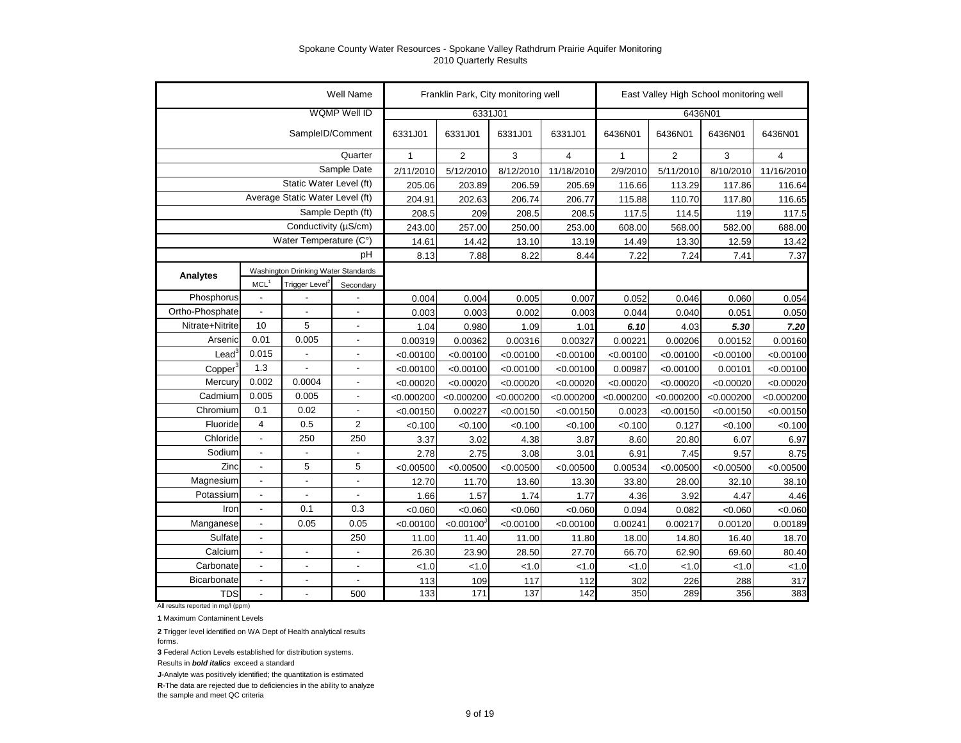|                    |                          |                                     | <b>Well Name</b>    |              | Franklin Park, City monitoring well |            |                |              |                | East Valley High School monitoring well |                |
|--------------------|--------------------------|-------------------------------------|---------------------|--------------|-------------------------------------|------------|----------------|--------------|----------------|-----------------------------------------|----------------|
|                    |                          |                                     | <b>WQMP Well ID</b> |              | 6331J01                             |            |                |              |                | 6436N01                                 |                |
|                    |                          | SampleID/Comment                    |                     | 6331J01      | 6331J01                             | 6331J01    | 6331J01        | 6436N01      | 6436N01        | 6436N01                                 | 6436N01        |
|                    |                          |                                     | Quarter             | $\mathbf{1}$ | $\overline{2}$                      | 3          | $\overline{4}$ | $\mathbf{1}$ | $\overline{2}$ | 3                                       | $\overline{4}$ |
|                    |                          |                                     | Sample Date         | 2/11/2010    | 5/12/2010                           | 8/12/2010  | 11/18/2010     | 2/9/2010     | 5/11/2010      | 8/10/2010                               | 11/16/2010     |
|                    |                          | Static Water Level (ft)             |                     | 205.06       | 203.89                              | 206.59     | 205.69         | 116.66       | 113.29         | 117.86                                  | 116.64         |
|                    |                          | Average Static Water Level (ft)     |                     | 204.91       | 202.63                              | 206.74     | 206.77         | 115.88       | 110.70         | 117.80                                  | 116.65         |
|                    |                          |                                     | Sample Depth (ft)   | 208.5        | 209                                 | 208.5      | 208.5          | 117.5        | 114.5          | 119                                     | 117.5          |
|                    |                          | Conductivity (µS/cm)                |                     | 243.00       | 257.00                              | 250.00     | 253.00         | 608.00       | 568.00         | 582.00                                  | 688.00         |
|                    |                          | Water Temperature (C°)              |                     | 14.61        | 14.42                               | 13.10      | 13.19          | 14.49        | 13.30          | 12.59                                   | 13.42          |
|                    |                          |                                     | рH                  | 8.13         | 7.88                                | 8.22       | 8.44           | 7.22         | 7.24           | 7.41                                    | 7.37           |
| Analytes           |                          | Washington Drinking Water Standards |                     |              |                                     |            |                |              |                |                                         |                |
|                    | MCL <sup>1</sup>         | Trigger Level <sup>2</sup>          | Secondary           |              |                                     |            |                |              |                |                                         |                |
| Phosphorus         | $\blacksquare$           |                                     |                     | 0.004        | 0.004                               | 0.005      | 0.007          | 0.052        | 0.046          | 0.060                                   | 0.054          |
| Ortho-Phosphate    | $\blacksquare$           |                                     | $\overline{a}$      | 0.003        | 0.003                               | 0.002      | 0.003          | 0.044        | 0.040          | 0.051                                   | 0.050          |
| Nitrate+Nitrite    | 10                       | 5                                   | $\overline{a}$      | 1.04         | 0.980                               | 1.09       | 1.01           | 6.10         | 4.03           | 5.30                                    | 7.20           |
| Arsenic            | 0.01                     | 0.005                               | $\overline{a}$      | 0.00319      | 0.00362                             | 0.00316    | 0.00327        | 0.00221      | 0.00206        | 0.00152                                 | 0.00160        |
| $\text{Lead}^3$    | 0.015                    |                                     | $\overline{a}$      | < 0.00100    | < 0.00100                           | < 0.00100  | < 0.00100      | < 0.00100    | < 0.00100      | < 0.00100                               | < 0.00100      |
| Copper             | 1.3                      |                                     | $\overline{a}$      | < 0.00100    | < 0.00100                           | < 0.00100  | < 0.00100      | 0.00987      | < 0.00100      | 0.00101                                 | < 0.00100      |
| Mercury            | 0.002                    | 0.0004                              | $\overline{a}$      | < 0.00020    | < 0.00020                           | < 0.00020  | < 0.00020      | < 0.00020    | < 0.00020      | < 0.00020                               | < 0.00020      |
| Cadmium            | 0.005                    | 0.005                               | $\overline{a}$      | < 0.000200   | < 0.000200                          | < 0.000200 | < 0.000200     | < 0.000200   | < 0.000200     | < 0.000200                              | < 0.000200     |
| Chromium           | 0.1                      | 0.02                                | $\overline{a}$      | < 0.00150    | 0.00227                             | < 0.00150  | < 0.00150      | 0.0023       | < 0.00150      | < 0.00150                               | < 0.00150      |
| Fluoride           | $\overline{4}$           | 0.5                                 | $\overline{2}$      | < 0.100      | < 0.100                             | < 0.100    | < 0.100        | < 0.100      | 0.127          | < 0.100                                 | < 0.100        |
| Chloride           | $\overline{\phantom{a}}$ | 250                                 | 250                 | 3.37         | 3.02                                | 4.38       | 3.87           | 8.60         | 20.80          | 6.07                                    | 6.97           |
| Sodium             | $\blacksquare$           |                                     | ٠                   | 2.78         | 2.75                                | 3.08       | 3.01           | 6.91         | 7.45           | 9.57                                    | 8.75           |
| Zinc               | $\overline{a}$           | 5                                   | 5                   | < 0.00500    | < 0.00500                           | < 0.00500  | < 0.00500      | 0.00534      | < 0.00500      | < 0.00500                               | < 0.00500      |
| Magnesium          | $\overline{\phantom{a}}$ | $\overline{a}$                      | ä,                  | 12.70        | 11.70                               | 13.60      | 13.30          | 33.80        | 28.00          | 32.10                                   | 38.10          |
| Potassium          | $\overline{\phantom{a}}$ |                                     | ٠                   | 1.66         | 1.57                                | 1.74       | 1.77           | 4.36         | 3.92           | 4.47                                    | 4.46           |
| Iron               | $\blacksquare$           | 0.1                                 | 0.3                 | < 0.060      | < 0.060                             | < 0.060    | < 0.060        | 0.094        | 0.082          | < 0.060                                 | < 0.060        |
| Manganese          | $\overline{\phantom{a}}$ | 0.05                                | 0.05                | < 0.00100    | < 0.00100                           | < 0.00100  | < 0.00100      | 0.00241      | 0.00217        | 0.00120                                 | 0.00189        |
| Sulfate            | $\overline{\phantom{a}}$ |                                     | 250                 | 11.00        | 11.40                               | 11.00      | 11.80          | 18.00        | 14.80          | 16.40                                   | 18.70          |
| Calcium            |                          | $\overline{a}$                      | $\blacksquare$      | 26.30        | 23.90                               | 28.50      | 27.70          | 66.70        | 62.90          | 69.60                                   | 80.40          |
| Carbonate          |                          | $\overline{a}$                      | $\blacksquare$      | 1.0          | < 1.0                               | < 1.0      | < 1.0          | < 1.0        | < 1.0          | < 1.0                                   | < 1.0          |
| <b>Bicarbonate</b> |                          | $\overline{a}$                      | $\blacksquare$      | 113          | 109                                 | 117        | 112            | 302          | 226            | 288                                     | 317            |
| <b>TDS</b>         | $\overline{\phantom{a}}$ |                                     | 500                 | 133          | 171                                 | 137        | 142            | 350          | 289            | 356                                     | 383            |

All results reported in mg/l (ppm)

**1** Maximum Contaminent Levels

**2** Trigger level identified on WA Dept of Health analytical results

forms.

**3** Federal Action Levels established for distribution systems.

Results in *bold italics* exceed a standard

**J**-Analyte was positively identified; the quantitation is estimated

**R**-The data are rejected due to deficiencies in the ability to analyze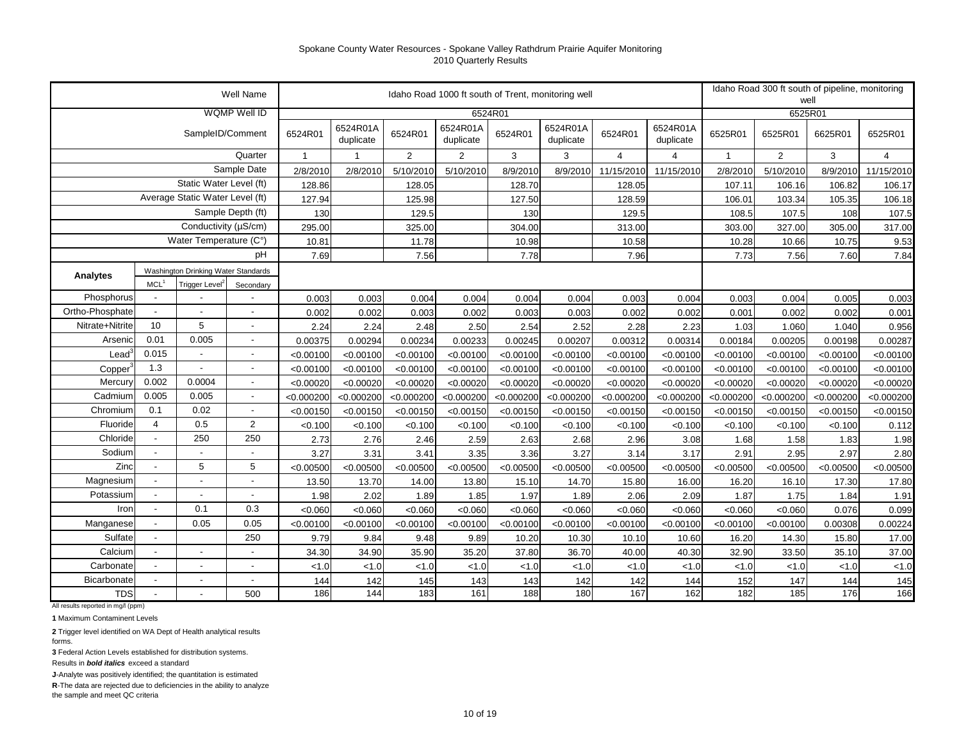|                 |                          |                                     | <b>Well Name</b>         |            |                       |                | Idaho Road 1000 ft south of Trent, monitoring well |            |                       |                |                       |              | Idaho Road 300 ft south of pipeline, monitoring<br>well |            |                |
|-----------------|--------------------------|-------------------------------------|--------------------------|------------|-----------------------|----------------|----------------------------------------------------|------------|-----------------------|----------------|-----------------------|--------------|---------------------------------------------------------|------------|----------------|
|                 |                          |                                     | <b>WQMP Well ID</b>      |            |                       |                |                                                    | 6524R01    |                       |                |                       |              | 6525R01                                                 |            |                |
|                 |                          | SampleID/Comment                    |                          | 6524R01    | 6524R01A<br>duplicate | 6524R01        | 6524R01A<br>duplicate                              | 6524R01    | 6524R01A<br>duplicate | 6524R01        | 6524R01A<br>duplicate | 6525R01      | 6525R01                                                 | 6625R01    | 6525R01        |
|                 |                          |                                     | Quarter                  | 1          |                       | $\overline{2}$ | $\overline{2}$                                     | 3          | 3                     | $\overline{4}$ | 4                     | $\mathbf{1}$ | $\overline{2}$                                          | 3          | $\overline{4}$ |
|                 |                          |                                     | Sample Date              | 2/8/2010   | 2/8/2010              | 5/10/2010      | 5/10/2010                                          | 8/9/2010   | 8/9/2010              | 11/15/2010     | 11/15/2010            | 2/8/2010     | 5/10/2010                                               | 8/9/2010   | 11/15/2010     |
|                 |                          | Static Water Level (ft)             |                          | 128.86     |                       | 128.05         |                                                    | 128.70     |                       | 128.05         |                       | 107.11       | 106.16                                                  | 106.82     | 106.17         |
|                 |                          | Average Static Water Level (ft)     |                          | 127.94     |                       | 125.98         |                                                    | 127.50     |                       | 128.59         |                       | 106.01       | 103.34                                                  | 105.35     | 106.18         |
|                 |                          |                                     | Sample Depth (ft)        | 130        |                       | 129.5          |                                                    | 130        |                       | 129.5          |                       | 108.5        | 107.5                                                   | 108        | 107.5          |
|                 |                          | Conductivity (µS/cm)                |                          | 295.00     |                       | 325.00         |                                                    | 304.00     |                       | 313.00         |                       | 303.00       | 327.00                                                  | 305.00     | 317.00         |
|                 |                          | Water Temperature (C°)              |                          | 10.81      |                       | 11.78          |                                                    | 10.98      |                       | 10.58          |                       | 10.28        | 10.66                                                   | 10.75      | 9.53           |
|                 |                          |                                     | pH                       | 7.69       |                       | 7.56           |                                                    | 7.78       |                       | 7.96           |                       | 7.73         | 7.56                                                    | 7.60       | 7.84           |
| Analytes        |                          | Washington Drinking Water Standards |                          |            |                       |                |                                                    |            |                       |                |                       |              |                                                         |            |                |
|                 | MCL <sup>1</sup>         | Trigger Level <sup>2</sup>          | Secondary                |            |                       |                |                                                    |            |                       |                |                       |              |                                                         |            |                |
| Phosphorus      |                          |                                     |                          | 0.003      | 0.003                 | 0.004          | 0.004                                              | 0.004      | 0.004                 | 0.003          | 0.004                 | 0.003        | 0.004                                                   | 0.005      | 0.003          |
| Ortho-Phosphate | $\blacksquare$           |                                     |                          | 0.002      | 0.002                 | 0.003          | 0.002                                              | 0.003      | 0.003                 | 0.002          | 0.002                 | 0.001        | 0.002                                                   | 0.002      | 0.001          |
| Nitrate+Nitrite | 10                       | 5                                   |                          | 2.24       | 2.24                  | 2.48           | 2.50                                               | 2.54       | 2.52                  | 2.28           | 2.23                  | 1.03         | 1.060                                                   | 1.040      | 0.956          |
| Arsenic         | 0.01                     | 0.005                               | $\overline{\phantom{a}}$ | 0.00375    | 0.00294               | 0.00234        | 0.00233                                            | 0.00245    | 0.00207               | 0.00312        | 0.00314               | 0.00184      | 0.00205                                                 | 0.00198    | 0.00287        |
| Lead            | 0.015                    |                                     | $\overline{\phantom{a}}$ | < 0.00100  | < 0.00100             | < 0.00100      | < 0.00100                                          | < 0.00100  | < 0.00100             | < 0.00100      | < 0.00100             | < 0.00100    | < 0.00100                                               | < 0.00100  | < 0.00100      |
| Copper          | 1.3                      | $\blacksquare$                      | $\blacksquare$           | < 0.00100  | < 0.00100             | < 0.00100      | < 0.00100                                          | < 0.00100  | < 0.00100             | < 0.00100      | < 0.00100             | < 0.00100    | < 0.00100                                               | < 0.00100  | < 0.00100      |
| Mercury         | 0.002                    | 0.0004                              | $\overline{\phantom{a}}$ | < 0.00020  | < 0.00020             | < 0.00020      | < 0.00020                                          | < 0.00020  | < 0.00020             | < 0.00020      | < 0.00020             | < 0.00020    | < 0.00020                                               | < 0.00020  | < 0.00020      |
| Cadmium         | 0.005                    | 0.005                               | $\overline{\phantom{a}}$ | < 0.000200 | < 0.000200            | < 0.000200     | < 0.000200                                         | < 0.000200 | < 0.000200            | < 0.000200     | < 0.000200            | < 0.000200   | < 0.000200                                              | < 0.000200 | < 0.000200     |
| Chromium        | 0.1                      | 0.02                                | $\overline{\phantom{a}}$ | < 0.00150  | < 0.00150             | < 0.00150      | < 0.00150                                          | < 0.00150  | < 0.00150             | < 0.00150      | < 0.00150             | < 0.00150    | < 0.00150                                               | < 0.00150  | < 0.00150      |
| Fluoride        | 4                        | 0.5                                 | 2                        | < 0.100    | < 0.100               | < 0.100        | < 0.100                                            | < 0.100    | < 0.100               | < 0.100        | < 0.100               | < 0.100      | < 0.100                                                 | < 0.100    | 0.112          |
| Chloride        | $\blacksquare$           | 250                                 | 250                      | 2.73       | 2.76                  | 2.46           | 2.59                                               | 2.63       | 2.68                  | 2.96           | 3.08                  | 1.68         | 1.58                                                    | 1.83       | 1.98           |
| Sodium          | $\blacksquare$           |                                     | $\overline{\phantom{a}}$ | 3.27       | 3.31                  | 3.41           | 3.35                                               | 3.36       | 3.27                  | 3.14           | 3.17                  | 2.91         | 2.95                                                    | 2.97       | 2.80           |
| Zinc            | $\overline{\phantom{a}}$ | 5                                   | 5                        | < 0.00500  | < 0.00500             | < 0.00500      | < 0.00500                                          | < 0.00500  | < 0.00500             | < 0.00500      | < 0.00500             | < 0.00500    | < 0.00500                                               | < 0.00500  | < 0.00500      |
| Magnesium       | $\overline{\phantom{a}}$ |                                     | $\overline{a}$           | 13.50      | 13.70                 | 14.00          | 13.80                                              | 15.10      | 14.70                 | 15.80          | 16.00                 | 16.20        | 16.10                                                   | 17.30      | 17.80          |
| Potassium       | $\blacksquare$           |                                     | ÷,                       | 1.98       | 2.02                  | 1.89           | 1.85                                               | 1.97       | 1.89                  | 2.06           | 2.09                  | 1.87         | 1.75                                                    | 1.84       | 1.91           |
| Iron            | $\blacksquare$           | 0.1                                 | 0.3                      | < 0.060    | < 0.060               | < 0.060        | < 0.060                                            | < 0.060    | < 0.060               | < 0.060        | < 0.060               | < 0.060      | < 0.060                                                 | 0.076      | 0.099          |
| Manganese       | $\blacksquare$           | 0.05                                | 0.05                     | < 0.00100  | < 0.00100             | < 0.00100      | < 0.00100                                          | < 0.00100  | < 0.00100             | < 0.00100      | < 0.00100             | < 0.00100    | < 0.00100                                               | 0.00308    | 0.00224        |
| Sulfate         | $\blacksquare$           |                                     | 250                      | 9.79       | 9.84                  | 9.48           | 9.89                                               | 10.20      | 10.30                 | 10.10          | 10.60                 | 16.20        | 14.30                                                   | 15.80      | 17.00          |
| Calcium         | $\blacksquare$           | $\overline{a}$                      | $\overline{a}$           | 34.30      | 34.90                 | 35.90          | 35.20                                              | 37.80      | 36.70                 | 40.00          | 40.30                 | 32.90        | 33.50                                                   | 35.10      | 37.00          |
| Carbonate       | $\blacksquare$           | $\overline{\phantom{a}}$            | $\overline{a}$           | 1.0        | < 1.0                 | 1.0            | < 1.0                                              | < 1.0      | < 1.0                 | < 1.0          | < 1.0                 | < 1.0        | < 1.0                                                   | < 1.0      | < 1.0          |
| Bicarbonate     |                          | $\blacksquare$                      | $\overline{\phantom{a}}$ | 144        | 142                   | 145            | 143                                                | 143        | 142                   | 142            | 144                   | 152          | 147                                                     | 144        | 145            |
| <b>TDS</b>      |                          |                                     | 500                      | 186        | 144                   | 183            | 161                                                | 188        | 180                   | 167            | 162                   | 182          | 185                                                     | 176        | 166            |

All results reported in mg/l (ppm)

**1** Maximum Contaminent Levels

**2** Trigger level identified on WA Dept of Health analytical results forms.

**3** Federal Action Levels established for distribution systems.

Results in *bold italics* exceed a standard

**J**-Analyte was positively identified; the quantitation is estimated

**R**-The data are rejected due to deficiencies in the ability to analyze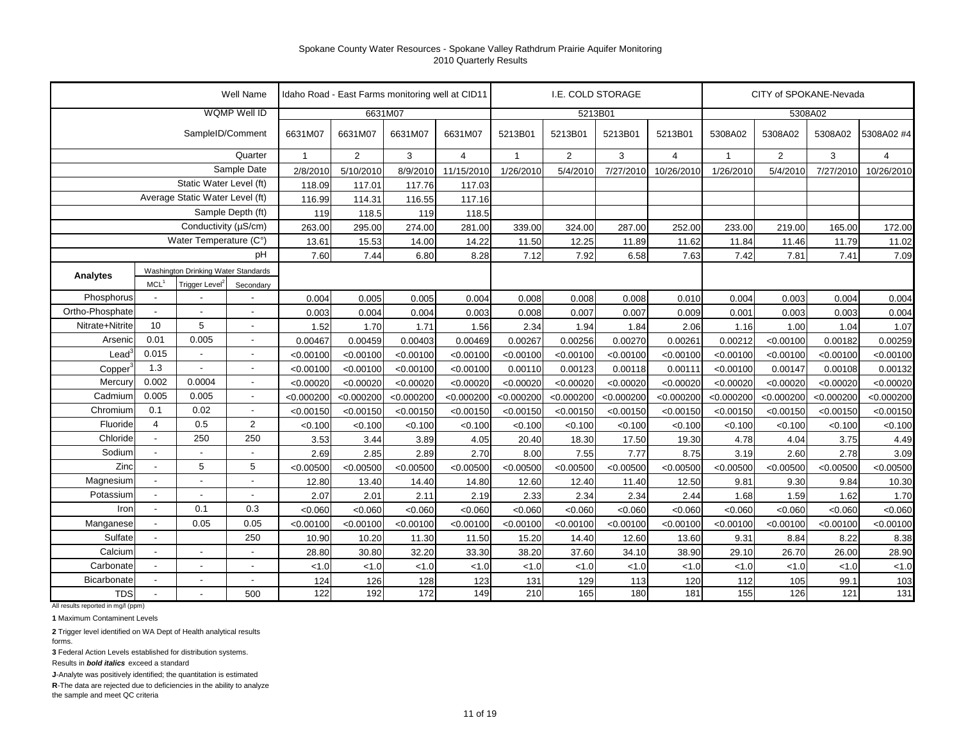|                 |                          |                                     | Well Name                |                |                |            | Idaho Road - East Farms monitoring well at CID11 |              |                | I.E. COLD STORAGE |            |              |                | CITY of SPOKANE-Nevada |                |
|-----------------|--------------------------|-------------------------------------|--------------------------|----------------|----------------|------------|--------------------------------------------------|--------------|----------------|-------------------|------------|--------------|----------------|------------------------|----------------|
|                 |                          |                                     | <b>WQMP Well ID</b>      |                |                | 6631M07    |                                                  |              |                | 5213B01           |            |              |                | 5308A02                |                |
|                 |                          | SampleID/Comment                    |                          | 6631M07        | 6631M07        | 6631M07    | 6631M07                                          | 5213B01      | 5213B01        | 5213B01           | 5213B01    | 5308A02      | 5308A02        | 5308A02                | 5308A02 #4     |
|                 |                          |                                     | Quarter                  | $\overline{1}$ | $\overline{2}$ | 3          | $\overline{4}$                                   | $\mathbf{1}$ | $\overline{2}$ | 3                 | 4          | $\mathbf{1}$ | $\overline{2}$ | 3                      | $\overline{4}$ |
|                 |                          |                                     | Sample Date              | 2/8/2010       | 5/10/2010      | 8/9/2010   | 11/15/2010                                       | 1/26/2010    | 5/4/2010       | 7/27/2010         | 10/26/2010 | 1/26/2010    | 5/4/2010       | 7/27/2010              | 10/26/2010     |
|                 |                          | Static Water Level (ft)             |                          | 118.09         | 117.01         | 117.76     | 117.03                                           |              |                |                   |            |              |                |                        |                |
|                 |                          | Average Static Water Level (ft)     |                          | 116.99         | 114.31         | 116.55     | 117.16                                           |              |                |                   |            |              |                |                        |                |
|                 |                          |                                     | Sample Depth (ft)        | 119            | 118.5          | 119        | 118.5                                            |              |                |                   |            |              |                |                        |                |
|                 |                          | Conductivity (µS/cm)                |                          | 263.00         | 295.00         | 274.00     | 281.00                                           | 339.00       | 324.00         | 287.00            | 252.00     | 233.00       | 219.00         | 165.00                 | 172.00         |
|                 |                          | Water Temperature (C°)              |                          | 13.61          | 15.53          | 14.00      | 14.22                                            | 11.50        | 12.25          | 11.89             | 11.62      | 11.84        | 11.46          | 11.79                  | 11.02          |
|                 |                          |                                     | pH                       | 7.60           | 7.44           | 6.80       | 8.28                                             | 7.12         | 7.92           | 6.58              | 7.63       | 7.42         | 7.81           | 7.41                   | 7.09           |
| Analytes        |                          | Washington Drinking Water Standards |                          |                |                |            |                                                  |              |                |                   |            |              |                |                        |                |
|                 | MCL <sup>1</sup>         | Trigger Level <sup>2</sup>          | Secondary                |                |                |            |                                                  |              |                |                   |            |              |                |                        |                |
| Phosphorus      |                          |                                     |                          | 0.004          | 0.005          | 0.005      | 0.004                                            | 0.008        | 0.008          | 0.008             | 0.010      | 0.004        | 0.003          | 0.004                  | 0.004          |
| Ortho-Phosphate | $\blacksquare$           |                                     | $\blacksquare$           | 0.003          | 0.004          | 0.004      | 0.003                                            | 0.008        | 0.007          | 0.007             | 0.009      | 0.001        | 0.003          | 0.003                  | 0.004          |
| Nitrate+Nitrite | 10                       | 5                                   | $\overline{\phantom{a}}$ | 1.52           | 1.70           | 1.71       | 1.56                                             | 2.34         | 1.94           | 1.84              | 2.06       | 1.16         | 1.00           | 1.04                   | 1.07           |
| Arseni          | 0.01                     | 0.005                               | $\overline{\phantom{a}}$ | 0.00467        | 0.00459        | 0.00403    | 0.00469                                          | 0.00267      | 0.00256        | 0.00270           | 0.00261    | 0.00212      | < 0.00100      | 0.00182                | 0.00259        |
| Lead            | 0.015                    |                                     | $\overline{\phantom{a}}$ | < 0.00100      | < 0.00100      | < 0.00100  | < 0.00100                                        | < 0.00100    | < 0.00100      | < 0.00100         | < 0.00100  | < 0.00100    | < 0.00100      | < 0.00100              | < 0.00100      |
| Copper          | 1.3                      | $\blacksquare$                      | $\overline{\phantom{a}}$ | < 0.00100      | < 0.00100      | < 0.00100  | < 0.00100                                        | 0.00110      | 0.00123        | 0.00118           | 0.0011     | < 0.00100    | 0.00147        | 0.00108                | 0.00132        |
| Mercury         | 0.002                    | 0.0004                              | $\blacksquare$           | < 0.00020      | < 0.00020      | < 0.00020  | < 0.00020                                        | < 0.00020    | < 0.00020      | < 0.00020         | < 0.00020  | < 0.00020    | < 0.00020      | < 0.00020              | < 0.00020      |
| Cadmium         | 0.005                    | 0.005                               | $\overline{\phantom{a}}$ | < 0.000200     | < 0.000200     | < 0.000200 | < 0.000200                                       | < 0.000200   | < 0.000200     | < 0.000200        | < 0.000200 | < 0.000200   | < 0.000200     | < 0.000200             | < 0.000200     |
| Chromium        | 0.1                      | 0.02                                | $\sim$                   | < 0.00150      | < 0.00150      | < 0.00150  | < 0.00150                                        | < 0.00150    | < 0.00150      | < 0.00150         | < 0.00150  | < 0.00150    | < 0.00150      | < 0.00150              | < 0.00150      |
| Fluoride        | 4                        | 0.5                                 | $\overline{2}$           | < 0.100        | < 0.100        | < 0.100    | < 0.100                                          | < 0.100      | < 0.100        | < 0.100           | < 0.100    | < 0.100      | < 0.100        | < 0.100                | < 0.100        |
| Chloride        | $\blacksquare$           | 250                                 | 250                      | 3.53           | 3.44           | 3.89       | 4.05                                             | 20.40        | 18.30          | 17.50             | 19.30      | 4.78         | 4.04           | 3.75                   | 4.49           |
| Sodium          |                          |                                     | $\blacksquare$           | 2.69           | 2.85           | 2.89       | 2.70                                             | 8.00         | 7.55           | 7.77              | 8.75       | 3.19         | 2.60           | 2.78                   | 3.09           |
| Zinc            | $\overline{\phantom{a}}$ | 5                                   | 5                        | < 0.00500      | < 0.00500      | < 0.00500  | < 0.00500                                        | < 0.00500    | < 0.00500      | < 0.00500         | < 0.00500  | < 0.00500    | < 0.00500      | < 0.00500              | < 0.00500      |
| Magnesium       |                          |                                     | Ĭ.                       | 12.80          | 13.40          | 14.40      | 14.80                                            | 12.60        | 12.40          | 11.40             | 12.50      | 9.81         | 9.30           | 9.84                   | 10.30          |
| Potassium       | $\overline{\phantom{a}}$ |                                     | $\ddot{\phantom{a}}$     | 2.07           | 2.01           | 2.11       | 2.19                                             | 2.33         | 2.34           | 2.34              | 2.44       | 1.68         | 1.59           | 1.62                   | 1.70           |
| Iron            | $\blacksquare$           | 0.1                                 | 0.3                      | < 0.060        | < 0.060        | < 0.060    | < 0.060                                          | < 0.060      | < 0.060        | < 0.060           | < 0.060    | < 0.060      | < 0.060        | < 0.060                | < 0.060        |
| Manganese       | $\blacksquare$           | 0.05                                | 0.05                     | < 0.00100      | < 0.00100      | < 0.00100  | < 0.00100                                        | < 0.00100    | < 0.00100      | < 0.00100         | < 0.00100  | < 0.00100    | < 0.00100      | < 0.00100              | < 0.00100      |
| Sulfate         | $\overline{\phantom{a}}$ |                                     | 250                      | 10.90          | 10.20          | 11.30      | 11.50                                            | 15.20        | 14.40          | 12.60             | 13.60      | 9.31         | 8.84           | 8.22                   | 8.38           |
| Calcium         | $\blacksquare$           | $\overline{\phantom{a}}$            | $\blacksquare$           | 28.80          | 30.80          | 32.20      | 33.30                                            | 38.20        | 37.60          | 34.10             | 38.90      | 29.10        | 26.70          | 26.00                  | 28.90          |
| Carbonate       | $\overline{\phantom{a}}$ | $\overline{\phantom{a}}$            | $\overline{a}$           | < 1.0          | < 1.0          | 1.0        | < 1.0                                            | < 1.0        | < 1.0          | < 1.0             | < 1.0      | < 1.0        | 1.0            | < 1.0                  | < 1.0          |
| Bicarbonate     |                          | $\overline{\phantom{a}}$            | $\overline{a}$           | 124            | 126            | 128        | 123                                              | 131          | 129            | 113               | 120        | 112          | 105            | 99.1                   | 103            |
| <b>TDS</b>      |                          |                                     | 500                      | 122            | 192            | 172        | 149                                              | 210          | 165            | 180               | 181        | 155          | 126            | 121                    | $131$          |

All results reported in mg/l (ppm)

**1** Maximum Contaminent Levels

**2** Trigger level identified on WA Dept of Health analytical results forms.

**3** Federal Action Levels established for distribution systems.

Results in *bold italics* exceed a standard

**J**-Analyte was positively identified; the quantitation is estimated

**R**-The data are rejected due to deficiencies in the ability to analyze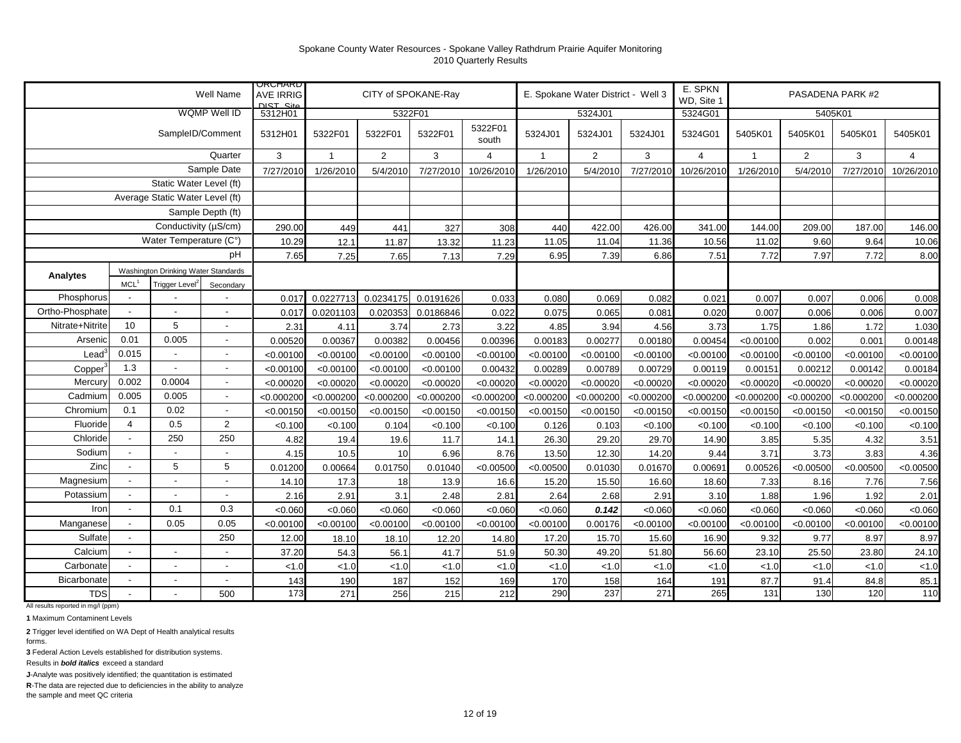|                   |                          |                                     | Well Name                | <b>URUHARD</b><br><b>AVE IRRIG</b><br>$NST$ $Sita$ |              | CITY of SPOKANE-Ray |            |                  |                | E. Spokane Water District - Well 3 |            | E. SPKN<br>WD, Site 1 |              |                | PASADENA PARK #2 |                |
|-------------------|--------------------------|-------------------------------------|--------------------------|----------------------------------------------------|--------------|---------------------|------------|------------------|----------------|------------------------------------|------------|-----------------------|--------------|----------------|------------------|----------------|
|                   |                          |                                     | <b>WQMP Well ID</b>      | 5312H01                                            |              | 5322F01             |            |                  |                | 5324J01                            |            | 5324G01               |              |                | 5405K01          |                |
|                   |                          | SampleID/Comment                    |                          | 5312H01                                            | 5322F01      | 5322F01             | 5322F01    | 5322F01<br>south | 5324J01        | 5324J01                            | 5324J01    | 5324G01               | 5405K01      | 5405K01        | 5405K01          | 5405K01        |
|                   |                          |                                     | Quarter                  | 3                                                  | $\mathbf{1}$ | $\overline{2}$      | 3          | $\overline{4}$   | $\overline{1}$ | $\overline{2}$                     | 3          | $\overline{4}$        | $\mathbf{1}$ | $\overline{2}$ | 3                | $\overline{4}$ |
|                   |                          |                                     | Sample Date              | 7/27/2010                                          | 1/26/2010    | 5/4/2010            | 7/27/2010  | 10/26/2010       | 1/26/2010      | 5/4/2010                           | 7/27/2010  | 10/26/2010            | 1/26/2010    | 5/4/2010       | 7/27/2010        | 10/26/2010     |
|                   |                          | Static Water Level (ft)             |                          |                                                    |              |                     |            |                  |                |                                    |            |                       |              |                |                  |                |
|                   |                          | Average Static Water Level (ft)     |                          |                                                    |              |                     |            |                  |                |                                    |            |                       |              |                |                  |                |
|                   |                          |                                     | Sample Depth (ft)        |                                                    |              |                     |            |                  |                |                                    |            |                       |              |                |                  |                |
|                   |                          | Conductivity (µS/cm)                |                          | 290.00                                             | 449          | 441                 | 327        | 308              | 440            | 422.00                             | 426.00     | 341.00                | 144.00       | 209.00         | 187.00           | 146.00         |
|                   |                          | Water Temperature (C°)              |                          | 10.29                                              | 12.1         | 11.87               | 13.32      | 11.23            | 11.05          | 11.04                              | 11.36      | 10.56                 | 11.02        | 9.60           | 9.64             | 10.06          |
|                   |                          |                                     | рH                       | 7.65                                               | 7.25         | 7.65                | 7.13       | 7.29             | 6.95           | 7.39                               | 6.86       | 7.51                  | 7.72         | 7.97           | 7.72             | 8.00           |
| Analytes          |                          | Washington Drinking Water Standards |                          |                                                    |              |                     |            |                  |                |                                    |            |                       |              |                |                  |                |
|                   | MCL <sup>1</sup>         | Trigger Level <sup>:</sup>          | Secondary                |                                                    |              |                     |            |                  |                |                                    |            |                       |              |                |                  |                |
| Phosphorus        |                          |                                     |                          | 0.017                                              | 0.0227713    | 0.0234175           | 0.0191626  | 0.033            | 0.080          | 0.069                              | 0.082      | 0.021                 | 0.007        | 0.007          | 0.006            | 0.008          |
| Ortho-Phosphate   |                          |                                     | $\blacksquare$           | 0.017                                              | 0.0201103    | 0.020353            | 0.0186846  | 0.022            | 0.075          | 0.065                              | 0.081      | 0.020                 | 0.007        | 0.006          | 0.006            | 0.007          |
| Nitrate+Nitrite   | 10                       | 5                                   | $\overline{\phantom{a}}$ | 2.31                                               | 4.11         | 3.74                | 2.73       | 3.22             | 4.85           | 3.94                               | 4.56       | 3.73                  | 1.75         | 1.86           | 1.72             | 1.030          |
| Arsenic           | 0.01                     | 0.005                               | $\overline{\phantom{a}}$ | 0.00520                                            | 0.00367      | 0.00382             | 0.00456    | 0.00396          | 0.00183        | 0.00277                            | 0.00180    | 0.00454               | < 0.00100    | 0.002          | 0.001            | 0.00148        |
| $\textsf{lead}^3$ | 0.015                    |                                     | $\overline{\phantom{a}}$ | < 0.00100                                          | < 0.00100    | < 0.00100           | < 0.00100  | < 0.00100        | < 0.00100      | < 0.00100                          | < 0.00100  | < 0.00100             | < 0.00100    | < 0.00100      | < 0.00100        | < 0.00100      |
| Copper            | 1.3                      |                                     | $\overline{\phantom{a}}$ | < 0.00100                                          | < 0.00100    | < 0.00100           | < 0.00100  | 0.00432          | 0.00289        | 0.00789                            | 0.00729    | 0.00119               | 0.00151      | 0.00212        | 0.00142          | 0.00184        |
| Mercury           | 0.002                    | 0.0004                              | $\overline{\phantom{a}}$ | < 0.00020                                          | < 0.00020    | < 0.00020           | < 0.00020  | < 0.00020        | < 0.00020      | < 0.00020                          | < 0.00020  | < 0.00020             | < 0.00020    | < 0.00020      | < 0.00020        | < 0.00020      |
| Cadmium           | 0.005                    | 0.005                               | $\overline{\phantom{a}}$ | < 0.000200                                         | < 0.000200   | < 0.000200          | < 0.000200 | < 0.000200       | < 0.000200     | < 0.000200                         | < 0.000200 | < 0.000200            | < 0.000200   | < 0.000200     | < 0.000200       | < 0.000200     |
| Chromium          | 0.1                      | 0.02                                | $\overline{\phantom{a}}$ | < 0.00150                                          | < 0.00150    | < 0.00150           | < 0.00150  | < 0.00150        | < 0.00150      | < 0.00150                          | < 0.00150  | < 0.00150             | < 0.00150    | < 0.00150      | < 0.00150        | < 0.00150      |
| Fluoride          | $\overline{4}$           | 0.5                                 | 2                        | < 0.100                                            | < 0.100      | 0.104               | < 0.100    | < 0.100          | 0.126          | 0.103                              | < 0.100    | < 0.100               | < 0.100      | < 0.100        | < 0.100          | < 0.100        |
| Chloride          |                          | 250                                 | 250                      | 4.82                                               | 19.4         | 19.6                | 11.7       | 14.1             | 26.30          | 29.20                              | 29.70      | 14.90                 | 3.85         | 5.35           | 4.32             | 3.51           |
| Sodium            |                          | $\overline{\phantom{a}}$            | $\overline{\phantom{a}}$ | 4.15                                               | 10.5         | 10                  | 6.96       | 8.76             | 13.50          | 12.30                              | 14.20      | 9.44                  | 3.71         | 3.73           | 3.83             | 4.36           |
| Zinc              | $\overline{\phantom{a}}$ | 5                                   | 5                        | 0.01200                                            | 0.00664      | 0.01750             | 0.01040    | < 0.00500        | < 0.00500      | 0.01030                            | 0.01670    | 0.00691               | 0.00526      | < 0.00500      | < 0.00500        | < 0.00500      |
| Magnesium         |                          | $\overline{\phantom{a}}$            | $\overline{\phantom{a}}$ | 14.10                                              | 17.3         | 18                  | 13.9       | 16.6             | 15.20          | 15.50                              | 16.60      | 18.60                 | 7.33         | 8.16           | 7.76             | 7.56           |
| Potassium         |                          | $\sim$                              | $\blacksquare$           | 2.16                                               | 2.91         | 3.1                 | 2.48       | 2.81             | 2.64           | 2.68                               | 2.91       | 3.10                  | 1.88         | 1.96           | 1.92             | 2.01           |
| Iron              |                          | 0.1                                 | 0.3                      | < 0.060                                            | < 0.060      | < 0.060             | < 0.060    | < 0.060          | < 0.060        | 0.142                              | < 0.060    | < 0.060               | < 0.060      | < 0.060        | < 0.060          | < 0.060        |
| Manganese         |                          | 0.05                                | 0.05                     | < 0.00100                                          | < 0.00100    | < 0.00100           | < 0.00100  | < 0.00100        | < 0.00100      | 0.00176                            | < 0.00100  | < 0.00100             | < 0.00100    | < 0.00100      | < 0.00100        | < 0.00100      |
| Sulfate           |                          |                                     | 250                      | 12.00                                              | 18.10        | 18.10               | 12.20      | 14.80            | 17.20          | 15.70                              | 15.60      | 16.90                 | 9.32         | 9.77           | 8.97             | 8.97           |
| Calcium           |                          | $\blacksquare$                      | $\overline{\phantom{a}}$ | 37.20                                              | 54.3         | 56.1                | 41.7       | 51.9             | 50.30          | 49.20                              | 51.80      | 56.60                 | 23.10        | 25.50          | 23.80            | 24.10          |
| Carbonate         |                          | $\blacksquare$                      | $\blacksquare$           | < 1.0                                              | < 1.0        | < 1.0               | < 1.0      | < 1.0            | 1.0            | < 1.0                              | < 1.0      | < 1.0                 | < 1.0        | < 1.0          | < 1.0            | < 1.0          |
| Bicarbonate       |                          |                                     | $\blacksquare$           | 143                                                | 190          | 187                 | 152        | 169              | 170            | 158                                | 164        | 191                   | 87.7         | 91.4           | 84.8             | 85.1           |
| <b>TDS</b>        |                          |                                     | 500                      | 173                                                | 271          | 256                 | 215        | 212              | 290            | 237                                | 271        | 265                   | 131          | 130            | 120              | 110            |

All results reported in mg/l (ppm)

**1** Maximum Contaminent Levels

**2** Trigger level identified on WA Dept of Health analytical results

forms. **3** Federal Action Levels established for distribution systems.

Results in *bold italics* exceed a standard

**J**-Analyte was positively identified; the quantitation is estimated

**R**-The data are rejected due to deficiencies in the ability to analyze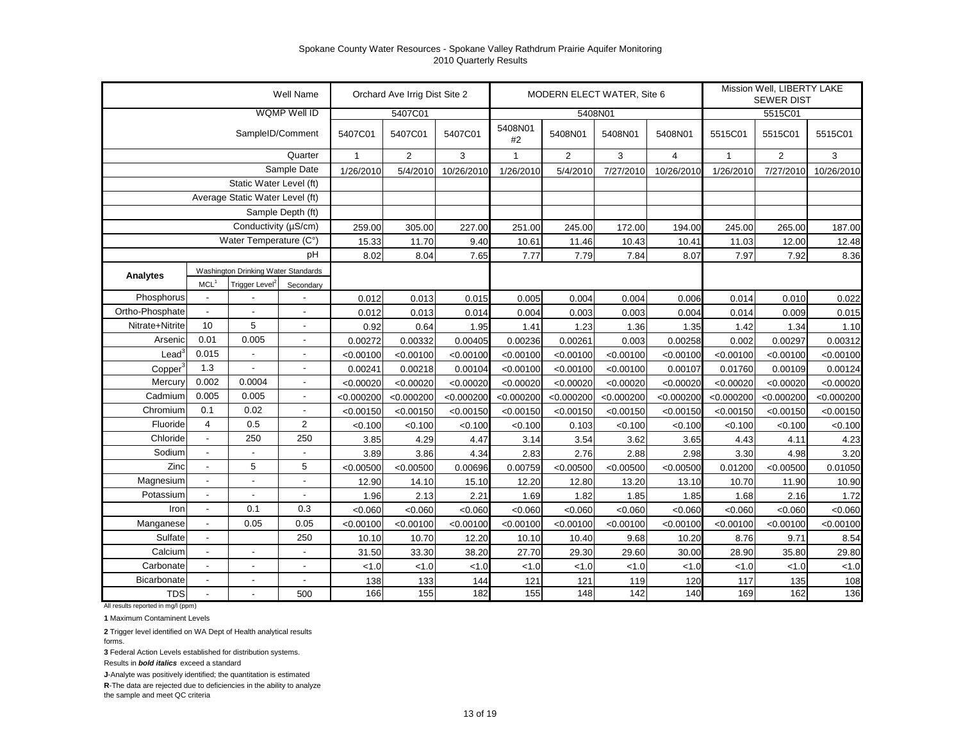|                 |                                 |                                     | Well Name           |              | Orchard Ave Irrig Dist Site 2 |            |            | Mission Well, LIBERTY LAKE<br>MODERN ELECT WATER, Site 6<br><b>SEWER DIST</b><br>5408N01<br>5408N01<br>5408N01<br>5408N01<br>5515C01<br>#2<br>$\sqrt{2}$<br>2<br>3<br>$\mathbf{1}$<br>$\overline{4}$<br>$\mathbf{1}$<br>5/4/2010<br>7/27/2010<br>1/26/2010<br>10/26/2010<br>1/26/2010<br>251.00<br>245.00<br>172.00<br>194.00<br>245.00 |            |            |            |            |            |
|-----------------|---------------------------------|-------------------------------------|---------------------|--------------|-------------------------------|------------|------------|-----------------------------------------------------------------------------------------------------------------------------------------------------------------------------------------------------------------------------------------------------------------------------------------------------------------------------------------|------------|------------|------------|------------|------------|
|                 |                                 |                                     | <b>WQMP Well ID</b> |              | 5407C01                       |            |            |                                                                                                                                                                                                                                                                                                                                         |            |            |            | 5515C01    |            |
|                 |                                 | SampleID/Comment                    |                     | 5407C01      | 5407C01                       | 5407C01    | 5408N01    |                                                                                                                                                                                                                                                                                                                                         |            |            |            | 5515C01    | 5515C01    |
|                 |                                 |                                     | Quarter             | $\mathbf{1}$ | $\overline{2}$                | 3          |            |                                                                                                                                                                                                                                                                                                                                         |            |            |            |            | 3          |
|                 |                                 |                                     | Sample Date         | 1/26/2010    | 5/4/2010                      | 10/26/2010 |            |                                                                                                                                                                                                                                                                                                                                         |            |            |            | 7/27/2010  | 10/26/2010 |
|                 | Static Water Level (ft)         |                                     |                     |              |                               |            |            |                                                                                                                                                                                                                                                                                                                                         |            |            |            |            |            |
|                 | Average Static Water Level (ft) |                                     |                     |              |                               |            |            |                                                                                                                                                                                                                                                                                                                                         |            |            |            |            |            |
|                 |                                 |                                     |                     |              |                               |            |            |                                                                                                                                                                                                                                                                                                                                         |            |            |            |            |            |
|                 |                                 | Conductivity (µS/cm)                |                     | 259.00       | 305.00                        | 227.00     |            |                                                                                                                                                                                                                                                                                                                                         |            |            |            | 265.00     | 187.00     |
|                 |                                 | Water Temperature (C°)              |                     | 15.33        | 11.70                         | 9.40       | 10.61      | 11.46                                                                                                                                                                                                                                                                                                                                   | 10.43      | 10.41      | 11.03      | 12.00      | 12.48      |
|                 | рH                              |                                     |                     |              | 8.04                          | 7.65       | 7.77       | 7.79                                                                                                                                                                                                                                                                                                                                    | 7.84       | 8.07       | 7.97       | 7.92       | 8.36       |
| <b>Analytes</b> |                                 | Washington Drinking Water Standards |                     |              |                               |            |            |                                                                                                                                                                                                                                                                                                                                         |            |            |            |            |            |
|                 | MCL <sup>1</sup>                | Trigger Level <sup>2</sup>          | Secondary           |              |                               |            |            |                                                                                                                                                                                                                                                                                                                                         |            |            |            |            |            |
| Phosphorus      | $\overline{\phantom{a}}$        |                                     |                     | 0.012        | 0.013                         | 0.015      | 0.005      | 0.004                                                                                                                                                                                                                                                                                                                                   | 0.004      | 0.006      | 0.014      | 0.010      | 0.022      |
| Ortho-Phosphate | ÷,                              |                                     |                     | 0.012        | 0.013                         | 0.014      | 0.004      | 0.003                                                                                                                                                                                                                                                                                                                                   | 0.003      | 0.004      | 0.014      | 0.009      | 0.015      |
| Nitrate+Nitrite | 10                              | 5                                   |                     | 0.92         | 0.64                          | 1.95       | 1.41       | 1.23                                                                                                                                                                                                                                                                                                                                    | 1.36       | 1.35       | 1.42       | 1.34       | 1.10       |
| Arsenic         | 0.01                            | 0.005                               |                     | 0.00272      | 0.00332                       | 0.00405    | 0.00236    | 0.00261                                                                                                                                                                                                                                                                                                                                 | 0.003      | 0.00258    | 0.002      | 0.00297    | 0.00312    |
| $\text{Lead}^3$ | 0.015                           |                                     |                     | < 0.00100    | < 0.00100                     | < 0.00100  | < 0.00100  | < 0.00100                                                                                                                                                                                                                                                                                                                               | < 0.00100  | < 0.00100  | < 0.00100  | < 0.00100  | < 0.00100  |
| Copper          | 1.3                             |                                     |                     | 0.00241      | 0.00218                       | 0.00104    | < 0.00100  | < 0.00100                                                                                                                                                                                                                                                                                                                               | < 0.00100  | 0.00107    | 0.01760    | 0.00109    | 0.00124    |
| Mercury         | 0.002                           | 0.0004                              |                     | < 0.00020    | < 0.00020                     | < 0.00020  | < 0.00020  | < 0.00020                                                                                                                                                                                                                                                                                                                               | < 0.00020  | < 0.00020  | < 0.00020  | < 0.00020  | < 0.00020  |
| Cadmium         | 0.005                           | 0.005                               |                     | < 0.000200   | < 0.000200                    | < 0.000200 | < 0.000200 | < 0.000200                                                                                                                                                                                                                                                                                                                              | < 0.000200 | < 0.000200 | < 0.000200 | < 0.000200 | < 0.000200 |
| Chromium        | 0.1                             | 0.02                                |                     | < 0.00150    | < 0.00150                     | < 0.00150  | < 0.00150  | < 0.00150                                                                                                                                                                                                                                                                                                                               | < 0.00150  | < 0.00150  | < 0.00150  | < 0.00150  | < 0.00150  |
| Fluoride        | 4                               | 0.5                                 | $\overline{2}$      | < 0.100      | < 0.100                       | < 0.100    | < 0.100    | 0.103                                                                                                                                                                                                                                                                                                                                   | < 0.100    | < 0.100    | < 0.100    | < 0.100    | < 0.100    |
| Chloride        | $\overline{\phantom{a}}$        | 250                                 | 250                 | 3.85         | 4.29                          | 4.47       | 3.14       | 3.54                                                                                                                                                                                                                                                                                                                                    | 3.62       | 3.65       | 4.43       | 4.11       | 4.23       |
| Sodium          |                                 |                                     |                     | 3.89         | 3.86                          | 4.34       | 2.83       | 2.76                                                                                                                                                                                                                                                                                                                                    | 2.88       | 2.98       | 3.30       | 4.98       | 3.20       |
| Zinc            | $\overline{\phantom{a}}$        | 5                                   | 5                   | < 0.00500    | < 0.00500                     | 0.00696    | 0.00759    | < 0.00500                                                                                                                                                                                                                                                                                                                               | < 0.00500  | < 0.00500  | 0.01200    | < 0.00500  | 0.01050    |
| Magnesium       |                                 |                                     |                     | 12.90        | 14.10                         | 15.10      | 12.20      | 12.80                                                                                                                                                                                                                                                                                                                                   | 13.20      | 13.10      | 10.70      | 11.90      | 10.90      |
| Potassium       | $\overline{\phantom{a}}$        | $\overline{\phantom{a}}$            |                     | 1.96         | 2.13                          | 2.21       | 1.69       | 1.82                                                                                                                                                                                                                                                                                                                                    | 1.85       | 1.85       | 1.68       | 2.16       | 1.72       |
| Iron            | $\overline{\phantom{a}}$        | 0.1                                 | 0.3                 | < 0.060      | < 0.060                       | < 0.060    | < 0.060    | < 0.060                                                                                                                                                                                                                                                                                                                                 | < 0.060    | < 0.060    | < 0.060    | < 0.060    | < 0.060    |
| Manganese       | $\overline{\phantom{a}}$        | 0.05                                | 0.05                | < 0.00100    | < 0.00100                     | < 0.00100  | < 0.00100  | < 0.00100                                                                                                                                                                                                                                                                                                                               | < 0.00100  | < 0.00100  | < 0.00100  | < 0.00100  | < 0.00100  |
| Sulfate         | $\overline{\phantom{a}}$        |                                     | 250                 | 10.10        | 10.70                         | 12.20      | 10.10      | 10.40                                                                                                                                                                                                                                                                                                                                   | 9.68       | 10.20      | 8.76       | 9.71       | 8.54       |
| Calcium         | $\overline{\phantom{a}}$        | $\blacksquare$                      | $\blacksquare$      | 31.50        | 33.30                         | 38.20      | 27.70      | 29.30                                                                                                                                                                                                                                                                                                                                   | 29.60      | 30.00      | 28.90      | 35.80      | 29.80      |
| Carbonate       | $\overline{\phantom{a}}$        | $\overline{\phantom{a}}$            | $\blacksquare$      | < 1.0        | < 1.0                         | < 1.0      | < 1.0      | < 1.0                                                                                                                                                                                                                                                                                                                                   | < 1.0      | < 1.0      | 1.0        | < 1.0      | 1.0        |
| Bicarbonate     | $\blacksquare$                  | $\blacksquare$                      | $\sim$              | 138          | 133                           | 144        | 121        | 121                                                                                                                                                                                                                                                                                                                                     | 119        | 120        | 117        | 135        | 108        |
| <b>TDS</b>      | $\blacksquare$                  |                                     | 500                 | 166          | 155                           | 182        | 155        | 148                                                                                                                                                                                                                                                                                                                                     | 142        | 140        | 169        | 162        | 136        |

All results reported in mg/l (ppm)

**1** Maximum Contaminent Levels

**2** Trigger level identified on WA Dept of Health analytical results forms.

**3** Federal Action Levels established for distribution systems.

Results in *bold italics* exceed a standard

**J**-Analyte was positively identified; the quantitation is estimated

**R**-The data are rejected due to deficiencies in the ability to analyze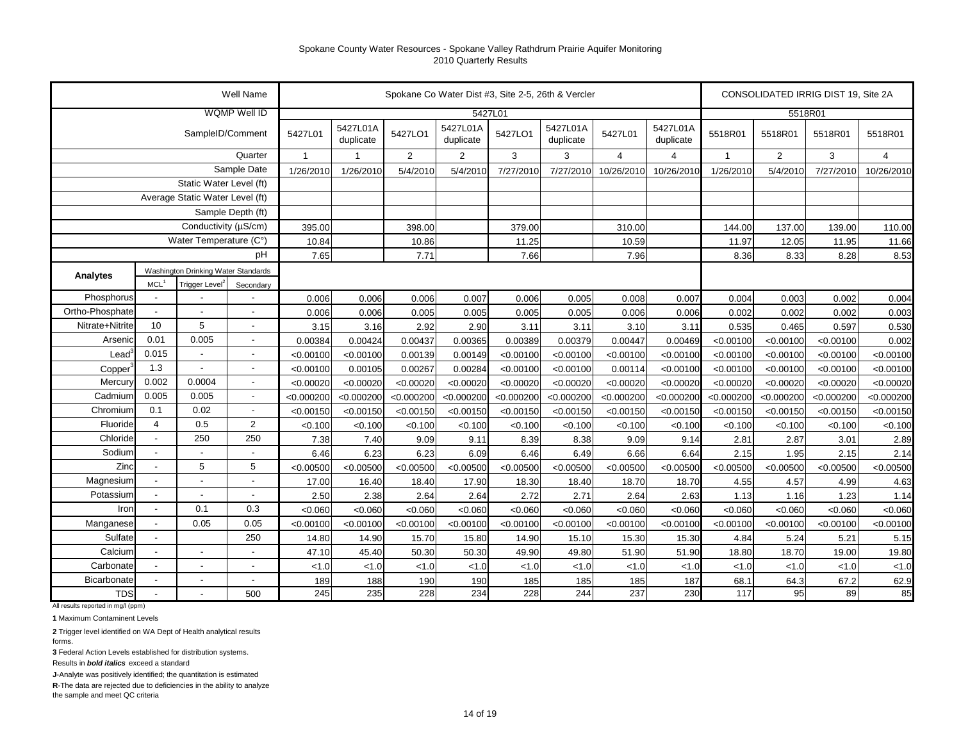|                                 |                          |                                     | Well Name                |                |                       |                |                       |            | Spokane Co Water Dist #3, Site 2-5, 26th & Vercler |                |                       |              | CONSOLIDATED IRRIG DIST 19, Site 2A |            |                |
|---------------------------------|--------------------------|-------------------------------------|--------------------------|----------------|-----------------------|----------------|-----------------------|------------|----------------------------------------------------|----------------|-----------------------|--------------|-------------------------------------|------------|----------------|
|                                 |                          |                                     | <b>WQMP Well ID</b>      |                |                       |                | 5427L01               |            |                                                    |                |                       |              | 5518R01                             |            |                |
|                                 |                          | SampleID/Comment                    |                          | 5427L01        | 5427L01A<br>duplicate | 5427LO1        | 5427L01A<br>duplicate | 5427LO1    | 5427L01A<br>duplicate                              | 5427L01        | 5427L01A<br>duplicate | 5518R01      | 5518R01                             | 5518R01    | 5518R01        |
|                                 |                          |                                     | Quarter                  | $\overline{1}$ | $\mathbf{1}$          | $\overline{2}$ | $\overline{2}$        | 3          | 3                                                  | $\overline{4}$ | $\overline{4}$        | $\mathbf{1}$ | $\overline{2}$                      | 3          | $\overline{4}$ |
|                                 |                          |                                     | Sample Date              | 1/26/2010      | 1/26/2010             | 5/4/2010       | 5/4/2010              | 7/27/2010  | 7/27/2010                                          | 10/26/2010     | 10/26/2010            | 1/26/2010    | 5/4/2010                            | 7/27/2010  | 10/26/2010     |
|                                 |                          | Static Water Level (ft)             |                          |                |                       |                |                       |            |                                                    |                |                       |              |                                     |            |                |
| Average Static Water Level (ft) |                          |                                     |                          |                |                       |                |                       |            |                                                    |                |                       |              |                                     |            |                |
| Sample Depth (ft)               |                          |                                     |                          |                |                       |                |                       |            |                                                    |                |                       |              |                                     |            |                |
| Conductivity (µS/cm)            |                          |                                     |                          | 395.00         |                       | 398.00         |                       | 379.00     |                                                    | 310.00         |                       | 144.00       | 137.00                              | 139.00     | 110.00         |
| Water Temperature (C°)          |                          |                                     |                          | 10.84          |                       | 10.86          |                       | 11.25      |                                                    | 10.59          |                       | 11.97        | 12.05                               | 11.95      | 11.66          |
| рH                              |                          |                                     |                          | 7.65           |                       | 7.71           |                       | 7.66       |                                                    | 7.96           |                       | 8.36         | 8.33                                | 8.28       | 8.53           |
| Analytes                        |                          | Washington Drinking Water Standards |                          |                |                       |                |                       |            |                                                    |                |                       |              |                                     |            |                |
|                                 | MCL <sup>1</sup>         | Trigger Level <sup>2</sup>          | Secondary                |                |                       |                |                       |            |                                                    |                |                       |              |                                     |            |                |
| Phosphorus                      |                          |                                     |                          | 0.006          | 0.006                 | 0.006          | 0.007                 | 0.006      | 0.005                                              | 0.008          | 0.007                 | 0.004        | 0.003                               | 0.002      | 0.004          |
| Ortho-Phosphate                 |                          |                                     |                          | 0.006          | 0.006                 | 0.005          | 0.005                 | 0.005      | 0.005                                              | 0.006          | 0.006                 | 0.002        | 0.002                               | 0.002      | 0.003          |
| Nitrate+Nitrite                 | 10                       | 5                                   | ÷,                       | 3.15           | 3.16                  | 2.92           | 2.90                  | 3.11       | 3.11                                               | 3.10           | 3.11                  | 0.535        | 0.465                               | 0.597      | 0.530          |
| Arsenio                         | 0.01                     | 0.005                               | $\overline{a}$           | 0.00384        | 0.00424               | 0.00437        | 0.00365               | 0.00389    | 0.00379                                            | 0.00447        | 0.00469               | < 0.00100    | < 0.00100                           | < 0.00100  | 0.002          |
| Lead                            | 0.015                    | $\overline{a}$                      | $\overline{a}$           | < 0.00100      | < 0.00100             | 0.00139        | 0.00149               | < 0.00100  | < 0.00100                                          | < 0.00100      | < 0.00100             | < 0.00100    | < 0.00100                           | < 0.00100  | < 0.00100      |
| Copper                          | 1.3                      | $\blacksquare$                      | $\overline{a}$           | < 0.00100      | 0.00105               | 0.00267        | 0.00284               | < 0.00100  | < 0.00100                                          | 0.00114        | < 0.00100             | < 0.00100    | < 0.00100                           | < 0.00100  | < 0.00100      |
| Mercury                         | 0.002                    | 0.0004                              | $\overline{a}$           | < 0.00020      | < 0.00020             | < 0.00020      | < 0.00020             | < 0.00020  | < 0.00020                                          | < 0.00020      | < 0.00020             | < 0.00020    | < 0.00020                           | < 0.00020  | < 0.00020      |
| Cadmium                         | 0.005                    | 0.005                               | $\overline{\phantom{a}}$ | < 0.000200     | < 0.000200            | < 0.000200     | < 0.000200            | < 0.000200 | < 0.000200                                         | < 0.000200     | < 0.000200            | < 0.000200   | < 0.000200                          | < 0.000200 | < 0.000200     |
| Chromium                        | 0.1                      | 0.02                                |                          | < 0.00150      | < 0.00150             | < 0.00150      | < 0.00150             | < 0.00150  | < 0.00150                                          | < 0.00150      | < 0.00150             | < 0.00150    | < 0.00150                           | < 0.00150  | < 0.00150      |
| Fluoride                        | $\overline{4}$           | 0.5                                 | $\overline{2}$           | < 0.100        | < 0.100               | < 0.100        | < 0.100               | < 0.100    | < 0.100                                            | < 0.100        | < 0.100               | < 0.100      | < 0.100                             | < 0.100    | < 0.100        |
| Chloride                        | $\overline{\phantom{a}}$ | 250                                 | 250                      | 7.38           | 7.40                  | 9.09           | 9.11                  | 8.39       | 8.38                                               | 9.09           | 9.14                  | 2.81         | 2.87                                | 3.01       | 2.89           |
| Sodium                          |                          |                                     |                          | 6.46           | 6.23                  | 6.23           | 6.09                  | 6.46       | 6.49                                               | 6.66           | 6.64                  | 2.15         | 1.95                                | 2.15       | 2.14           |
| Zinc                            |                          | 5                                   | 5                        | < 0.00500      | < 0.00500             | < 0.00500      | < 0.00500             | < 0.00500  | < 0.00500                                          | < 0.00500      | < 0.00500             | < 0.00500    | < 0.00500                           | < 0.00500  | < 0.00500      |
| Magnesium                       |                          | $\blacksquare$                      | $\overline{a}$           | 17.00          | 16.40                 | 18.40          | 17.90                 | 18.30      | 18.40                                              | 18.70          | 18.70                 | 4.55         | 4.57                                | 4.99       | 4.63           |
| Potassium                       |                          |                                     | ÷,                       | 2.50           | 2.38                  | 2.64           | 2.64                  | 2.72       | 2.71                                               | 2.64           | 2.63                  | 1.13         | 1.16                                | 1.23       | 1.14           |
| Iron                            |                          | 0.1                                 | 0.3                      | < 0.060        | < 0.060               | < 0.060        | < 0.060               | < 0.060    | < 0.060                                            | < 0.060        | < 0.060               | < 0.060      | < 0.060                             | < 0.060    | < 0.060        |
| Manganese                       |                          | 0.05                                | 0.05                     | < 0.00100      | < 0.00100             | < 0.00100      | < 0.00100             | < 0.00100  | < 0.00100                                          | < 0.00100      | < 0.00100             | < 0.00100    | < 0.00100                           | < 0.00100  | < 0.00100      |
| Sulfate                         |                          |                                     | 250                      | 14.80          | 14.90                 | 15.70          | 15.80                 | 14.90      | 15.10                                              | 15.30          | 15.30                 | 4.84         | 5.24                                | 5.21       | 5.15           |
| Calcium                         |                          | $\overline{\phantom{a}}$            | $\blacksquare$           | 47.10          | 45.40                 | 50.30          | 50.30                 | 49.90      | 49.80                                              | 51.90          | 51.90                 | 18.80        | 18.70                               | 19.00      | 19.80          |
| Carbonate                       |                          | $\overline{\phantom{a}}$            | $\overline{a}$           | < 1.0          | < 1.0                 | < 1.0          | < 1.0                 | < 1.0      | < 1.0                                              | 1.0            | < 1.0                 | < 1.0        | < 1.0                               | < 1.0      | < 1.0          |
| Bicarbonate                     |                          | $\blacksquare$                      | $\overline{\phantom{a}}$ | 189            | 188                   | 190            | 190                   | 185        | 185                                                | 185            | 187                   | 68.1         | 64.3                                | 67.2       | 62.9           |
| <b>TDS</b>                      |                          |                                     | 500                      | 245            | 235                   | 228            | 234                   | 228        | 244                                                | 237            | 230                   | 117          | 95                                  | 89         | 85             |

All results reported in mg/l (ppm)

**1** Maximum Contaminent Levels

**2** Trigger level identified on WA Dept of Health analytical results forms.

**3** Federal Action Levels established for distribution systems.

Results in *bold italics* exceed a standard

**J**-Analyte was positively identified; the quantitation is estimated

**R**-The data are rejected due to deficiencies in the ability to analyze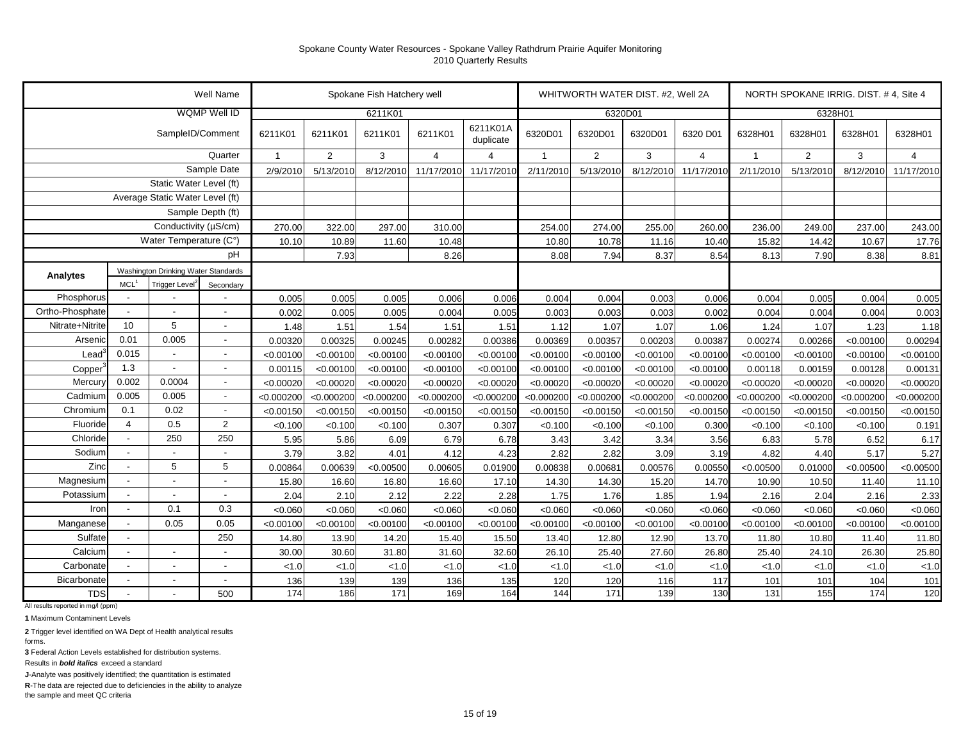|                                 |                          |                                     | Well Name                |                |                | Spokane Fish Hatchery well |                |                       |                |                | WHITWORTH WATER DIST. #2, Well 2A |                |              |                | NORTH SPOKANE IRRIG. DIST. #4, Site 4 |                |
|---------------------------------|--------------------------|-------------------------------------|--------------------------|----------------|----------------|----------------------------|----------------|-----------------------|----------------|----------------|-----------------------------------|----------------|--------------|----------------|---------------------------------------|----------------|
|                                 |                          |                                     | <b>WQMP Well ID</b>      |                |                | 6211K01                    |                |                       |                | 6320D01        |                                   |                |              |                | 6328H01                               |                |
|                                 |                          | SampleID/Comment                    |                          | 6211K01        | 6211K01        | 6211K01                    | 6211K01        | 6211K01A<br>duplicate | 6320D01        | 6320D01        | 6320D01                           | 6320 D01       | 6328H01      | 6328H01        | 6328H01                               | 6328H01        |
|                                 |                          |                                     | Quarter                  | $\overline{1}$ | $\overline{2}$ | 3                          | $\overline{4}$ | $\overline{4}$        | $\overline{1}$ | $\overline{2}$ | 3                                 | $\overline{4}$ | $\mathbf{1}$ | $\overline{2}$ | 3                                     | $\overline{4}$ |
|                                 |                          |                                     | Sample Date              | 2/9/2010       | 5/13/2010      | 8/12/2010                  | 11/17/2010     | 11/17/2010            | 2/11/2010      | 5/13/2010      | 8/12/2010                         | 11/17/2010     | 2/11/2010    | 5/13/2010      | 8/12/2010                             | 11/17/2010     |
| Static Water Level (ft)         |                          |                                     |                          |                |                |                            |                |                       |                |                |                                   |                |              |                |                                       |                |
| Average Static Water Level (ft) |                          |                                     |                          |                |                |                            |                |                       |                |                |                                   |                |              |                |                                       |                |
| Sample Depth (ft)               |                          |                                     |                          |                |                |                            |                |                       |                |                |                                   |                |              |                |                                       |                |
| Conductivity (µS/cm)            |                          |                                     |                          | 270.00         | 322.00         | 297.00                     | 310.00         |                       | 254.00         | 274.00         | 255.00                            | 260.00         | 236.00       | 249.00         | 237.00                                | 243.00         |
|                                 |                          | Water Temperature (C°)              |                          | 10.10          | 10.89          | 11.60                      | 10.48          |                       | 10.80          | 10.78          | 11.16                             | 10.40          | 15.82        | 14.42          | 10.67                                 | 17.76          |
|                                 |                          |                                     | рH                       |                | 7.93           |                            | 8.26           |                       | 8.08           | 7.94           | 8.37                              | 8.54           | 8.13         | 7.90           | 8.38                                  | 8.81           |
| Analytes                        |                          | Washington Drinking Water Standards |                          |                |                |                            |                |                       |                |                |                                   |                |              |                |                                       |                |
|                                 | MCL <sup>1</sup>         | Trigger Level <sup>2</sup>          | Secondary                |                |                |                            |                |                       |                |                |                                   |                |              |                |                                       |                |
| Phosphorus                      |                          |                                     |                          | 0.005          | 0.005          | 0.005                      | 0.006          | 0.006                 | 0.004          | 0.004          | 0.003                             | 0.006          | 0.004        | 0.005          | 0.004                                 | 0.005          |
| Ortho-Phosphate                 | $\overline{\phantom{a}}$ |                                     |                          | 0.002          | 0.005          | 0.005                      | 0.004          | 0.005                 | 0.003          | 0.003          | 0.003                             | 0.002          | 0.004        | 0.004          | 0.004                                 | 0.003          |
| Nitrate+Nitrite                 | 10                       | 5                                   | $\overline{a}$           | 1.48           | 1.51           | 1.54                       | 1.51           | 1.51                  | 1.12           | 1.07           | 1.07                              | 1.06           | 1.24         | 1.07           | 1.23                                  | 1.18           |
| Arsenic                         | 0.01                     | 0.005                               | $\overline{a}$           | 0.00320        | 0.00325        | 0.00245                    | 0.00282        | 0.00386               | 0.00369        | 0.00357        | 0.00203                           | 0.00387        | 0.00274      | 0.00266        | < 0.00100                             | 0.00294        |
| $\text{Lead}^3$                 | 0.015                    |                                     | $\blacksquare$           | < 0.00100      | < 0.00100      | < 0.00100                  | < 0.00100      | < 0.00100             | < 0.00100      | < 0.00100      | < 0.00100                         | < 0.00100      | < 0.00100    | < 0.00100      | < 0.00100                             | < 0.00100      |
| Copper                          | 1.3                      | $\blacksquare$                      | $\overline{\phantom{a}}$ | 0.00115        | < 0.00100      | < 0.00100                  | < 0.00100      | < 0.00100             | < 0.00100      | < 0.00100      | < 0.00100                         | < 0.00100      | 0.00118      | 0.00159        | 0.00128                               | 0.00131        |
| Mercury                         | 0.002                    | 0.0004                              | $\overline{\phantom{a}}$ | < 0.00020      | < 0.00020      | < 0.00020                  | < 0.00020      | < 0.00020             | < 0.00020      | < 0.00020      | < 0.00020                         | < 0.00020      | < 0.00020    | < 0.00020      | < 0.00020                             | < 0.00020      |
| Cadmium                         | 0.005                    | 0.005                               | $\blacksquare$           | < 0.000200     | < 0.000200     | < 0.000200                 | < 0.000200     | < 0.000200            | < 0.000200     | < 0.000200     | < 0.000200                        | < 0.000200     | < 0.000200   | < 0.000200     | < 0.000200                            | < 0.000200     |
| Chromium                        | 0.1                      | 0.02                                | $\blacksquare$           | < 0.00150      | < 0.00150      | < 0.00150                  | < 0.00150      | < 0.00150             | < 0.00150      | < 0.00150      | < 0.00150                         | < 0.00150      | < 0.00150    | < 0.00150      | < 0.00150                             | < 0.00150      |
| Fluoride                        | $\overline{4}$           | 0.5                                 | 2                        | < 0.100        | < 0.100        | < 0.100                    | 0.307          | 0.307                 | < 0.100        | < 0.100        | < 0.100                           | 0.300          | < 0.100      | < 0.100        | < 0.100                               | 0.191          |
| Chloride                        |                          | 250                                 | 250                      | 5.95           | 5.86           | 6.09                       | 6.79           | 6.78                  | 3.43           | 3.42           | 3.34                              | 3.56           | 6.83         | 5.78           | 6.52                                  | 6.17           |
| Sodium                          |                          | $\blacksquare$                      | $\blacksquare$           | 3.79           | 3.82           | 4.01                       | 4.12           | 4.23                  | 2.82           | 2.82           | 3.09                              | 3.19           | 4.82         | 4.40           | 5.17                                  | 5.27           |
| Zinc                            | $\sim$                   | 5                                   | 5                        | 0.00864        | 0.00639        | < 0.00500                  | 0.00605        | 0.01900               | 0.00838        | 0.00681        | 0.00576                           | 0.00550        | < 0.00500    | 0.01000        | < 0.00500                             | < 0.00500      |
| Magnesium                       |                          | $\blacksquare$                      | $\overline{a}$           | 15.80          | 16.60          | 16.80                      | 16.60          | 17.10                 | 14.30          | 14.30          | 15.20                             | 14.70          | 10.90        | 10.50          | 11.40                                 | 11.10          |
| Potassium                       |                          | $\blacksquare$                      | $\overline{a}$           | 2.04           | 2.10           | 2.12                       | 2.22           | 2.28                  | 1.75           | 1.76           | 1.85                              | 1.94           | 2.16         | 2.04           | 2.16                                  | 2.33           |
| Iron                            |                          | 0.1                                 | 0.3                      | < 0.060        | < 0.060        | < 0.060                    | < 0.060        | < 0.060               | < 0.060        | < 0.060        | < 0.060                           | < 0.060        | < 0.060      | < 0.060        | < 0.060                               | < 0.060        |
| Manganese                       |                          | 0.05                                | 0.05                     | < 0.00100      | < 0.00100      | < 0.00100                  | < 0.00100      | < 0.00100             | < 0.00100      | < 0.00100      | < 0.00100                         | < 0.00100      | < 0.00100    | < 0.00100      | < 0.00100                             | < 0.00100      |
| Sulfate                         |                          |                                     | 250                      | 14.80          | 13.90          | 14.20                      | 15.40          | 15.50                 | 13.40          | 12.80          | 12.90                             | 13.70          | 11.80        | 10.80          | 11.40                                 | 11.80          |
| Calcium                         |                          | $\overline{\phantom{a}}$            | $\overline{\phantom{a}}$ | 30.00          | 30.60          | 31.80                      | 31.60          | 32.60                 | 26.10          | 25.40          | 27.60                             | 26.80          | 25.40        | 24.10          | 26.30                                 | 25.80          |
| Carbonate                       |                          | $\sim$                              | $\overline{a}$           | < 1.0          | < 1.0          | 1.0                        | 1.0            | < 1.0                 | < 1.0          | < 1.0          | < 1.0                             | < 1.0          | < 1.0        | < 1.0          | < 1.0                                 | 1.0            |
| Bicarbonate                     |                          | $\sim$                              | $\overline{\phantom{a}}$ | 136            | 139            | 139                        | 136            | 135                   | 120            | 120            | 116                               | 117            | 101          | 101            | 104                                   | 101            |
| <b>TDS</b>                      |                          |                                     | 500                      | 174            | 186            | 171                        | 169            | 164                   | 144            | 171            | 139                               | 130            | 131          | 155            | 174                                   | 120            |

All results reported in mg/l (ppm)

**1** Maximum Contaminent Levels

**2** Trigger level identified on WA Dept of Health analytical results forms.

**3** Federal Action Levels established for distribution systems.

Results in *bold italics* exceed a standard

**J**-Analyte was positively identified; the quantitation is estimated

**R**-The data are rejected due to deficiencies in the ability to analyze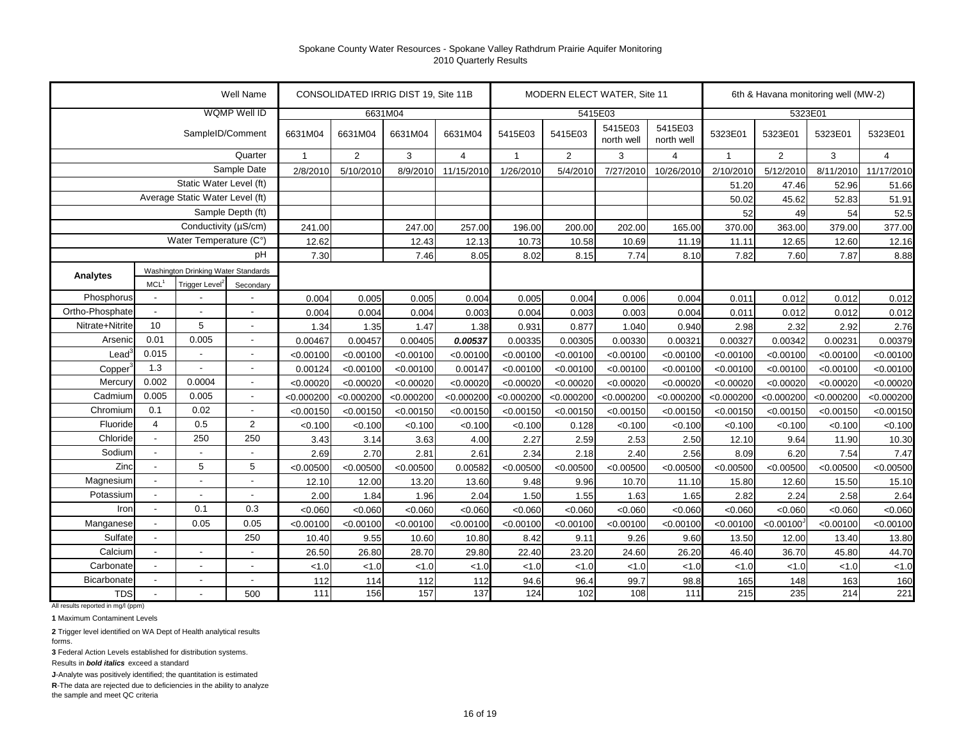|                     |                                 |                                     | Well Name                |              |                | CONSOLIDATED IRRIG DIST 19, Site 11B |                |                |                | MODERN ELECT WATER, Site 11 |                       |              |                | 6th & Havana monitoring well (MW-2) |                |
|---------------------|---------------------------------|-------------------------------------|--------------------------|--------------|----------------|--------------------------------------|----------------|----------------|----------------|-----------------------------|-----------------------|--------------|----------------|-------------------------------------|----------------|
|                     |                                 |                                     | <b>WQMP Well ID</b>      |              |                | 6631M04                              |                |                |                | 5415E03                     |                       |              | 5323E01        |                                     |                |
|                     |                                 | SampleID/Comment                    |                          | 6631M04      | 6631M04        | 6631M04                              | 6631M04        | 5415E03        | 5415E03        | 5415E03<br>north well       | 5415E03<br>north well | 5323E01      | 5323E01        | 5323E01                             | 5323E01        |
|                     |                                 |                                     | Quarter                  | $\mathbf{1}$ | $\overline{2}$ | 3                                    | $\overline{4}$ | $\overline{1}$ | $\overline{2}$ | 3                           | $\overline{4}$        | $\mathbf{1}$ | $\overline{2}$ | 3                                   | $\overline{4}$ |
|                     |                                 |                                     | Sample Date              | 2/8/2010     | 5/10/2010      | 8/9/2010                             | 11/15/2010     | 1/26/2010      | 5/4/2010       | 7/27/2010                   | 10/26/2010            | 2/10/2010    | 5/12/2010      | 8/11/2010                           | 11/17/2010     |
|                     |                                 | Static Water Level (ft)             |                          |              |                |                                      |                |                |                |                             |                       | 51.20        | 47.46          | 52.96                               | 51.66          |
|                     | Average Static Water Level (ft) |                                     |                          |              |                |                                      |                |                |                |                             |                       | 50.02        | 45.62          | 52.83                               | 51.91          |
|                     | Sample Depth (ft)               |                                     |                          |              |                |                                      |                |                |                |                             |                       | 52           | 49             | 54                                  | 52.5           |
|                     | Conductivity (µS/cm)            |                                     |                          | 241.00       |                | 247.00                               | 257.00         | 196.00         | 200.00         | 202.00                      | 165.00                | 370.00       | 363.00         | 379.00                              | 377.00         |
|                     |                                 | Water Temperature (C°)              |                          | 12.62        |                | 12.43                                | 12.13          | 10.73          | 10.58          | 10.69                       | 11.19                 | 11.11        | 12.65          | 12.60                               | 12.16          |
|                     |                                 |                                     | pH                       | 7.30         |                | 7.46                                 | 8.05           | 8.02           | 8.15           | 7.74                        | 8.10                  | 7.82         | 7.60           | 7.87                                | 8.88           |
| Analytes            |                                 | Washington Drinking Water Standards |                          |              |                |                                      |                |                |                |                             |                       |              |                |                                     |                |
|                     | MCL <sup>1</sup>                | Trigger Level <sup>2</sup>          | Secondary                |              |                |                                      |                |                |                |                             |                       |              |                |                                     |                |
| Phosphorus          |                                 |                                     |                          | 0.004        | 0.005          | 0.005                                | 0.004          | 0.005          | 0.004          | 0.006                       | 0.004                 | 0.011        | 0.012          | 0.012                               | 0.012          |
| Ortho-Phosphate     | $\blacksquare$                  |                                     | $\overline{\phantom{a}}$ | 0.004        | 0.004          | 0.004                                | 0.003          | 0.004          | 0.003          | 0.003                       | 0.004                 | 0.011        | 0.012          | 0.012                               | 0.012          |
| Nitrate+Nitrite     | 10                              | 5                                   | $\blacksquare$           | 1.34         | 1.35           | 1.47                                 | 1.38           | 0.931          | 0.877          | 1.040                       | 0.940                 | 2.98         | 2.32           | 2.92                                | 2.76           |
| Arsenic             | 0.01                            | 0.005                               | $\overline{\phantom{a}}$ | 0.00467      | 0.00457        | 0.00405                              | 0.00537        | 0.00335        | 0.00305        | 0.00330                     | 0.00321               | 0.00327      | 0.00342        | 0.00231                             | 0.00379        |
| Lead                | 0.015                           | $\overline{\phantom{a}}$            | $\overline{\phantom{a}}$ | < 0.00100    | < 0.00100      | < 0.00100                            | < 0.00100      | < 0.00100      | < 0.00100      | < 0.00100                   | < 0.00100             | < 0.00100    | < 0.00100      | < 0.00100                           | < 0.00100      |
| Copper <sup>®</sup> | 1.3                             | $\blacksquare$                      | $\overline{\phantom{a}}$ | 0.00124      | < 0.00100      | < 0.00100                            | 0.00147        | < 0.00100      | < 0.00100      | < 0.00100                   | < 0.00100             | < 0.00100    | < 0.00100      | < 0.00100                           | < 0.00100      |
| Mercury             | 0.002                           | 0.0004                              | $\blacksquare$           | < 0.00020    | < 0.00020      | < 0.00020                            | < 0.00020      | < 0.00020      | < 0.00020      | < 0.00020                   | < 0.00020             | < 0.00020    | < 0.00020      | < 0.00020                           | < 0.00020      |
| Cadmium             | 0.005                           | 0.005                               | $\overline{\phantom{a}}$ | < 0.000200   | < 0.000200     | < 0.000200                           | < 0.000200     | < 0.000200     | < 0.000200     | < 0.000200                  | < 0.000200            | < 0.000200   | < 0.000200     | < 0.000200                          | < 0.000200     |
| Chromium            | 0.1                             | 0.02                                | $\blacksquare$           | < 0.00150    | < 0.00150      | < 0.00150                            | < 0.00150      | < 0.00150      | < 0.00150      | < 0.00150                   | < 0.00150             | < 0.00150    | < 0.00150      | < 0.00150                           | < 0.00150      |
| Fluoride            | 4                               | 0.5                                 | $\overline{2}$           | < 0.100      | < 0.100        | < 0.100                              | < 0.100        | < 0.100        | 0.128          | < 0.100                     | < 0.100               | < 0.100      | < 0.100        | < 0.100                             | < 0.100        |
| Chloride            | $\blacksquare$                  | 250                                 | 250                      | 3.43         | 3.14           | 3.63                                 | 4.00           | 2.27           | 2.59           | 2.53                        | 2.50                  | 12.10        | 9.64           | 11.90                               | 10.30          |
| Sodium              | $\overline{a}$                  |                                     | $\sim$                   | 2.69         | 2.70           | 2.81                                 | 2.61           | 2.34           | 2.18           | 2.40                        | 2.56                  | 8.09         | 6.20           | 7.54                                | 7.47           |
| Zinc                | $\overline{a}$                  | 5                                   | 5                        | < 0.00500    | < 0.00500      | < 0.00500                            | 0.00582        | < 0.00500      | < 0.00500      | < 0.00500                   | < 0.00500             | < 0.00500    | < 0.00500      | < 0.00500                           | < 0.00500      |
| Magnesium           | $\frac{1}{2}$                   |                                     | ä,                       | 12.10        | 12.00          | 13.20                                | 13.60          | 9.48           | 9.96           | 10.70                       | 11.10                 | 15.80        | 12.60          | 15.50                               | 15.10          |
| Potassium           | $\overline{a}$                  |                                     | $\overline{a}$           | 2.00         | 1.84           | 1.96                                 | 2.04           | 1.50           | 1.55           | 1.63                        | 1.65                  | 2.82         | 2.24           | 2.58                                | 2.64           |
| Iron                | $\overline{a}$                  | 0.1                                 | 0.3                      | < 0.060      | < 0.060        | < 0.060                              | < 0.060        | < 0.060        | < 0.060        | < 0.060                     | < 0.060               | < 0.060      | < 0.060        | < 0.060                             | < 0.060        |
| Manganese           | $\blacksquare$                  | 0.05                                | 0.05                     | < 0.00100    | < 0.00100      | < 0.00100                            | < 0.00100      | < 0.00100      | < 0.00100      | < 0.00100                   | < 0.00100             | < 0.00100    | < 0.00100      | < 0.00100                           | < 0.00100      |
| Sulfate             | $\blacksquare$                  |                                     | 250                      | 10.40        | 9.55           | 10.60                                | 10.80          | 8.42           | 9.11           | 9.26                        | 9.60                  | 13.50        | 12.00          | 13.40                               | 13.80          |
| Calcium             | $\overline{a}$                  | $\overline{a}$                      | $\blacksquare$           | 26.50        | 26.80          | 28.70                                | 29.80          | 22.40          | 23.20          | 24.60                       | 26.20                 | 46.40        | 36.70          | 45.80                               | 44.70          |
| Carbonate           | $\overline{a}$                  | $\overline{a}$                      | $\overline{a}$           | < 1.0        | < 1.0          | < 1.0                                | < 1.0          | < 1.0          | < 1.0          | < 1.0                       | < 1.0                 | < 1.0        | < 1.0          | < 1.0                               | < 1.0          |
| Bicarbonate         | $\sim$                          | $\overline{a}$                      | $\overline{\phantom{a}}$ | 112          | 114            | 112                                  | 112            | 94.6           | 96.4           | 99.7                        | 98.8                  | 165          | 148            | 163                                 | 160            |
| <b>TDS</b>          |                                 |                                     | 500                      | 111          | 156            | 157                                  | 137            | 124            | 102            | 108                         | 111                   | 215          | 235            | 214                                 | 221            |

All results reported in mg/l (ppm)

**1** Maximum Contaminent Levels

**2** Trigger level identified on WA Dept of Health analytical results forms.

**3** Federal Action Levels established for distribution systems.

Results in *bold italics* exceed a standard

**J**-Analyte was positively identified; the quantitation is estimated

**R**-The data are rejected due to deficiencies in the ability to analyze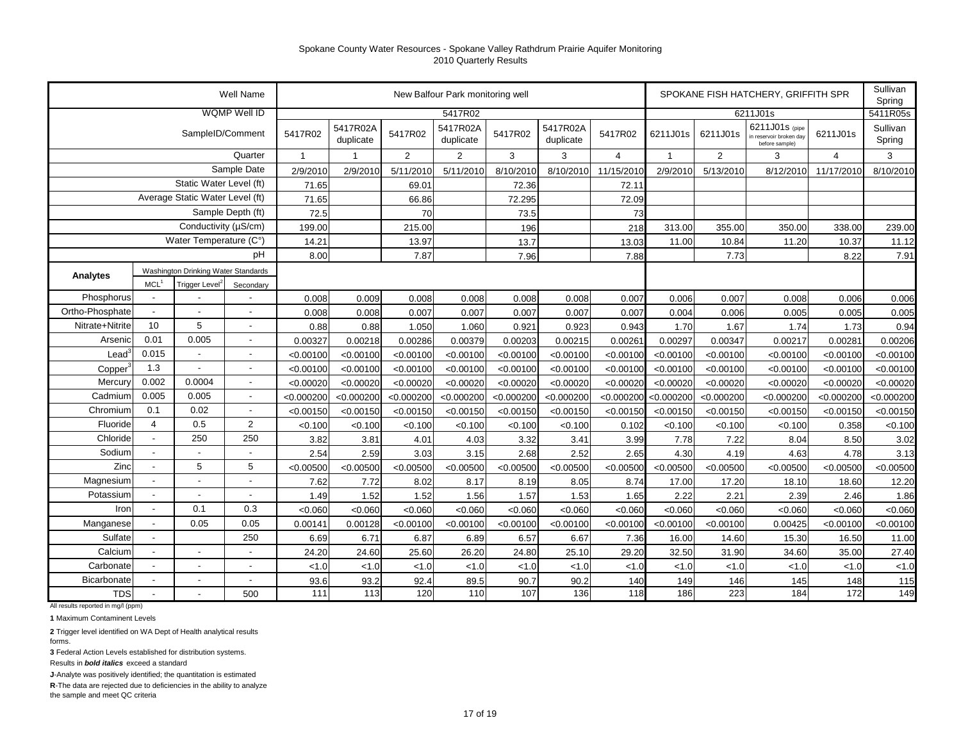|                                 |                          |                                     | Well Name                |              |                       |                | New Balfour Park monitoring well |            |                       |                |                |                | SPOKANE FISH HATCHERY, GRIFFITH SPR                         |                | Sullivan<br>Spring |
|---------------------------------|--------------------------|-------------------------------------|--------------------------|--------------|-----------------------|----------------|----------------------------------|------------|-----------------------|----------------|----------------|----------------|-------------------------------------------------------------|----------------|--------------------|
|                                 |                          |                                     | <b>WQMP Well ID</b>      |              |                       |                | 5417R02                          |            |                       |                |                |                | 6211J01s                                                    |                | 5411R05s           |
|                                 |                          | SampleID/Comment                    |                          | 5417R02      | 5417R02A<br>duplicate | 5417R02        | 5417R02A<br>duplicate            | 5417R02    | 5417R02A<br>duplicate | 5417R02        | 6211J01s       | 6211J01s       | 6211J01s (pipe<br>in reservoir broken day<br>before sample) | 6211J01s       | Sullivan<br>Spring |
|                                 |                          |                                     | Quarter                  | $\mathbf{1}$ | $\overline{1}$        | $\overline{2}$ | 2                                | 3          | 3                     | $\overline{4}$ | $\overline{1}$ | $\overline{2}$ | 3                                                           | $\overline{4}$ | 3                  |
|                                 |                          |                                     | Sample Date              | 2/9/2010     | 2/9/2010              | 5/11/2010      | 5/11/2010                        | 8/10/2010  | 8/10/2010             | 11/15/2010     | 2/9/2010       | 5/13/2010      | 8/12/2010                                                   | 11/17/2010     | 8/10/2010          |
|                                 | Static Water Level (ft)  |                                     |                          | 71.65        |                       | 69.01          |                                  | 72.36      |                       | 72.11          |                |                |                                                             |                |                    |
| Average Static Water Level (ft) |                          |                                     | 71.65                    |              | 66.86                 |                | 72.295                           |            | 72.09                 |                |                |                |                                                             |                |                    |
| Sample Depth (ft)               |                          |                                     | 72.5                     |              | 70                    |                | 73.5                             |            | 73                    |                |                |                |                                                             |                |                    |
| Conductivity (µS/cm)            |                          |                                     |                          | 199.00       |                       | 215.00         |                                  | 196        |                       | 218            | 313.00         | 355.00         | 350.00                                                      | 338.00         | 239.00             |
| Water Temperature (C°)          |                          |                                     |                          | 14.21        |                       | 13.97          |                                  | 13.7       |                       | 13.03          | 11.00          | 10.84          | 11.20                                                       | 10.37          | 11.12              |
|                                 | pH                       |                                     |                          |              |                       | 7.87           |                                  | 7.96       |                       | 7.88           |                | 7.73           |                                                             | 8.22           | 7.91               |
| Analytes                        |                          | Washington Drinking Water Standards |                          |              |                       |                |                                  |            |                       |                |                |                |                                                             |                |                    |
|                                 | MCL <sup>1</sup>         | Trigger Level <sup>2</sup>          | Secondary                |              |                       |                |                                  |            |                       |                |                |                |                                                             |                |                    |
| Phosphorus                      |                          |                                     |                          | 0.008        | 0.009                 | 0.008          | 0.008                            | 0.008      | 0.008                 | 0.007          | 0.006          | 0.007          | 0.008                                                       | 0.006          | 0.006              |
| Ortho-Phosphate                 | $\overline{\phantom{a}}$ | $\blacksquare$                      | $\blacksquare$           | 0.008        | 0.008                 | 0.007          | 0.007                            | 0.007      | 0.007                 | 0.007          | 0.004          | 0.006          | 0.005                                                       | 0.005          | 0.005              |
| Nitrate+Nitrite                 | 10                       | $\,$ 5 $\,$                         |                          | 0.88         | 0.88                  | 1.050          | 1.060                            | 0.921      | 0.923                 | 0.943          | 1.70           | 1.67           | 1.74                                                        | 1.73           | 0.94               |
| Arsenic                         | 0.01                     | 0.005                               | $\blacksquare$           | 0.00327      | 0.00218               | 0.00286        | 0.00379                          | 0.00203    | 0.00215               | 0.0026         | 0.00297        | 0.00347        | 0.00217                                                     | 0.00281        | 0.00206            |
| $\text{Lead}^3$                 | 0.015                    | $\overline{\phantom{a}}$            | $\overline{\phantom{a}}$ | < 0.00100    | < 0.00100             | < 0.00100      | < 0.00100                        | < 0.00100  | < 0.00100             | < 0.00100      | < 0.00100      | < 0.00100      | < 0.00100                                                   | < 0.00100      | < 0.00100          |
| Copper <sup>3</sup>             | 1.3                      | $\blacksquare$                      | $\blacksquare$           | < 0.00100    | < 0.00100             | < 0.00100      | < 0.00100                        | < 0.00100  | < 0.00100             | < 0.00100      | < 0.00100      | < 0.00100      | < 0.00100                                                   | < 0.00100      | < 0.00100          |
| Mercury                         | 0.002                    | 0.0004                              | $\sim$                   | < 0.00020    | < 0.00020             | < 0.00020      | < 0.00020                        | < 0.00020  | < 0.00020             | < 0.00020      | < 0.00020      | < 0.00020      | < 0.00020                                                   | < 0.00020      | < 0.00020          |
| Cadmium                         | 0.005                    | 0.005                               | $\sim$                   | < 0.000200   | < 0.000200            | < 0.000200     | < 0.000200                       | < 0.000200 | < 0.000200            | < 0.000200     | < 0.000200     | < 0.000200     | < 0.000200                                                  | < 0.000200     | < 0.000200         |
| Chromium                        | 0.1                      | 0.02                                | $\sim$                   | < 0.00150    | < 0.00150             | < 0.00150      | < 0.00150                        | < 0.00150  | < 0.00150             | < 0.00150      | < 0.00150      | < 0.00150      | < 0.00150                                                   | < 0.00150      | < 0.00150          |
| Fluoride                        | $\overline{4}$           | 0.5                                 | $\overline{2}$           | < 0.100      | < 0.100               | < 0.100        | < 0.100                          | < 0.100    | < 0.100               | 0.102          | < 0.100        | < 0.100        | < 0.100                                                     | 0.358          | < 0.100            |
| Chloride                        |                          | 250                                 | 250                      | 3.82         | 3.81                  | 4.01           | 4.03                             | 3.32       | 3.41                  | 3.99           | 7.78           | 7.22           | 8.04                                                        | 8.50           | 3.02               |
| Sodium                          | $\blacksquare$           |                                     |                          | 2.54         | 2.59                  | 3.03           | 3.15                             | 2.68       | 2.52                  | 2.65           | 4.30           | 4.19           | 4.63                                                        | 4.78           | 3.13               |
| Zinc                            |                          | 5                                   | 5                        | < 0.00500    | < 0.00500             | < 0.00500      | < 0.00500                        | < 0.00500  | < 0.00500             | < 0.00500      | < 0.00500      | < 0.00500      | < 0.00500                                                   | < 0.00500      | < 0.00500          |
| Magnesium                       |                          |                                     |                          | 7.62         | 7.72                  | 8.02           | 8.17                             | 8.19       | 8.05                  | 8.74           | 17.00          | 17.20          | 18.10                                                       | 18.60          | 12.20              |
| Potassium                       | $\blacksquare$           | $\blacksquare$                      | $\overline{\phantom{a}}$ | 1.49         | 1.52                  | 1.52           | 1.56                             | 1.57       | 1.53                  | 1.65           | 2.22           | 2.21           | 2.39                                                        | 2.46           | 1.86               |
| Iron                            | $\overline{\phantom{a}}$ | 0.1                                 | 0.3                      | < 0.060      | < 0.060               | < 0.060        | < 0.060                          | < 0.060    | < 0.060               | < 0.060        | < 0.060        | < 0.060        | < 0.060                                                     | < 0.060        | < 0.060            |
| Manganese                       | $\overline{\phantom{a}}$ | 0.05                                | 0.05                     | 0.00141      | 0.00128               | < 0.00100      | < 0.00100                        | < 0.00100  | < 0.00100             | < 0.00100      | < 0.00100      | < 0.00100      | 0.00425                                                     | < 0.00100      | < 0.00100          |
| Sulfate                         | $\blacksquare$           |                                     | 250                      | 6.69         | 6.71                  | 6.87           | 6.89                             | 6.57       | 6.67                  | 7.36           | 16.00          | 14.60          | 15.30                                                       | 16.50          | 11.00              |
| Calcium                         | $\overline{\phantom{a}}$ | $\blacksquare$                      |                          | 24.20        | 24.60                 | 25.60          | 26.20                            | 24.80      | 25.10                 | 29.20          | 32.50          | 31.90          | 34.60                                                       | 35.00          | 27.40              |
| Carbonate                       | $\overline{a}$           | $\overline{a}$                      | $\overline{\phantom{a}}$ | < 1.0        | < 1.0                 | < 1.0          | < 1.0                            | < 1.0      | < 1.0                 | < 1.0          | < 1.0          | < 1.0          | < 1.0                                                       | < 1.0          | < 1.0              |
| Bicarbonate                     |                          |                                     |                          | 93.6         | 93.2                  | 92.4           | 89.5                             | 90.7       | 90.2                  | 140            | 149            | 146            | 145                                                         | 148            | 115                |
| <b>TDS</b>                      |                          |                                     | 500                      | 111          | 113                   | 120            | 110                              | 107        | 136                   | 118            | 186            | 223            | 184                                                         | 172            | 149                |

All results reported in mg/l (ppm)

**1** Maximum Contaminent Levels

**2** Trigger level identified on WA Dept of Health analytical results forms.

**3** Federal Action Levels established for distribution systems.

Results in *bold italics* exceed a standard

**J**-Analyte was positively identified; the quantitation is estimated

**R**-The data are rejected due to deficiencies in the ability to analyze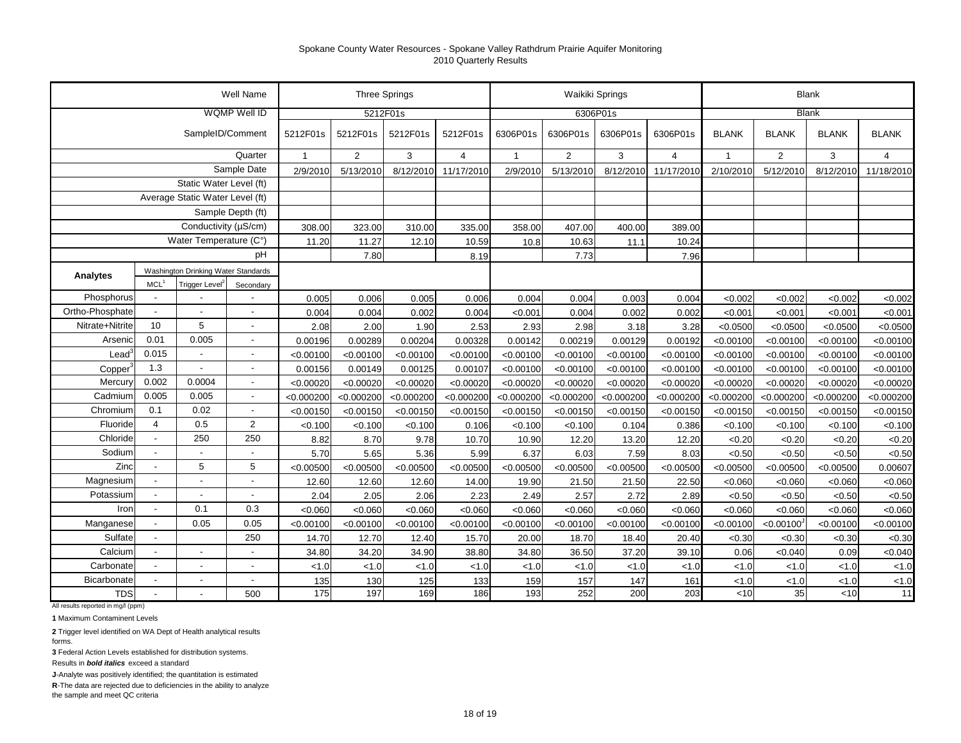|                      |                                 |                                     | Well Name                |              | <b>Three Springs</b> |            |                |              |                | Waikiki Springs |                |                |                | <b>Blank</b> |                |
|----------------------|---------------------------------|-------------------------------------|--------------------------|--------------|----------------------|------------|----------------|--------------|----------------|-----------------|----------------|----------------|----------------|--------------|----------------|
|                      |                                 |                                     | <b>WQMP Well ID</b>      |              | 5212F01s             |            |                |              |                | 6306P01s        |                |                |                | <b>Blank</b> |                |
|                      |                                 | SampleID/Comment                    |                          | 5212F01s     | 5212F01s             | 5212F01s   | 5212F01s       | 6306P01s     | 6306P01s       | 6306P01s        | 6306P01s       | <b>BLANK</b>   | <b>BLANK</b>   | <b>BLANK</b> | <b>BLANK</b>   |
|                      |                                 |                                     | Quarter                  | $\mathbf{1}$ | $\overline{2}$       | 3          | $\overline{4}$ | $\mathbf{1}$ | $\overline{2}$ | 3               | $\overline{4}$ | $\overline{1}$ | $\overline{2}$ | 3            | $\overline{4}$ |
|                      |                                 |                                     | Sample Date              | 2/9/2010     | 5/13/2010            | 8/12/2010  | 11/17/2010     | 2/9/2010     | 5/13/2010      | 8/12/2010       | 11/17/2010     | 2/10/2010      | 5/12/2010      | 8/12/2010    | 11/18/2010     |
|                      |                                 | Static Water Level (ft)             |                          |              |                      |            |                |              |                |                 |                |                |                |              |                |
|                      | Average Static Water Level (ft) |                                     |                          |              |                      |            |                |              |                |                 |                |                |                |              |                |
| Sample Depth (ft)    |                                 |                                     |                          |              |                      |            |                |              |                |                 |                |                |                |              |                |
| Conductivity (µS/cm) |                                 |                                     | 308.00                   | 323.00       | 310.00               | 335.00     | 358.00         | 407.00       | 400.00         | 389.00          |                |                |                |              |                |
|                      |                                 | Water Temperature (C°)              |                          | 11.20        | 11.27                | 12.10      | 10.59          | 10.8         | 10.63          | 11.1            | 10.24          |                |                |              |                |
|                      |                                 |                                     | pH                       |              | 7.80                 |            | 8.19           |              | 7.73           |                 | 7.96           |                |                |              |                |
| Analytes             |                                 | Washington Drinking Water Standards |                          |              |                      |            |                |              |                |                 |                |                |                |              |                |
|                      | MCL <sup>1</sup>                | Trigger Level <sup>2</sup>          | Secondary                |              |                      |            |                |              |                |                 |                |                |                |              |                |
| Phosphorus           |                                 |                                     |                          | 0.005        | 0.006                | 0.005      | 0.006          | 0.004        | 0.004          | 0.003           | 0.004          | < 0.002        | < 0.002        | < 0.002      | < 0.002        |
| Ortho-Phosphate      |                                 |                                     |                          | 0.004        | 0.004                | 0.002      | 0.004          | < 0.001      | 0.004          | 0.002           | 0.002          | < 0.001        | < 0.001        | < 0.001      | < 0.001        |
| Nitrate+Nitrite      | 10                              | 5                                   | $\overline{a}$           | 2.08         | 2.00                 | 1.90       | 2.53           | 2.93         | 2.98           | 3.18            | 3.28           | < 0.0500       | < 0.0500       | < 0.0500     | < 0.0500       |
| Arsenio              | 0.01                            | 0.005                               | $\overline{\phantom{a}}$ | 0.00196      | 0.00289              | 0.00204    | 0.00328        | 0.00142      | 0.00219        | 0.00129         | 0.00192        | < 0.00100      | < 0.00100      | < 0.00100    | < 0.00100      |
| Lead                 | 0.015                           | $\blacksquare$                      | $\overline{\phantom{a}}$ | < 0.00100    | < 0.00100            | < 0.00100  | < 0.00100      | < 0.00100    | < 0.00100      | < 0.00100       | < 0.00100      | < 0.00100      | < 0.00100      | < 0.00100    | < 0.00100      |
| Copper               | 1.3                             | $\overline{\phantom{a}}$            | $\overline{\phantom{a}}$ | 0.00156      | 0.00149              | 0.00125    | 0.00107        | < 0.00100    | < 0.00100      | < 0.00100       | < 0.00100      | < 0.00100      | < 0.00100      | < 0.00100    | < 0.00100      |
| Mercury              | 0.002                           | 0.0004                              | $\blacksquare$           | < 0.00020    | < 0.00020            | < 0.00020  | < 0.00020      | < 0.00020    | < 0.00020      | < 0.00020       | < 0.00020      | < 0.00020      | < 0.00020      | < 0.00020    | < 0.00020      |
| Cadmium              | 0.005                           | 0.005                               | $\overline{\phantom{a}}$ | < 0.000200   | < 0.000200           | < 0.000200 | < 0.000200     | < 0.000200   | < 0.000200     | <0.000200       | < 0.000200     | < 0.000200     | < 0.000200     | < 0.000200   | < 0.000200     |
| Chromium             | 0.1                             | 0.02                                | $\blacksquare$           | < 0.00150    | < 0.00150            | < 0.00150  | < 0.00150      | < 0.00150    | < 0.00150      | < 0.00150       | < 0.00150      | < 0.00150      | < 0.00150      | < 0.00150    | < 0.00150      |
| Fluoride             | $\overline{4}$                  | 0.5                                 | 2                        | < 0.100      | < 0.100              | < 0.100    | 0.106          | < 0.100      | < 0.100        | 0.104           | 0.386          | < 0.100        | < 0.100        | < 0.100      | < 0.100        |
| Chloride             |                                 | 250                                 | 250                      | 8.82         | 8.70                 | 9.78       | 10.70          | 10.90        | 12.20          | 13.20           | 12.20          | < 0.20         | < 0.20         | < 0.20       | <0.20          |
| Sodium               | $\overline{\phantom{a}}$        | $\overline{\phantom{a}}$            | $\overline{\phantom{a}}$ | 5.70         | 5.65                 | 5.36       | 5.99           | 6.37         | 6.03           | 7.59            | 8.03           | < 0.50         | < 0.50         | < 0.50       | <0.50          |
| Zinc                 |                                 | 5                                   | 5                        | < 0.00500    | < 0.00500            | < 0.00500  | < 0.00500      | < 0.00500    | < 0.00500      | < 0.00500       | < 0.00500      | < 0.00500      | < 0.00500      | < 0.00500    | 0.00607        |
| Magnesium            |                                 |                                     | ÷.                       | 12.60        | 12.60                | 12.60      | 14.00          | 19.90        | 21.50          | 21.50           | 22.50          | < 0.060        | < 0.060        | < 0.060      | < 0.060        |
| Potassium            |                                 | $\overline{\phantom{a}}$            | $\blacksquare$           | 2.04         | 2.05                 | 2.06       | 2.23           | 2.49         | 2.57           | 2.72            | 2.89           | < 0.50         | < 0.50         | < 0.50       | < 0.50         |
| Iron                 | $\overline{\phantom{a}}$        | 0.1                                 | 0.3                      | < 0.060      | < 0.060              | < 0.060    | < 0.060        | < 0.060      | < 0.060        | < 0.060         | <0.060         | < 0.060        | < 0.060        | < 0.060      | < 0.060        |
| Manganese            | $\blacksquare$                  | 0.05                                | 0.05                     | < 0.00100    | < 0.00100            | < 0.00100  | < 0.00100      | < 0.00100    | < 0.00100      | < 0.00100       | < 0.00100      | < 0.00100      | < 0.00100      | < 0.00100    | < 0.00100      |
| Sulfate              | $\blacksquare$                  |                                     | 250                      | 14.70        | 12.70                | 12.40      | 15.70          | 20.00        | 18.70          | 18.40           | 20.40          | <0.30          | < 0.30         | <0.30        | < 0.30         |
| Calcium              | $\overline{\phantom{a}}$        | $\overline{\phantom{a}}$            | $\blacksquare$           | 34.80        | 34.20                | 34.90      | 38.80          | 34.80        | 36.50          | 37.20           | 39.10          | 0.06           | < 0.040        | 0.09         | < 0.040        |
| Carbonate            | $\overline{a}$                  | $\blacksquare$                      | ÷,                       | < 1.0        | 1.0                  | < 1.0      | < 1.0          | 1.0          | < 1.0          | < 1.0           | < 1.0          | < 1.0          | < 1.0          | < 1.0        | < 1.0          |
| Bicarbonate          |                                 |                                     | $\overline{\phantom{a}}$ | 135          | 130                  | 125        | 133            | 159          | 157            | 147             | 161            | < 1.0          | < 1.0          | < 1.0        | < 1.0          |
| <b>TDS</b>           |                                 |                                     | 500                      | 175          | 197                  | 169        | 186            | 193          | 252            | 200             | 203            | < 10           | 35             | <10          | 11             |

All results reported in mg/l (ppm)

**1** Maximum Contaminent Levels

**2** Trigger level identified on WA Dept of Health analytical results forms.

**3** Federal Action Levels established for distribution systems.

Results in *bold italics* exceed a standard

**J**-Analyte was positively identified; the quantitation is estimated

**R**-The data are rejected due to deficiencies in the ability to analyze